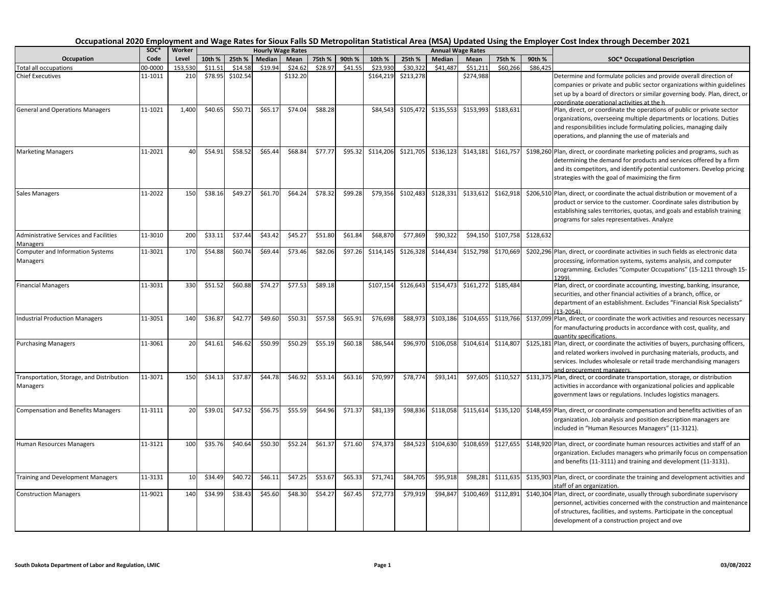|                                              | soc*    | Worker  |         |          |         | <b>Hourly Wage Rates</b> |         |         |           |           |           | <b>Annual Wage Rates</b> |           |           |                                                                                                                                                      |
|----------------------------------------------|---------|---------|---------|----------|---------|--------------------------|---------|---------|-----------|-----------|-----------|--------------------------|-----------|-----------|------------------------------------------------------------------------------------------------------------------------------------------------------|
| Occupation                                   | Code    | Level   | 10th %  | 25th %   | Median  | Mean                     | 75th %  | 90th %  | 10th %    | 25th %    | Median    | Mean                     | 75th %    | 90th %    | <b>SOC* Occupational Description</b>                                                                                                                 |
| <b>Total all occupations</b>                 | 00-0000 | 153.530 | \$11.51 | \$14.58  | \$19.94 | \$24.62                  | \$28.97 | \$41.55 | \$23.930  | \$30.322  | \$41.487  | \$51,211                 | \$60.266  | \$86.425  |                                                                                                                                                      |
| <b>Chief Executives</b>                      | 11-1011 | 210     | \$78.95 | \$102.54 |         | \$132.20                 |         |         | \$164,219 | \$213,278 |           | \$274,988                |           |           | Determine and formulate policies and provide overall direction of                                                                                    |
|                                              |         |         |         |          |         |                          |         |         |           |           |           |                          |           |           | companies or private and public sector organizations within guidelines<br>set up by a board of directors or similar governing body. Plan, direct, or |
|                                              |         |         |         |          |         |                          |         |         |           |           |           |                          |           |           | coordinate operational activities at the h                                                                                                           |
| <b>General and Operations Managers</b>       | 11-1021 | 1,400   | \$40.65 | \$50.71  | \$65.17 | \$74.04                  | \$88.28 |         | \$84,543  | \$105,472 | \$135,553 | \$153,993                | \$183,631 |           | Plan, direct, or coordinate the operations of public or private sector                                                                               |
|                                              |         |         |         |          |         |                          |         |         |           |           |           |                          |           |           | organizations, overseeing multiple departments or locations. Duties                                                                                  |
|                                              |         |         |         |          |         |                          |         |         |           |           |           |                          |           |           | and responsibilities include formulating policies, managing daily                                                                                    |
|                                              |         |         |         |          |         |                          |         |         |           |           |           |                          |           |           | operations, and planning the use of materials and                                                                                                    |
| <b>Marketing Managers</b>                    | 11-2021 | 40      | \$54.91 | \$58.52  | \$65.44 | \$68.84                  | \$77.77 | \$95.32 | \$114,206 | \$121,705 | \$136,123 | \$143,181                | \$161,757 |           | \$198,260 Plan, direct, or coordinate marketing policies and programs, such as                                                                       |
|                                              |         |         |         |          |         |                          |         |         |           |           |           |                          |           |           | determining the demand for products and services offered by a firm                                                                                   |
|                                              |         |         |         |          |         |                          |         |         |           |           |           |                          |           |           | and its competitors, and identify potential customers. Develop pricing                                                                               |
|                                              |         |         |         |          |         |                          |         |         |           |           |           |                          |           |           | strategies with the goal of maximizing the firm                                                                                                      |
| Sales Managers                               | 11-2022 | 150     | \$38.16 | \$49.27  | \$61.70 | \$64.24                  | \$78.32 | \$99.28 | \$79,356  | \$102,483 | \$128,331 | \$133,612                | \$162,918 |           | \$206,510 Plan, direct, or coordinate the actual distribution or movement of a                                                                       |
|                                              |         |         |         |          |         |                          |         |         |           |           |           |                          |           |           | product or service to the customer. Coordinate sales distribution by                                                                                 |
|                                              |         |         |         |          |         |                          |         |         |           |           |           |                          |           |           | establishing sales territories, quotas, and goals and establish training                                                                             |
|                                              |         |         |         |          |         |                          |         |         |           |           |           |                          |           |           | programs for sales representatives. Analyze                                                                                                          |
| Administrative Services and Facilities       | 11-3010 | 200     | \$33.11 | \$37.44  | \$43.42 | \$45.27                  | \$51.80 | \$61.84 | \$68,870  | \$77,869  | \$90,322  | \$94,150                 | \$107,758 | \$128,632 |                                                                                                                                                      |
| Managers<br>Computer and Information Systems | 11-3021 | 170     | \$54.88 | \$60.74  | \$69.44 | \$73.46                  | \$82.06 | \$97.26 | \$114,145 | \$126,328 | \$144,434 | \$152,798                | \$170,669 |           | \$202,296 Plan, direct, or coordinate activities in such fields as electronic data                                                                   |
| Managers                                     |         |         |         |          |         |                          |         |         |           |           |           |                          |           |           | processing, information systems, systems analysis, and computer                                                                                      |
|                                              |         |         |         |          |         |                          |         |         |           |           |           |                          |           |           | programming. Excludes "Computer Occupations" (15-1211 through 15-                                                                                    |
|                                              |         |         |         | \$60.88  |         |                          |         |         |           |           |           |                          |           |           | 1299)                                                                                                                                                |
| <b>Financial Managers</b>                    | 11-3031 | 330     | \$51.52 |          | \$74.27 | \$77.53                  | \$89.18 |         | \$107,154 | \$126,643 | \$154,473 | \$161,272                | \$185,484 |           | Plan, direct, or coordinate accounting, investing, banking, insurance,<br>securities, and other financial activities of a branch, office, or         |
|                                              |         |         |         |          |         |                          |         |         |           |           |           |                          |           |           | department of an establishment. Excludes "Financial Risk Specialists"                                                                                |
|                                              |         |         |         |          |         |                          |         |         |           |           |           |                          |           |           | $(13 - 2054)$                                                                                                                                        |
| <b>Industrial Production Managers</b>        | 11-3051 | 140     | \$36.87 | \$42.77  | \$49.60 | \$50.31                  | \$57.58 | \$65.91 | \$76,698  | \$88,973  | \$103,186 | \$104,655                | \$119,766 |           | \$137,099 Plan, direct, or coordinate the work activities and resources necessary                                                                    |
|                                              |         |         |         |          |         |                          |         |         |           |           |           |                          |           |           | for manufacturing products in accordance with cost, quality, and<br>quantity specifications.                                                         |
| <b>Purchasing Managers</b>                   | 11-3061 | 20      | \$41.61 | \$46.62  | \$50.99 | \$50.29                  | \$55.19 | \$60.18 | \$86,544  | \$96,970  | \$106,058 | \$104,614                | \$114,807 |           | \$125,181 Plan, direct, or coordinate the activities of buyers, purchasing officers,                                                                 |
|                                              |         |         |         |          |         |                          |         |         |           |           |           |                          |           |           | and related workers involved in purchasing materials, products, and                                                                                  |
|                                              |         |         |         |          |         |                          |         |         |           |           |           |                          |           |           | services. Includes wholesale or retail trade merchandising managers                                                                                  |
| Transportation, Storage, and Distribution    | 11-3071 | 150     | \$34.13 | \$37.87  | \$44.78 | \$46.92                  | \$53.14 | \$63.16 | \$70,997  | \$78,774  | \$93,141  | \$97,605                 | \$110,527 |           | and procurement managers.<br>\$131,375 Plan, direct, or coordinate transportation, storage, or distribution                                          |
| Managers                                     |         |         |         |          |         |                          |         |         |           |           |           |                          |           |           | activities in accordance with organizational policies and applicable                                                                                 |
|                                              |         |         |         |          |         |                          |         |         |           |           |           |                          |           |           | government laws or regulations. Includes logistics managers.                                                                                         |
| <b>Compensation and Benefits Managers</b>    | 11-3111 | 20      | \$39.01 | \$47.52  | \$56.75 | \$55.59                  | \$64.96 | \$71.37 | \$81,139  | \$98,836  | \$118,058 | \$115,614                | \$135,120 |           | \$148,459 Plan, direct, or coordinate compensation and benefits activities of an                                                                     |
|                                              |         |         |         |          |         |                          |         |         |           |           |           |                          |           |           | organization. Job analysis and position description managers are                                                                                     |
|                                              |         |         |         |          |         |                          |         |         |           |           |           |                          |           |           | included in "Human Resources Managers" (11-3121).                                                                                                    |
| Human Resources Managers                     | 11-3121 | 100     | \$35.76 | \$40.64  | \$50.30 | \$52.24                  | \$61.37 | \$71.60 | \$74,373  | \$84,523  | \$104,630 | \$108,659                | \$127,655 |           | \$148,920 Plan, direct, or coordinate human resources activities and staff of an                                                                     |
|                                              |         |         |         |          |         |                          |         |         |           |           |           |                          |           |           | organization. Excludes managers who primarily focus on compensation                                                                                  |
|                                              |         |         |         |          |         |                          |         |         |           |           |           |                          |           |           | and benefits (11-3111) and training and development (11-3131).                                                                                       |
| <b>Training and Development Managers</b>     | 11-3131 | 10      | \$34.49 | \$40.72  | \$46.11 | \$47.25                  | \$53.67 | \$65.33 | \$71,741  | \$84,705  | \$95,918  | \$98,281                 | \$111,635 |           |                                                                                                                                                      |
|                                              |         |         |         |          |         |                          |         |         |           |           |           |                          |           |           | \$135,903 Plan, direct, or coordinate the training and development activities and<br>staff of an organization.                                       |
| <b>Construction Managers</b>                 | 11-9021 | 140     | \$34.99 | \$38.43  | \$45.60 | \$48.30                  | \$54.27 | \$67.45 | \$72,773  | \$79,919  | \$94,847  | \$100,469                | \$112,891 |           | \$140,304 Plan, direct, or coordinate, usually through subordinate supervisory                                                                       |
|                                              |         |         |         |          |         |                          |         |         |           |           |           |                          |           |           | personnel, activities concerned with the construction and maintenance                                                                                |
|                                              |         |         |         |          |         |                          |         |         |           |           |           |                          |           |           | of structures, facilities, and systems. Participate in the conceptual                                                                                |
|                                              |         |         |         |          |         |                          |         |         |           |           |           |                          |           |           | development of a construction project and ove                                                                                                        |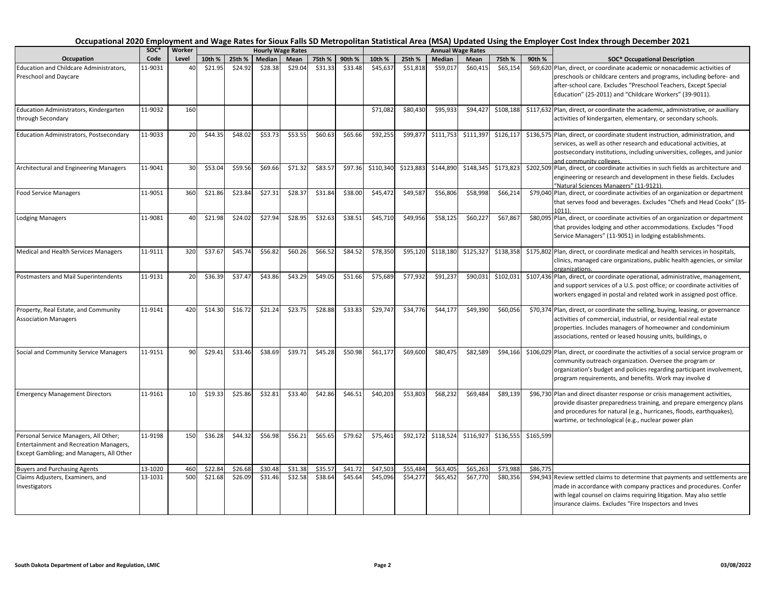|                                                                                                                                    | SOC*    | Worker |         |         |         | <b>Hourly Wage Rates</b> |         |         |           |           |           | <b>Annual Wage Rates</b> |           |           |                                                                                                                                                                                                                                                                                   |
|------------------------------------------------------------------------------------------------------------------------------------|---------|--------|---------|---------|---------|--------------------------|---------|---------|-----------|-----------|-----------|--------------------------|-----------|-----------|-----------------------------------------------------------------------------------------------------------------------------------------------------------------------------------------------------------------------------------------------------------------------------------|
| Occupation                                                                                                                         | Code    | Level  | 10th %  | 25th %  | Median  | Mean                     | 75th %  | 90th %  | 10th %    | 25th %    | Median    | Mean                     | 75th %    | 90th %    | <b>SOC* Occupational Description</b>                                                                                                                                                                                                                                              |
| Education and Childcare Administrators,<br>Preschool and Daycare                                                                   | 11-9031 | 40     | \$21.95 | \$24.92 | \$28.38 | \$29.04                  | \$31.33 | \$33.48 | \$45,637  | \$51,818  | \$59,017  | \$60,415                 | \$65,154  |           | \$69,620 Plan, direct, or coordinate academic or nonacademic activities of<br>preschools or childcare centers and programs, including before- and<br>after-school care. Excludes "Preschool Teachers, Except Special<br>Education" (25-2011) and "Childcare Workers" (39-9011).   |
|                                                                                                                                    |         |        |         |         |         |                          |         |         |           |           |           |                          |           |           |                                                                                                                                                                                                                                                                                   |
| Education Administrators, Kindergarten<br>through Secondary                                                                        | 11-9032 | 160    |         |         |         |                          |         |         | \$71,082  | \$80,430  | \$95,933  | \$94,427                 | \$108,188 |           | \$117,632 Plan, direct, or coordinate the academic, administrative, or auxiliary<br>activities of kindergarten, elementary, or secondary schools.                                                                                                                                 |
| Education Administrators, Postsecondary                                                                                            | 11-9033 | 20     | \$44.35 | \$48.02 | \$53.73 | \$53.55                  | \$60.63 | \$65.66 | \$92,255  | \$99,877  | \$111,753 | \$111,397                | \$126,117 |           | \$136,575 Plan, direct, or coordinate student instruction, administration, and<br>services, as well as other research and educational activities, at<br>postsecondary institutions, including universities, colleges, and junior<br>and community colleges.                       |
| Architectural and Engineering Managers                                                                                             | 11-9041 | 30     | \$53.04 | \$59.56 | \$69.66 | \$71.32                  | \$83.57 | \$97.36 | \$110,340 | \$123,883 | \$144,890 | \$148,345                | \$173,823 |           | \$202,509 Plan, direct, or coordinate activities in such fields as architecture and<br>engineering or research and development in these fields. Excludes<br>"Natural Sciences Managers" (11-9121).                                                                                |
| <b>Food Service Managers</b>                                                                                                       | 11-9051 | 360    | \$21.86 | \$23.84 | \$27.31 | \$28.37                  | \$31.84 | \$38.00 | \$45,472  | \$49,587  | \$56,806  | \$58,998                 | \$66,214  |           | \$79,040 Plan, direct, or coordinate activities of an organization or department<br>that serves food and beverages. Excludes "Chefs and Head Cooks" (35-<br>1011                                                                                                                  |
| <b>Lodging Managers</b>                                                                                                            | 11-9081 | 40     | \$21.98 | \$24.02 | \$27.94 | \$28.95                  | \$32.63 | \$38.51 | \$45,710  | \$49,956  | \$58,125  | \$60,227                 | \$67,867  |           | \$80,095 Plan, direct, or coordinate activities of an organization or department<br>that provides lodging and other accommodations. Excludes "Food<br>Service Managers" (11-9051) in lodging establishments.                                                                      |
| Medical and Health Services Managers                                                                                               | 11-9111 | 320    | \$37.67 | \$45.74 | \$56.82 | \$60.26                  | \$66.52 | \$84.52 | \$78,350  | \$95,120  | \$118,180 | \$125,327                | \$138,358 |           | \$175,802 Plan, direct, or coordinate medical and health services in hospitals,<br>clinics, managed care organizations, public health agencies, or similar<br>organizations.                                                                                                      |
| Postmasters and Mail Superintendents                                                                                               | 11-9131 | 20     | \$36.39 | \$37.47 | \$43.86 | \$43.29                  | \$49.05 | \$51.66 | \$75,689  | \$77,932  | \$91,237  | \$90,031                 | \$102,031 |           | \$107,436 Plan, direct, or coordinate operational, administrative, management,<br>and support services of a U.S. post office; or coordinate activities of<br>workers engaged in postal and related work in assigned post office.                                                  |
| Property, Real Estate, and Community<br><b>Association Managers</b>                                                                | 11-9141 | 420    | \$14.30 | \$16.72 | \$21.24 | \$23.75                  | \$28.88 | \$33.83 | \$29,747  | \$34,776  | \$44,177  | \$49,390                 | \$60,056  |           | \$70,374 Plan, direct, or coordinate the selling, buying, leasing, or governance<br>activities of commercial, industrial, or residential real estate<br>properties. Includes managers of homeowner and condominium<br>associations, rented or leased housing units, buildings, o  |
| Social and Community Service Managers                                                                                              | 11-9151 | 90     | \$29.41 | \$33.46 | \$38.69 | \$39.71                  | \$45.28 | \$50.98 | \$61.177  | \$69,600  | \$80.475  | \$82.589                 | \$94,166  |           | \$106,029 Plan, direct, or coordinate the activities of a social service program or<br>community outreach organization. Oversee the program or<br>organization's budget and policies regarding participant involvement,<br>program requirements, and benefits. Work may involve d |
| <b>Emergency Management Directors</b>                                                                                              | 11-9161 | 10     | \$19.33 | \$25.86 | \$32.81 | \$33.40                  | \$42.86 | \$46.51 | \$40,203  | \$53,803  | \$68,232  | \$69,484                 | \$89,139  |           | \$96,730 Plan and direct disaster response or crisis management activities,<br>provide disaster preparedness training, and prepare emergency plans<br>and procedures for natural (e.g., hurricanes, floods, earthquakes),<br>wartime, or technological (e.g., nuclear power plan  |
| Personal Service Managers, All Other;<br><b>Entertainment and Recreation Managers,</b><br>Except Gambling; and Managers, All Other | 11-9198 | 150    | \$36.28 | \$44.32 | \$56.98 | \$56.21                  | \$65.65 | \$79.62 | \$75,461  | \$92.172  | \$118,524 | \$116,927                | \$136,555 | \$165,599 |                                                                                                                                                                                                                                                                                   |
| <b>Buyers and Purchasing Agents</b>                                                                                                | 13-1020 | 460    | \$22.84 | \$26.68 | \$30.48 | \$31.38                  | \$35.57 | \$41.72 | \$47,503  | \$55,484  | \$63,405  | \$65,263                 | \$73,988  | \$86,775  |                                                                                                                                                                                                                                                                                   |
| Claims Adjusters, Examiners, and<br>Investigators                                                                                  | 13-1031 | 500    | \$21.68 | \$26.09 | \$31.46 | \$32.58                  | \$38.64 | \$45.64 | \$45,096  | \$54,277  | \$65,452  | \$67,770                 | \$80,356  |           | \$94,943 Review settled claims to determine that payments and settlements are<br>made in accordance with company practices and procedures. Confer<br>with legal counsel on claims requiring litigation. May also settle<br>insurance claims. Excludes "Fire Inspectors and Inves  |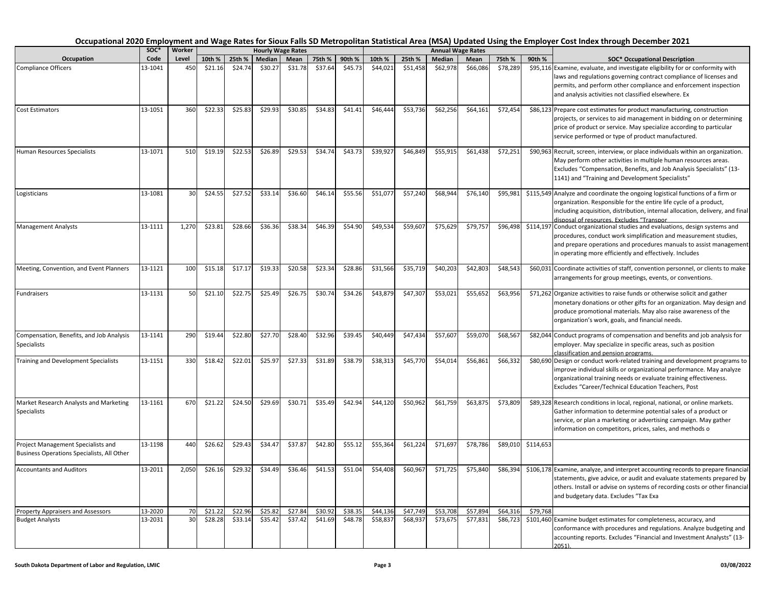|                                                                                  | soc*    | Worker |         |         |         | <b>Hourly Wage Rates</b> |         |         |          |          |          | <b>Annual Wage Rates</b> |          |           |                                                                                                                                                                                                                                                                                   |
|----------------------------------------------------------------------------------|---------|--------|---------|---------|---------|--------------------------|---------|---------|----------|----------|----------|--------------------------|----------|-----------|-----------------------------------------------------------------------------------------------------------------------------------------------------------------------------------------------------------------------------------------------------------------------------------|
| Occupation                                                                       | Code    | Level  | 10th %  | 25th %  | Median  | Mean                     | 75th %  | 90th %  | 10th %   | 25th %   | Median   | Mean                     | 75th %   | 90th %    | <b>SOC* Occupational Description</b>                                                                                                                                                                                                                                              |
| <b>Compliance Officers</b>                                                       | 13-1041 | 450    | \$21.16 | \$24.74 | \$30.27 | \$31.78                  | \$37.64 | \$45.73 | \$44,021 | \$51,458 | \$62,978 | \$66,086                 | \$78,289 |           | \$95,116 Examine, evaluate, and investigate eligibility for or conformity with<br>laws and regulations governing contract compliance of licenses and<br>permits, and perform other compliance and enforcement inspection<br>and analysis activities not classified elsewhere. Ex  |
| <b>Cost Estimators</b>                                                           | 13-1051 | 360    | \$22.33 | \$25.83 | \$29.93 | \$30.85                  | \$34.83 | \$41.41 | \$46,444 | \$53,736 | \$62,256 | \$64,161                 | \$72,454 |           | \$86,123 Prepare cost estimates for product manufacturing, construction<br>projects, or services to aid management in bidding on or determining<br>price of product or service. May specialize according to particular<br>service performed or type of product manufactured.      |
| Human Resources Specialists                                                      | 13-1071 | 510    | \$19.19 | \$22.53 | \$26.89 | \$29.53                  | \$34.74 | \$43.73 | \$39,927 | \$46,849 | \$55,915 | \$61,438                 | \$72,251 |           | \$90,963 Recruit, screen, interview, or place individuals within an organization.<br>May perform other activities in multiple human resources areas.<br>Excludes "Compensation, Benefits, and Job Analysis Specialists" (13-<br>1141) and "Training and Development Specialists"  |
| Logisticians                                                                     | 13-1081 | 30     | \$24.55 | \$27.52 | \$33.14 | \$36.60                  | \$46.14 | \$55.56 | \$51,077 | \$57,240 | \$68,944 | \$76,140                 | \$95,981 |           | \$115,549 Analyze and coordinate the ongoing logistical functions of a firm or<br>organization. Responsible for the entire life cycle of a product,<br>including acquisition, distribution, internal allocation, delivery, and final<br>disposal of resources. Excludes "Transpor |
| <b>Management Analysts</b>                                                       | 13-1111 | 1,270  | \$23.81 | \$28.66 | \$36.36 | \$38.34                  | \$46.39 | \$54.90 | \$49,534 | \$59,607 | \$75,629 | \$79,757                 | \$96,498 |           | \$114,197 Conduct organizational studies and evaluations, design systems and<br>procedures, conduct work simplification and measurement studies,<br>and prepare operations and procedures manuals to assist management<br>in operating more efficiently and effectively. Includes |
| Meeting, Convention, and Event Planners                                          | 13-1121 | 100    | \$15.18 | \$17.17 | \$19.33 | \$20.58                  | \$23.34 | \$28.86 | \$31,566 | \$35,719 | \$40,203 | \$42,803                 | \$48,543 |           | \$60,031 Coordinate activities of staff, convention personnel, or clients to make<br>arrangements for group meetings, events, or conventions.                                                                                                                                     |
| Fundraisers                                                                      | 13-1131 | 50     | \$21.10 | \$22.75 | \$25.49 | \$26.75                  | \$30.74 | \$34.26 | \$43,879 | \$47,307 | \$53,021 | \$55,652                 | \$63,956 |           | \$71,262 Organize activities to raise funds or otherwise solicit and gather<br>monetary donations or other gifts for an organization. May design and<br>produce promotional materials. May also raise awareness of the<br>organization's work, goals, and financial needs.        |
| Compensation, Benefits, and Job Analysis<br><b>Specialists</b>                   | 13-1141 | 290    | \$19.44 | \$22.80 | \$27.70 | \$28.40                  | \$32.96 | \$39.45 | \$40,449 | \$47,434 | \$57,607 | \$59,070                 | \$68,567 |           | \$82,044 Conduct programs of compensation and benefits and job analysis for<br>employer. May specialize in specific areas, such as position<br>classification and pension programs.                                                                                               |
| Training and Development Specialists                                             | 13-1151 | 330    | \$18.42 | \$22.01 | \$25.97 | \$27.33                  | \$31.89 | \$38.79 | \$38,313 | \$45,770 | \$54,014 | \$56,861                 | \$66,332 |           | \$80,690 Design or conduct work-related training and development programs to<br>improve individual skills or organizational performance. May analyze<br>organizational training needs or evaluate training effectiveness.<br>Excludes "Career/Technical Education Teachers, Post  |
| Market Research Analysts and Marketing<br>Specialists                            | 13-1161 | 670    | \$21.22 | \$24.50 | \$29.69 | \$30.71                  | \$35.49 | \$42.94 | \$44,120 | \$50,962 | \$61,759 | \$63,875                 | \$73,809 |           | \$89,328 Research conditions in local, regional, national, or online markets.<br>Gather information to determine potential sales of a product or<br>service, or plan a marketing or advertising campaign. May gather<br>information on competitors, prices, sales, and methods o  |
| Project Management Specialists and<br>Business Operations Specialists, All Other | 13-1198 | 440    | \$26.62 | \$29.43 | \$34.47 | \$37.87                  | \$42.80 | \$55.12 | \$55,364 | \$61,224 | \$71,697 | \$78,786                 | \$89,010 | \$114,653 |                                                                                                                                                                                                                                                                                   |
| <b>Accountants and Auditors</b>                                                  | 13-2011 | 2,050  | \$26.16 | \$29.32 | \$34.49 | \$36.46                  | \$41.53 | \$51.04 | \$54,408 | \$60,967 | \$71,725 | \$75,840                 | \$86,394 |           | \$106,178 Examine, analyze, and interpret accounting records to prepare financial<br>statements, give advice, or audit and evaluate statements prepared by<br>others. Install or advise on systems of recording costs or other financial<br>and budgetary data. Excludes "Tax Exa |
| <b>Property Appraisers and Assessors</b>                                         | 13-2020 | 70     | \$21.22 | \$22.96 | \$25.82 | \$27.84                  | \$30.92 | \$38.35 | \$44,136 | \$47,749 | \$53,708 | \$57,894                 | \$64,316 | \$79,768  |                                                                                                                                                                                                                                                                                   |
| <b>Budget Analysts</b>                                                           | 13-2031 | 30     | \$28.28 | \$33.14 | \$35.42 | \$37.42                  | \$41.69 | \$48.78 | \$58,837 | \$68,937 | \$73,675 | \$77,831                 | \$86,723 |           | \$101,460 Examine budget estimates for completeness, accuracy, and<br>conformance with procedures and regulations. Analyze budgeting and<br>accounting reports. Excludes "Financial and Investment Analysts" (13-<br>2051).                                                       |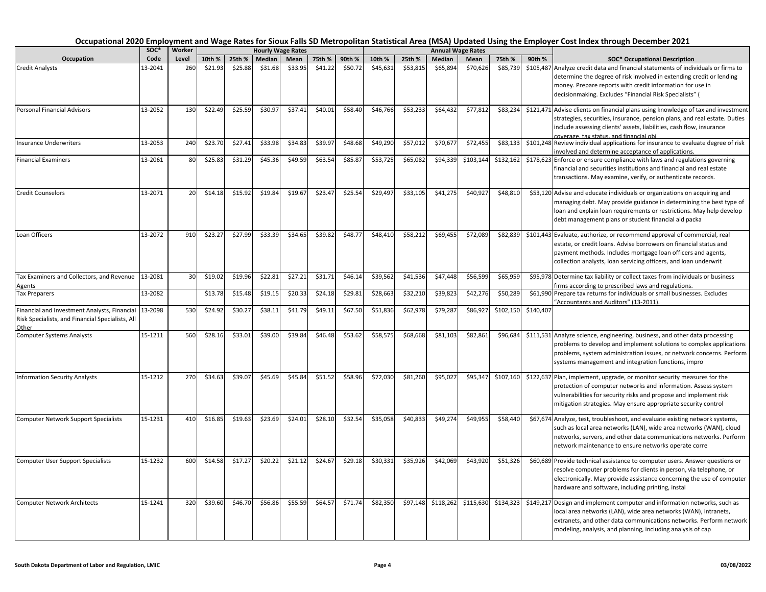|                                                                                                           | SOC*    | Worker          |         |         |         | <b>Hourly Wage Rates</b> |         |         |          |          |           | <b>Annual Wage Rates</b> |           |           |                                                                                                                                                                                                                                                                                   |
|-----------------------------------------------------------------------------------------------------------|---------|-----------------|---------|---------|---------|--------------------------|---------|---------|----------|----------|-----------|--------------------------|-----------|-----------|-----------------------------------------------------------------------------------------------------------------------------------------------------------------------------------------------------------------------------------------------------------------------------------|
| Occupation                                                                                                | Code    | Level           | 10th %  | 25th %  | Median  | Mean                     | 75th %  | 90th %  | 10th %   | 25th %   | Median    | Mean                     | 75th %    | 90th %    | <b>SOC* Occupational Description</b>                                                                                                                                                                                                                                              |
| <b>Credit Analysts</b>                                                                                    | 13-2041 | 260             | \$21.93 | \$25.88 | \$31.68 | \$33.95                  | \$41.22 | \$50.72 | \$45,631 | \$53,815 | \$65,894  | \$70,626                 | \$85,739  |           | \$105,487 Analyze credit data and financial statements of individuals or firms to<br>determine the degree of risk involved in extending credit or lending<br>money. Prepare reports with credit information for use in<br>decisionmaking. Excludes "Financial Risk Specialists" ( |
| <b>Personal Financial Advisors</b>                                                                        | 13-2052 | 130             | \$22.49 | \$25.59 | \$30.97 | \$37.41                  | \$40.01 | \$58.40 | \$46,766 | \$53,233 | \$64,432  | \$77,812                 | \$83,234  |           | \$121,471 Advise clients on financial plans using knowledge of tax and investment<br>strategies, securities, insurance, pension plans, and real estate. Duties<br>include assessing clients' assets, liabilities, cash flow, insurance<br>coverage, tax status, and financial obi |
| <b>Insurance Underwriters</b>                                                                             | 13-2053 | 240             | \$23.70 | \$27.41 | \$33.98 | \$34.83                  | \$39.97 | \$48.68 | \$49,290 | \$57,012 | \$70,67   | \$72,455                 | \$83,133  |           | \$101,248 Review individual applications for insurance to evaluate degree of risk<br>nvolved and determine acceptance of applications.                                                                                                                                            |
| <b>Financial Examiners</b>                                                                                | 13-2061 | 80              | \$25.83 | \$31.29 | \$45.36 | \$49.59                  | \$63.54 | \$85.87 | \$53,725 | \$65,082 | \$94,339  | \$103,144                | \$132,162 |           | \$178,623 Enforce or ensure compliance with laws and regulations governing<br>financial and securities institutions and financial and real estate<br>transactions. May examine, verify, or authenticate records.                                                                  |
| Credit Counselors                                                                                         | 13-2071 | 20              | \$14.18 | \$15.92 | \$19.84 | \$19.67                  | \$23.47 | \$25.54 | \$29,497 | \$33,105 | \$41,275  | \$40,927                 | \$48,810  |           | \$53,120 Advise and educate individuals or organizations on acquiring and<br>managing debt. May provide guidance in determining the best type of<br>loan and explain loan requirements or restrictions. May help develop<br>debt management plans or student financial aid packa  |
| Loan Officers                                                                                             | 13-2072 | 910             | \$23.27 | \$27.99 | \$33.39 | \$34.65                  | \$39.82 | \$48.77 | \$48,410 | \$58,212 | \$69,455  | \$72,089                 | \$82,839  |           | \$101,443 Evaluate, authorize, or recommend approval of commercial, real<br>estate, or credit loans. Advise borrowers on financial status and<br>payment methods. Includes mortgage loan officers and agents,<br>collection analysts, loan servicing officers, and loan underwrit |
| Tax Examiners and Collectors, and Revenue<br><b>Agents</b>                                                | 13-2081 | 30 <sup>1</sup> | \$19.02 | \$19.96 | \$22.81 | \$27.21                  | \$31.71 | \$46.14 | \$39,562 | \$41,536 | \$47,448  | \$56,599                 | \$65,959  |           | \$95,978 Determine tax liability or collect taxes from individuals or business<br>irms according to prescribed laws and regulations.                                                                                                                                              |
| <b>Tax Preparers</b>                                                                                      | 13-2082 |                 | \$13.78 | \$15.48 | \$19.15 | \$20.33                  | \$24.18 | \$29.81 | \$28,663 | \$32,210 | \$39,823  | \$42,276                 | \$50,289  |           | \$61,990 Prepare tax returns for individuals or small businesses. Excludes<br>'Accountants and Auditors" (13-2011).                                                                                                                                                               |
| Financial and Investment Analysts, Financial<br>Risk Specialists, and Financial Specialists, All<br>Other | 13-2098 | 530             | \$24.92 | \$30.2  | \$38.11 | \$41.79                  | \$49.11 | \$67.50 | \$51,836 | \$62,978 | \$79,28   | \$86,927                 | \$102,150 | \$140,407 |                                                                                                                                                                                                                                                                                   |
| <b>Computer Systems Analysts</b>                                                                          | 15-1211 | 560             | \$28.16 | \$33.01 | \$39.00 | \$39.84                  | \$46.48 | \$53.62 | \$58,575 | \$68,668 | \$81,103  | \$82,861                 | \$96,684  |           | \$111,531 Analyze science, engineering, business, and other data processing<br>problems to develop and implement solutions to complex applications<br>problems, system administration issues, or network concerns. Perform<br>systems management and integration functions, impro |
| <b>Information Security Analysts</b>                                                                      | 15-1212 | 270             | \$34.63 | \$39.07 | \$45.69 | \$45.84                  | \$51.52 | \$58.96 | \$72,030 | \$81,260 | \$95,02   | \$95,347                 | \$107,160 |           | \$122,637 Plan, implement, upgrade, or monitor security measures for the<br>protection of computer networks and information. Assess system<br>vulnerabilities for security risks and propose and implement risk<br>mitigation strategies. May ensure appropriate security control |
| <b>Computer Network Support Specialists</b>                                                               | 15-1231 | 410             | \$16.85 | \$19.63 | \$23.69 | \$24.01                  | \$28.10 | \$32.54 | \$35,058 | \$40,833 | \$49,274  | \$49,955                 | \$58,440  |           | \$67,674 Analyze, test, troubleshoot, and evaluate existing network systems,<br>such as local area networks (LAN), wide area networks (WAN), cloud<br>networks, servers, and other data communications networks. Perform<br>network maintenance to ensure networks operate corre  |
| <b>Computer User Support Specialists</b>                                                                  | 15-1232 | 600             | \$14.58 | \$17.27 | \$20.22 | \$21.12                  | \$24.67 | \$29.18 | \$30,331 | \$35,926 | \$42,069  | \$43,920                 | \$51,326  |           | \$60,689 Provide technical assistance to computer users. Answer questions or<br>resolve computer problems for clients in person, via telephone, or<br>electronically. May provide assistance concerning the use of computer<br>hardware and software, including printing, instal  |
| <b>Computer Network Architects</b>                                                                        | 15-1241 | 320             | \$39.60 | \$46.70 | \$56.86 | \$55.59                  | \$64.57 | \$71.74 | \$82,350 | \$97,148 | \$118,262 | \$115,630                | \$134,323 |           | \$149,217 Design and implement computer and information networks, such as<br>local area networks (LAN), wide area networks (WAN), intranets,<br>extranets, and other data communications networks. Perform network<br>modeling, analysis, and planning, including analysis of cap |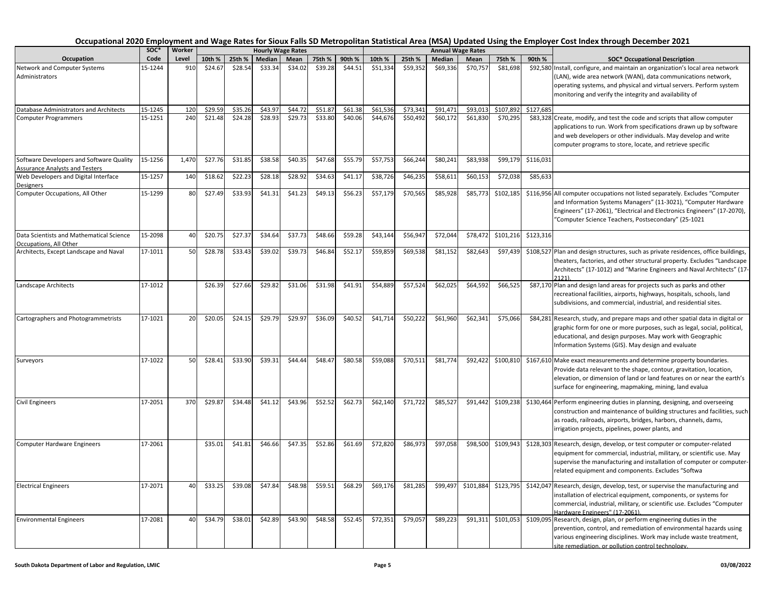|                                                                                   | soc*    | Worker |         |         |         | <b>Hourly Wage Rates</b> |         |         |          |          |          | <b>Annual Wage Rates</b> |           |           |                                                                                                                                                                                                                                                                                    |
|-----------------------------------------------------------------------------------|---------|--------|---------|---------|---------|--------------------------|---------|---------|----------|----------|----------|--------------------------|-----------|-----------|------------------------------------------------------------------------------------------------------------------------------------------------------------------------------------------------------------------------------------------------------------------------------------|
| Occupation                                                                        | Code    | Level  | 10th %  | 25th %  | Median  | Mean                     | 75th %  | 90th %  | 10th %   | 25th %   | Median   | Mean                     | 75th %    | 90th %    | <b>SOC* Occupational Description</b>                                                                                                                                                                                                                                               |
| Network and Computer Systems<br>Administrators                                    | 15-1244 | 910    | \$24.67 | \$28.54 | \$33.34 | \$34.02                  | \$39.28 | \$44.51 | \$51,334 | \$59,352 | \$69,336 | \$70,757                 | \$81,698  |           | \$92,580 Install, configure, and maintain an organization's local area network<br>LAN), wide area network (WAN), data communications network,<br>operating systems, and physical and virtual servers. Perform system<br>monitoring and verify the integrity and availability of    |
| Database Administrators and Architects                                            | 15-1245 | 120    | \$29.59 | \$35.26 | \$43.97 | \$44.72                  | \$51.87 | \$61.38 | \$61,536 | \$73,341 | \$91,471 | \$93,013                 | \$107,892 | \$127,685 |                                                                                                                                                                                                                                                                                    |
| <b>Computer Programmers</b>                                                       | 15-1251 | 240    | \$21.48 | \$24.28 | \$28.93 | \$29.73                  | \$33.80 | \$40.06 | \$44,676 | \$50,492 | \$60,172 | \$61,830                 | \$70,295  |           | \$83,328 Create, modify, and test the code and scripts that allow computer<br>applications to run. Work from specifications drawn up by software<br>and web developers or other individuals. May develop and write<br>computer programs to store, locate, and retrieve specific    |
| Software Developers and Software Quality<br><b>Assurance Analysts and Testers</b> | 15-1256 | 1,470  | \$27.76 | \$31.85 | \$38.58 | \$40.35                  | \$47.68 | \$55.79 | \$57,753 | \$66,244 | \$80,241 | \$83,938                 | \$99,179  | \$116,031 |                                                                                                                                                                                                                                                                                    |
| Web Developers and Digital Interface<br>Designers                                 | 15-1257 | 140    | \$18.62 | \$22.23 | \$28.18 | \$28.92                  | \$34.63 | \$41.17 | \$38,726 | \$46,235 | \$58,61  | \$60,153                 | \$72,038  | \$85,633  |                                                                                                                                                                                                                                                                                    |
| Computer Occupations, All Other                                                   | 15-1299 | 80     | \$27.49 | \$33.93 | \$41.31 | \$41.23                  | \$49.13 | \$56.23 | \$57,179 | \$70,565 | \$85,928 | \$85,773                 | \$102,185 |           | \$116,956 All computer occupations not listed separately. Excludes "Computer<br>and Information Systems Managers" (11-3021), "Computer Hardware<br>Engineers" (17-2061), "Electrical and Electronics Engineers" (17-2070),<br>"Computer Science Teachers, Postsecondary" (25-1021  |
| Data Scientists and Mathematical Science<br>Occupations, All Other                | 15-2098 | 40     | \$20.75 | \$27.37 | \$34.64 | \$37.73                  | \$48.66 | \$59.28 | \$43,144 | \$56,947 | \$72,044 | \$78,472                 | \$101,216 | \$123,316 |                                                                                                                                                                                                                                                                                    |
| Architects, Except Landscape and Naval                                            | 17-1011 | 50     | \$28.78 | \$33.43 | \$39.02 | \$39.73                  | \$46.84 | \$52.17 | \$59,859 | \$69,538 | \$81,152 | \$82,643                 | \$97,439  |           | \$108,527 Plan and design structures, such as private residences, office buildings,<br>theaters, factories, and other structural property. Excludes "Landscape<br>Architects" (17-1012) and "Marine Engineers and Naval Architects" (17-<br>2121)                                  |
| Landscape Architects                                                              | 17-1012 |        | \$26.39 | \$27.66 | \$29.82 | \$31.06                  | \$31.98 | \$41.91 | \$54,889 | \$57,524 | \$62,025 | \$64,592                 | \$66,525  |           | \$87,170 Plan and design land areas for projects such as parks and other<br>recreational facilities, airports, highways, hospitals, schools, land<br>subdivisions, and commercial, industrial, and residential sites.                                                              |
| Cartographers and Photogrammetrists                                               | 17-1021 | 20     | \$20.05 | \$24.15 | \$29.79 | \$29.97                  | \$36.09 | \$40.52 | \$41,714 | \$50,222 | \$61,960 | \$62,341                 | \$75,066  |           | \$84,281 Research, study, and prepare maps and other spatial data in digital or<br>graphic form for one or more purposes, such as legal, social, political,<br>educational, and design purposes. May work with Geographic<br>Information Systems (GIS). May design and evaluate    |
| Surveyors                                                                         | 17-1022 | 50     | \$28.41 | \$33.90 | \$39.31 | \$44.44                  | \$48.47 | \$80.58 | \$59,088 | \$70,511 | \$81,774 | \$92,422                 | \$100,810 |           | \$167,610 Make exact measurements and determine property boundaries.<br>Provide data relevant to the shape, contour, gravitation, location,<br>elevation, or dimension of land or land features on or near the earth's<br>surface for engineering, mapmaking, mining, land evalua  |
| <b>Civil Engineers</b>                                                            | 17-2051 | 370    | \$29.87 | \$34.48 | \$41.12 | \$43.96                  | \$52.52 | \$62.73 | \$62,140 | \$71,722 | \$85,527 | \$91,442                 | \$109,238 |           | \$130,464 Perform engineering duties in planning, designing, and overseeing<br>construction and maintenance of building structures and facilities, such<br>as roads, railroads, airports, bridges, harbors, channels, dams,<br>irrigation projects, pipelines, power plants, and   |
| Computer Hardware Engineers                                                       | 17-2061 |        | \$35.01 | \$41.81 | \$46.66 | \$47.35                  | \$52.86 | \$61.69 | \$72,820 | \$86,973 | \$97,058 | \$98,500                 | \$109,943 |           | \$128,303 Research, design, develop, or test computer or computer-related<br>equipment for commercial, industrial, military, or scientific use. May<br>supervise the manufacturing and installation of computer or computer-<br>related equipment and components. Excludes "Softwa |
| <b>Electrical Engineers</b>                                                       | 17-2071 | 40     | \$33.25 | \$39.08 | \$47.84 | \$48.98                  | \$59.51 | \$68.29 | \$69,176 | \$81,285 | \$99,497 | \$101,884                | \$123,795 | \$142,047 | Research, design, develop, test, or supervise the manufacturing and<br>installation of electrical equipment, components, or systems for<br>commercial, industrial, military, or scientific use. Excludes "Computer<br>Hardware Engineers" (17-2061).                               |
| <b>Environmental Engineers</b>                                                    | 17-2081 | 40     | \$34.79 | \$38.01 | \$42.89 | \$43.90                  | \$48.58 | \$52.45 | \$72,351 | \$79,057 | \$89,223 | \$91,311                 | \$101,053 |           | \$109,095 Research, design, plan, or perform engineering duties in the<br>prevention, control, and remediation of environmental hazards using<br>various engineering disciplines. Work may include waste treatment,<br>site remediation, or pollution control technology.          |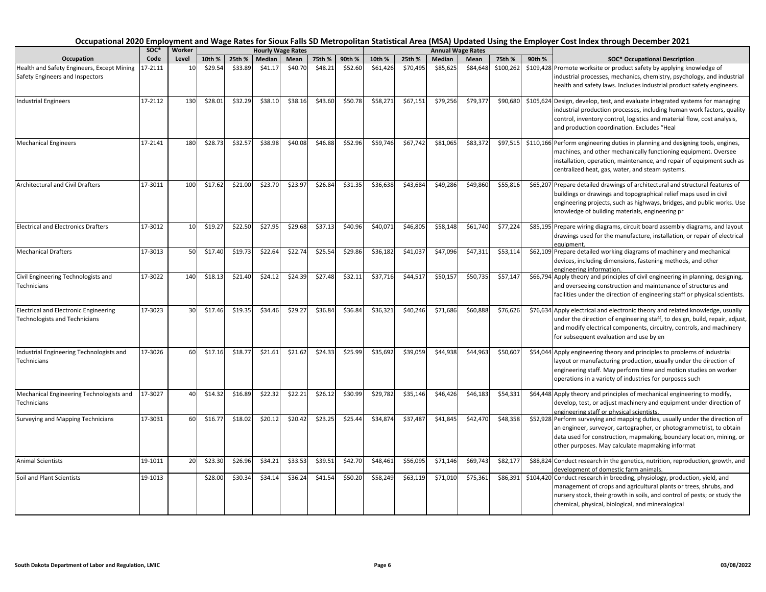|                                                                               | soc*    | Worker |         |         |         | <b>Hourly Wage Rates</b> |         |         |          |          |          | <b>Annual Wage Rates</b> |           |        |                                                                                                                                                                                                                                                                                   |
|-------------------------------------------------------------------------------|---------|--------|---------|---------|---------|--------------------------|---------|---------|----------|----------|----------|--------------------------|-----------|--------|-----------------------------------------------------------------------------------------------------------------------------------------------------------------------------------------------------------------------------------------------------------------------------------|
| Occupation                                                                    | Code    | Level  | 10th %  | 25th %  | Median  | Mean                     | 75th %  | 90th %  | 10th %   | 25th %   | Median   | Mean                     | 75th %    | 90th % | <b>SOC* Occupational Description</b>                                                                                                                                                                                                                                              |
| Health and Safety Engineers, Except Mining<br>Safety Engineers and Inspectors | 17-2111 | 10     | \$29.54 | \$33.89 | \$41.17 | \$40.70                  | \$48.21 | \$52.60 | \$61,426 | \$70,495 | \$85,625 | \$84,648                 | \$100,262 |        | \$109,428 Promote worksite or product safety by applying knowledge of<br>industrial processes, mechanics, chemistry, psychology, and industrial<br>health and safety laws. Includes industrial product safety engineers.                                                          |
| <b>Industrial Engineers</b>                                                   | 17-2112 | 130    | \$28.01 | \$32.29 | \$38.10 | \$38.16                  | \$43.60 | \$50.78 | \$58,271 | \$67,151 | \$79,256 | \$79,377                 | \$90,680  |        | \$105,624 Design, develop, test, and evaluate integrated systems for managing<br>industrial production processes, including human work factors, quality<br>control, inventory control, logistics and material flow, cost analysis,<br>and production coordination. Excludes "Heal |
| <b>Mechanical Engineers</b>                                                   | 17-2141 | 180    | \$28.73 | \$32.57 | \$38.98 | \$40.08                  | \$46.88 | \$52.96 | \$59,746 | \$67,742 | \$81,065 | \$83,372                 | \$97,515  |        | \$110,166 Perform engineering duties in planning and designing tools, engines,<br>machines, and other mechanically functioning equipment. Oversee<br>installation, operation, maintenance, and repair of equipment such as<br>centralized heat, gas, water, and steam systems.    |
| Architectural and Civil Drafters                                              | 17-3011 | 100    | \$17.62 | \$21.00 | \$23.70 | \$23.97                  | \$26.84 | \$31.35 | \$36,638 | \$43,684 | \$49,286 | \$49,860                 | \$55,816  |        | \$65,207 Prepare detailed drawings of architectural and structural features of<br>buildings or drawings and topographical relief maps used in civil<br>engineering projects, such as highways, bridges, and public works. Use<br>knowledge of building materials, engineering pr  |
| <b>Electrical and Electronics Drafters</b>                                    | 17-3012 | 10     | \$19.27 | \$22.50 | \$27.95 | \$29.68                  | \$37.13 | \$40.96 | \$40,071 | \$46,805 | \$58,148 | \$61,740                 | \$77,224  |        | \$85,195 Prepare wiring diagrams, circuit board assembly diagrams, and layout<br>drawings used for the manufacture, installation, or repair of electrical<br>equipment.                                                                                                           |
| <b>Mechanical Drafters</b>                                                    | 17-3013 | 50     | \$17.40 | \$19.73 | \$22.64 | \$22.74                  | \$25.54 | \$29.86 | \$36,182 | \$41,037 | \$47,096 | \$47,311                 | \$53,114  |        | \$62,109 Prepare detailed working diagrams of machinery and mechanical<br>devices, including dimensions, fastening methods, and other<br>engineering information.                                                                                                                 |
| Civil Engineering Technologists and<br>Technicians                            | 17-3022 | 140    | \$18.13 | \$21.40 | \$24.12 | \$24.39                  | \$27.48 | \$32.11 | \$37,716 | \$44,517 | \$50,157 | \$50,735                 | \$57,147  |        | \$66,794 Apply theory and principles of civil engineering in planning, designing,<br>and overseeing construction and maintenance of structures and<br>facilities under the direction of engineering staff or physical scientists.                                                 |
| Electrical and Electronic Engineering<br><b>Technologists and Technicians</b> | 17-3023 | 30     | \$17.46 | \$19.35 | \$34.46 | \$29.27                  | \$36.84 | \$36.84 | \$36,321 | \$40,246 | \$71,686 | \$60,888                 | \$76,626  |        | \$76,634 Apply electrical and electronic theory and related knowledge, usually<br>under the direction of engineering staff, to design, build, repair, adjust,<br>and modify electrical components, circuitry, controls, and machinery<br>for subsequent evaluation and use by en  |
| Industrial Engineering Technologists and<br>Technicians                       | 17-3026 | 60     | \$17.16 | \$18.77 | \$21.61 | \$21.62                  | \$24.33 | \$25.99 | \$35,692 | \$39,059 | \$44,938 | \$44,963                 | \$50,607  |        | \$54,044 Apply engineering theory and principles to problems of industrial<br>layout or manufacturing production, usually under the direction of<br>engineering staff. May perform time and motion studies on worker<br>operations in a variety of industries for purposes such   |
| Mechanical Engineering Technologists and<br>Technicians                       | 17-3027 | 40     | \$14.32 | \$16.89 | \$22.32 | \$22.21                  | \$26.12 | \$30.99 | \$29,782 | \$35,146 | \$46,426 | \$46,183                 | \$54,331  |        | \$64,448 Apply theory and principles of mechanical engineering to modify,<br>develop, test, or adjust machinery and equipment under direction of<br>engineering staff or physical scientists.                                                                                     |
| Surveying and Mapping Technicians                                             | 17-3031 | 60     | \$16.77 | \$18.02 | \$20.12 | \$20.42                  | \$23.25 | \$25.44 | \$34,874 | \$37,487 | \$41,845 | \$42,470                 | \$48,358  |        | \$52,928 Perform surveying and mapping duties, usually under the direction of<br>an engineer, surveyor, cartographer, or photogrammetrist, to obtain<br>data used for construction, mapmaking, boundary location, mining, or<br>other purposes. May calculate mapmaking informat  |
| <b>Animal Scientists</b>                                                      | 19-1011 | 20     | \$23.30 | \$26.96 | \$34.21 | \$33.53                  | \$39.51 | \$42.70 | \$48,461 | \$56,095 | \$71,146 | \$69,743                 | \$82,177  |        | \$88,824 Conduct research in the genetics, nutrition, reproduction, growth, and<br>development of domestic farm animals.                                                                                                                                                          |
| Soil and Plant Scientists                                                     | 19-1013 |        | \$28.00 | \$30.34 | \$34.14 | \$36.24                  | \$41.54 | \$50.20 | \$58,249 | \$63,119 | \$71,010 | \$75,361                 | \$86,391  |        | \$104,420 Conduct research in breeding, physiology, production, yield, and<br>management of crops and agricultural plants or trees, shrubs, and<br>nursery stock, their growth in soils, and control of pests; or study the<br>chemical, physical, biological, and mineralogical  |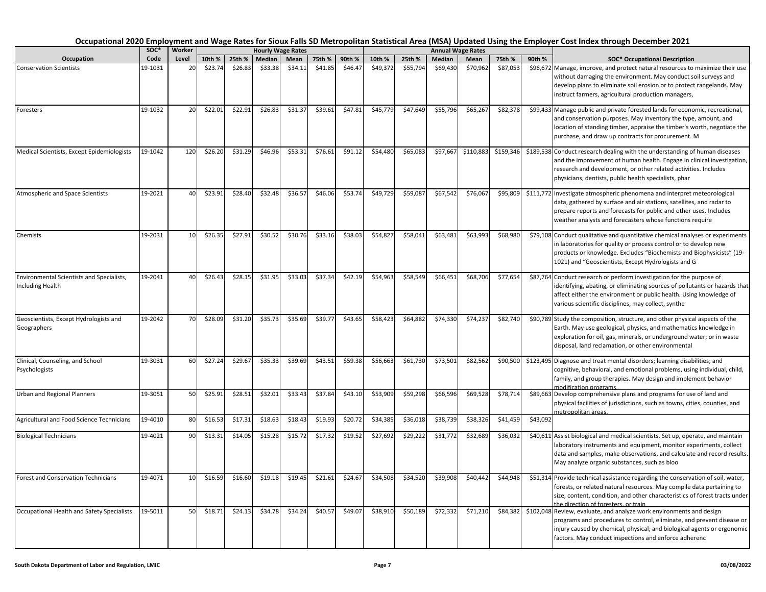| Occupation                                                    | SOC*    | Worker          |         |         |         | <b>Hourly Wage Rates</b> |         |         |          |          |          | <b>Annual Wage Rates</b> |           |          |                                                                                                                                                                                                                                                                                   |
|---------------------------------------------------------------|---------|-----------------|---------|---------|---------|--------------------------|---------|---------|----------|----------|----------|--------------------------|-----------|----------|-----------------------------------------------------------------------------------------------------------------------------------------------------------------------------------------------------------------------------------------------------------------------------------|
|                                                               | Code    | Level           | 10th %  | 25th %  | Median  | Mean                     | 75th %  | 90th %  | 10th %   | 25th %   | Median   | Mean                     | 75th %    | 90th %   | <b>SOC* Occupational Description</b>                                                                                                                                                                                                                                              |
| <b>Conservation Scientists</b>                                | 19-1031 | 20              | \$23.74 | \$26.83 | \$33.38 | \$34.11                  | \$41.85 | \$46.47 | \$49,372 | \$55,794 | \$69,430 | \$70,962                 | \$87,053  |          | \$96,672 Manage, improve, and protect natural resources to maximize their use<br>without damaging the environment. May conduct soil surveys and<br>develop plans to eliminate soil erosion or to protect rangelands. May<br>instruct farmers, agricultural production managers,   |
| Foresters                                                     | 19-1032 | 20              | \$22.01 | \$22.91 | \$26.83 | \$31.37                  | \$39.61 | \$47.81 | \$45,779 | \$47,649 | \$55,796 | \$65,267                 | \$82,378  |          | \$99,433 Manage public and private forested lands for economic, recreational,<br>and conservation purposes. May inventory the type, amount, and<br>location of standing timber, appraise the timber's worth, negotiate the<br>purchase, and draw up contracts for procurement. M  |
| Medical Scientists, Except Epidemiologists                    | 19-1042 | 120             | \$26.20 | \$31.29 | \$46.96 | \$53.31                  | \$76.61 | \$91.12 | \$54,480 | \$65,083 | \$97,667 | \$110,883                | \$159,346 |          | \$189,538 Conduct research dealing with the understanding of human diseases<br>and the improvement of human health. Engage in clinical investigation,<br>research and development, or other related activities. Includes<br>physicians, dentists, public health specialists, phar |
| Atmospheric and Space Scientists                              | 19-2021 | 40              | \$23.91 | \$28.40 | \$32.48 | \$36.57                  | \$46.06 | \$53.74 | \$49,729 | \$59,087 | \$67,542 | \$76,067                 | \$95,809  |          | \$111,772 Investigate atmospheric phenomena and interpret meteorological<br>data, gathered by surface and air stations, satellites, and radar to<br>prepare reports and forecasts for public and other uses. Includes<br>weather analysts and forecasters whose functions require |
| Chemists                                                      | 19-2031 | 10              | \$26.35 | \$27.91 | \$30.52 | \$30.76                  | \$33.16 | \$38.03 | \$54,827 | \$58,041 | \$63,481 | \$63,993                 | \$68,980  |          | \$79,108 Conduct qualitative and quantitative chemical analyses or experiments<br>in laboratories for quality or process control or to develop new<br>products or knowledge. Excludes "Biochemists and Biophysicists" (19-<br>1021) and "Geoscientists, Except Hydrologists and G |
| Environmental Scientists and Specialists,<br>Including Health | 19-2041 | 40              | \$26.43 | \$28.15 | \$31.95 | \$33.03                  | \$37.34 | \$42.19 | \$54,963 | \$58,549 | \$66,451 | \$68,706                 | \$77,654  |          | \$87,764 Conduct research or perform investigation for the purpose of<br>identifying, abating, or eliminating sources of pollutants or hazards that<br>affect either the environment or public health. Using knowledge of<br>various scientific disciplines, may collect, synthe  |
| Geoscientists, Except Hydrologists and<br>Geographers         | 19-2042 | 70              | \$28.09 | \$31.20 | \$35.73 | \$35.69                  | \$39.77 | \$43.65 | \$58,423 | \$64,882 | \$74,330 | \$74,237                 | \$82,740  |          | \$90,789 Study the composition, structure, and other physical aspects of the<br>Earth. May use geological, physics, and mathematics knowledge in<br>exploration for oil, gas, minerals, or underground water; or in waste<br>disposal, land reclamation, or other environmental   |
| Clinical, Counseling, and School<br>Psychologists             | 19-3031 | 60              | \$27.24 | \$29.67 | \$35.33 | \$39.69                  | \$43.51 | \$59.38 | \$56,663 | \$61,730 | \$73,501 | \$82,562                 | \$90,500  |          | \$123,495 Diagnose and treat mental disorders; learning disabilities; and<br>cognitive, behavioral, and emotional problems, using individual, child,<br>family, and group therapies. May design and implement behavior<br>modification programs.                                  |
| Urban and Regional Planners                                   | 19-3051 | 50              | \$25.91 | \$28.51 | \$32.01 | \$33.43                  | \$37.84 | \$43.10 | \$53,909 | \$59,298 | \$66,596 | \$69,528                 | \$78,714  |          | \$89,663 Develop comprehensive plans and programs for use of land and<br>physical facilities of jurisdictions, such as towns, cities, counties, and<br>metropolitan areas.                                                                                                        |
| Agricultural and Food Science Technicians                     | 19-4010 | 80              | \$16.53 | \$17.31 | \$18.63 | \$18.43                  | \$19.93 | \$20.72 | \$34,385 | \$36,018 | \$38,739 | \$38,326                 | \$41,459  | \$43,092 |                                                                                                                                                                                                                                                                                   |
| <b>Biological Technicians</b>                                 | 19-4021 | 90              | \$13.31 | \$14.05 | \$15.28 | \$15.72                  | \$17.32 | \$19.52 | \$27,692 | \$29,222 | \$31,772 | \$32,689                 | \$36,032  |          | \$40,611 Assist biological and medical scientists. Set up, operate, and maintain<br>laboratory instruments and equipment, monitor experiments, collect<br>data and samples, make observations, and calculate and record results.<br>May analyze organic substances, such as bloo  |
| <b>Forest and Conservation Technicians</b>                    | 19-4071 | 10 <sup>1</sup> | \$16.59 | \$16.60 | \$19.18 | \$19.45                  | \$21.61 | \$24.67 | \$34,508 | \$34,520 | \$39,908 | \$40,442                 | \$44,948  |          | \$51,314 Provide technical assistance regarding the conservation of soil, water,<br>forests, or related natural resources. May compile data pertaining to<br>size, content, condition, and other characteristics of forest tracts under<br>the direction of foresters, or train   |
| Occupational Health and Safety Specialists                    | 19-5011 | 50              | \$18.71 | \$24.13 | \$34.78 | \$34.24                  | \$40.57 | \$49.07 | \$38,910 | \$50,189 | \$72,332 | \$71,210                 | \$84,382  |          | \$102,048 Review, evaluate, and analyze work environments and design<br>programs and procedures to control, eliminate, and prevent disease or<br>injury caused by chemical, physical, and biological agents or ergonomic<br>factors. May conduct inspections and enforce adherenc |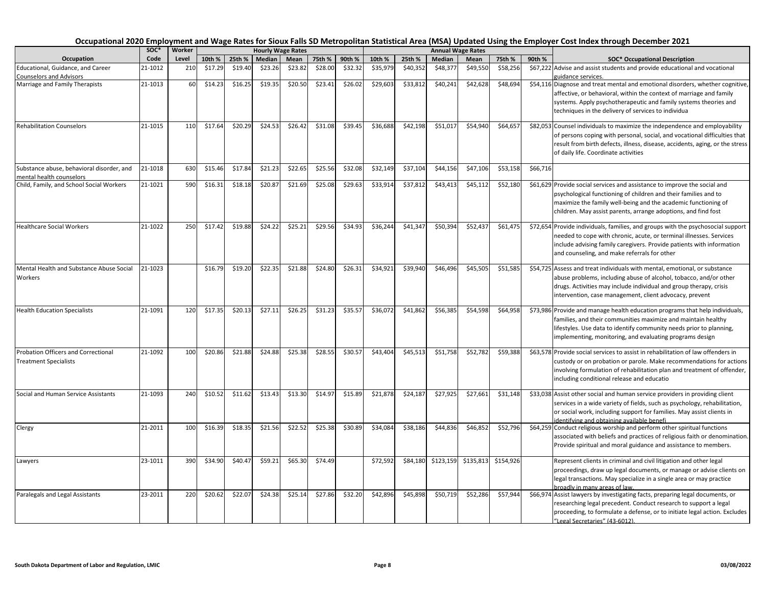|                                                                            | SOC*    | Worker |         |         |         | <b>Hourly Wage Rates</b> |         |         |          |          |               | <b>Annual Wage Rates</b> |           |          |                                                                                                                                                                                                                                                                                  |
|----------------------------------------------------------------------------|---------|--------|---------|---------|---------|--------------------------|---------|---------|----------|----------|---------------|--------------------------|-----------|----------|----------------------------------------------------------------------------------------------------------------------------------------------------------------------------------------------------------------------------------------------------------------------------------|
| Occupation                                                                 | Code    | Level  | 10th %  | 25th %  | Median  | Mean                     | 75th %  | 90th %  | 10th %   | 25th %   | <b>Median</b> | Mean                     | 75th %    | 90th %   | <b>SOC* Occupational Description</b>                                                                                                                                                                                                                                             |
| Educational, Guidance, and Career                                          | 21-1012 | 210    | \$17.29 | \$19.40 | \$23.26 | \$23.82                  | \$28.00 | \$32.32 | \$35,979 | \$40,352 | \$48,377      | \$49,550                 | \$58,256  |          | \$67,222 Advise and assist students and provide educational and vocational                                                                                                                                                                                                       |
| <b>Counselors and Advisors</b>                                             |         |        |         |         |         |                          |         |         |          |          |               |                          |           |          | guidance services.                                                                                                                                                                                                                                                               |
| Marriage and Family Therapists                                             | 21-1013 | 60     | \$14.23 | \$16.25 | \$19.35 | \$20.50                  | \$23.41 | \$26.02 | \$29,603 | \$33,812 | \$40,241      | \$42,628                 | \$48,694  |          | \$54,116 Diagnose and treat mental and emotional disorders, whether cognitive,<br>affective, or behavioral, within the context of marriage and family<br>systems. Apply psychotherapeutic and family systems theories and<br>techniques in the delivery of services to individua |
| <b>Rehabilitation Counselors</b>                                           | 21-1015 | 110    | \$17.64 | \$20.29 | \$24.53 | \$26.42                  | \$31.08 | \$39.45 | \$36,688 | \$42,198 | \$51,017      | \$54.940                 | \$64,657  |          | \$82,053 Counsel individuals to maximize the independence and employability<br>of persons coping with personal, social, and vocational difficulties that<br>result from birth defects, illness, disease, accidents, aging, or the stress<br>of daily life. Coordinate activities |
| Substance abuse, behavioral disorder, and<br>mental health counselors      | 21-1018 | 630    | \$15.46 | \$17.84 | \$21.23 | \$22.65                  | \$25.56 | \$32.08 | \$32,149 | \$37,104 | \$44,156      | \$47,106                 | \$53,158  | \$66,716 |                                                                                                                                                                                                                                                                                  |
| Child, Family, and School Social Workers                                   | 21-1021 | 590    | \$16.31 | \$18.18 | \$20.87 | \$21.69                  | \$25.08 | \$29.63 | \$33,914 | \$37,812 | \$43,413      | \$45,112                 | \$52,180  |          | \$61,629 Provide social services and assistance to improve the social and<br>psychological functioning of children and their families and to<br>maximize the family well-being and the academic functioning of<br>children. May assist parents, arrange adoptions, and find fost |
| <b>Healthcare Social Workers</b>                                           | 21-1022 | 250    | \$17.42 | \$19.88 | \$24.22 | \$25.21                  | \$29.56 | \$34.93 | \$36,244 | \$41,347 | \$50,394      | \$52,437                 | \$61,475  |          | \$72,654 Provide individuals, families, and groups with the psychosocial support<br>needed to cope with chronic, acute, or terminal illnesses. Services<br>include advising family caregivers. Provide patients with information<br>and counseling, and make referrals for other |
| Mental Health and Substance Abuse Social<br>Workers                        | 21-1023 |        | \$16.79 | \$19.20 | \$22.35 | \$21.88                  | \$24.80 | \$26.31 | \$34,921 | \$39,940 | \$46,496      | \$45,505                 | \$51,585  |          | \$54,725 Assess and treat individuals with mental, emotional, or substance<br>abuse problems, including abuse of alcohol, tobacco, and/or other<br>drugs. Activities may include individual and group therapy, crisis<br>intervention, case management, client advocacy, prevent |
| <b>Health Education Specialists</b>                                        | 21-1091 | 120    | \$17.35 | \$20.13 | \$27.11 | \$26.25                  | \$31.23 | \$35.57 | \$36,072 | \$41,862 | 556,385       | \$54,598                 | \$64,958  |          | \$73,986 Provide and manage health education programs that help individuals,<br>families, and their communities maximize and maintain healthy<br>lifestyles. Use data to identify community needs prior to planning,<br>implementing, monitoring, and evaluating programs design |
| <b>Probation Officers and Correctional</b><br><b>Treatment Specialists</b> | 21-1092 | 100    | \$20.86 | \$21.88 | \$24.88 | \$25.38                  | \$28.55 | \$30.57 | \$43,404 | \$45,513 | \$51,758      | \$52,782                 | \$59,388  |          | \$63,578 Provide social services to assist in rehabilitation of law offenders in<br>custody or on probation or parole. Make recommendations for actions<br>involving formulation of rehabilitation plan and treatment of offender,<br>including conditional release and educatio |
| Social and Human Service Assistants                                        | 21-1093 | 240    | \$10.52 | \$11.62 | \$13.43 | \$13.30                  | \$14.97 | \$15.89 | \$21,878 | \$24,187 | \$27,925      | \$27,661                 | \$31,148  |          | \$33,038 Assist other social and human service providers in providing client<br>services in a wide variety of fields, such as psychology, rehabilitation,<br>or social work, including support for families. May assist clients in<br>identifying and obtaining available benefi |
| Clergy                                                                     | 21-2011 | 100    | \$16.39 | \$18.35 | \$21.56 | \$22.52                  | \$25.38 | \$30.89 | \$34,084 | \$38,186 | \$44,836      | \$46,852                 | \$52,796  |          | \$64,259 Conduct religious worship and perform other spiritual functions<br>associated with beliefs and practices of religious faith or denomination.<br>Provide spiritual and moral guidance and assistance to members.                                                         |
| Lawyers                                                                    | 23-1011 | 390    | \$34.90 | \$40.4  | \$59.21 | \$65.30                  | \$74.49 |         | \$72,592 | \$84,180 | \$123,159     | \$135,813                | \$154,926 |          | Represent clients in criminal and civil litigation and other legal<br>proceedings, draw up legal documents, or manage or advise clients on<br>legal transactions. May specialize in a single area or may practice<br>broadly in many areas of law.                               |
| Paralegals and Legal Assistants                                            | 23-2011 | 220    | \$20.62 | \$22.07 | \$24.38 | \$25.14                  | \$27.86 | \$32.20 | \$42,896 | \$45,898 | \$50,719      | \$52,286                 | \$57,944  |          | \$66,974 Assist lawyers by investigating facts, preparing legal documents, or<br>researching legal precedent. Conduct research to support a legal<br>proceeding, to formulate a defense, or to initiate legal action. Excludes<br>"Legal Secretaries" (43-6012).                 |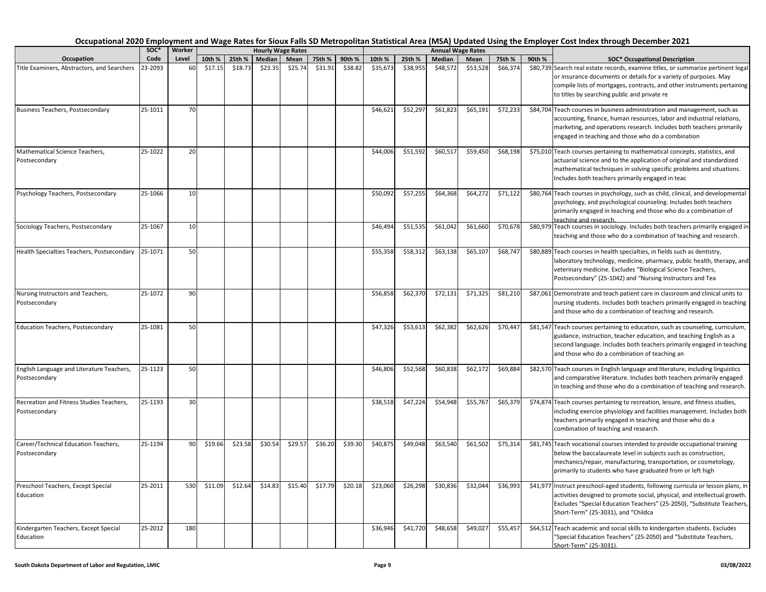|                                                            | soc*    | Worker |         |         |         | <b>Hourly Wage Rates</b> |         |         |          |          |          | <b>Annual Wage Rates</b> |          |        |                                                                                                                                                                                                                                                                                  |
|------------------------------------------------------------|---------|--------|---------|---------|---------|--------------------------|---------|---------|----------|----------|----------|--------------------------|----------|--------|----------------------------------------------------------------------------------------------------------------------------------------------------------------------------------------------------------------------------------------------------------------------------------|
| Occupation                                                 | Code    | Level  | 10th %  | 25th %  | Median  | Mean                     | 75th %  | 90th %  | 10th %   | 25th %   | Median   | Mean                     | 75th %   | 90th % | <b>SOC* Occupational Description</b>                                                                                                                                                                                                                                             |
| Title Examiners, Abstractors, and Searchers                | 23-2093 | 60     | \$17.15 | \$18.73 | \$23.35 | \$25.74                  | \$31.91 | \$38.82 | \$35,673 | \$38,955 | \$48,572 | \$53,528                 | \$66,374 |        | \$80,739 Search real estate records, examine titles, or summarize pertinent legal<br>or insurance documents or details for a variety of purposes. May<br>compile lists of mortgages, contracts, and other instruments pertaining<br>to titles by searching public and private re |
| Business Teachers, Postsecondary                           | 25-1011 | 70     |         |         |         |                          |         |         | \$46,621 | \$52,297 | \$61,823 | \$65,191                 | \$72,233 |        | \$84,704 Teach courses in business administration and management, such as<br>accounting, finance, human resources, labor and industrial relations,<br>marketing, and operations research. Includes both teachers primarily<br>engaged in teaching and those who do a combination |
| Mathematical Science Teachers,<br>Postsecondary            | 25-1022 | 20     |         |         |         |                          |         |         | \$44,006 | \$51,592 | \$60,517 | \$59,450                 | \$68,198 |        | \$75,010 Teach courses pertaining to mathematical concepts, statistics, and<br>actuarial science and to the application of original and standardized<br>mathematical techniques in solving specific problems and situations.<br>Includes both teachers primarily engaged in teac |
| Psychology Teachers, Postsecondary                         | 25-1066 | 10     |         |         |         |                          |         |         | \$50,092 | \$57,255 | \$64,368 | \$64,272                 | \$71,122 |        | \$80,764 Teach courses in psychology, such as child, clinical, and developmental<br>psychology, and psychological counseling. Includes both teachers<br>primarily engaged in teaching and those who do a combination of<br>teaching and research.                                |
| Sociology Teachers, Postsecondary                          | 25-1067 | 10     |         |         |         |                          |         |         | \$46,494 | \$51,535 | \$61,042 | \$61,660                 | \$70,678 |        | \$80,979 Teach courses in sociology. Includes both teachers primarily engaged in<br>teaching and those who do a combination of teaching and research.                                                                                                                            |
| Health Specialties Teachers, Postsecondary                 | 25-1071 | 50     |         |         |         |                          |         |         | \$55,358 | \$58,312 | \$63,138 | \$65,10                  | \$68,747 |        | \$80,889 Teach courses in health specialties, in fields such as dentistry,<br>laboratory technology, medicine, pharmacy, public health, therapy, and<br>veterinary medicine. Excludes "Biological Science Teachers,<br>Postsecondary" (25-1042) and "Nursing Instructors and Tea |
| Nursing Instructors and Teachers,<br>Postsecondary         | 25-1072 | 90     |         |         |         |                          |         |         | \$56,858 | \$62,370 | \$72,131 | \$71,325                 | \$81,210 |        | \$87,061 Demonstrate and teach patient care in classroom and clinical units to<br>nursing students. Includes both teachers primarily engaged in teaching<br>and those who do a combination of teaching and research.                                                             |
| <b>Education Teachers, Postsecondary</b>                   | 25-1081 | 50     |         |         |         |                          |         |         | \$47,326 | \$53,613 | \$62,382 | \$62,626                 | \$70,447 |        | \$81,547 Teach courses pertaining to education, such as counseling, curriculum,<br>guidance, instruction, teacher education, and teaching English as a<br>second language. Includes both teachers primarily engaged in teaching<br>and those who do a combination of teaching an |
| English Language and Literature Teachers,<br>Postsecondary | 25-1123 | 50     |         |         |         |                          |         |         | \$46,806 | \$52,568 | \$60,838 | \$62,172                 | \$69,884 |        | \$82,570 Teach courses in English language and literature, including linguistics<br>and comparative literature. Includes both teachers primarily engaged<br>in teaching and those who do a combination of teaching and research.                                                 |
| Recreation and Fitness Studies Teachers,<br>Postsecondary  | 25-1193 | 30     |         |         |         |                          |         |         | \$38,518 | \$47,224 | \$54,948 | \$55,767                 | \$65,379 |        | \$74,874 Teach courses pertaining to recreation, leisure, and fitness studies,<br>including exercise physiology and facilities management. Includes both<br>teachers primarily engaged in teaching and those who do a<br>combination of teaching and research.                   |
| Career/Technical Education Teachers,<br>Postsecondary      | 25-1194 | 90     | \$19.66 | \$23.58 | \$30.54 | \$29.57                  | \$36.20 | \$39.30 | \$40,875 | \$49,048 | \$63,540 | \$61,502                 | \$75,314 |        | \$81,745 Teach vocational courses intended to provide occupational training<br>below the baccalaureate level in subjects such as construction,<br>mechanics/repair, manufacturing, transportation, or cosmetology,<br>primarily to students who have graduated from or left high |
| Preschool Teachers, Except Special<br>Education            | 25-2011 | 530    | \$11.09 | \$12.64 | \$14.83 | \$15.40                  | \$17.79 | \$20.18 | \$23,060 | \$26,298 | \$30,836 | \$32,044                 | \$36,993 |        | \$41,977 Instruct preschool-aged students, following curricula or lesson plans, in<br>activities designed to promote social, physical, and intellectual growth.<br>Excludes "Special Education Teachers" (25-2050), "Substitute Teachers,<br>Short-Term" (25-3031), and "Childca |
| Kindergarten Teachers, Except Special<br>Education         | 25-2012 | 180    |         |         |         |                          |         |         | \$36,946 | \$41,720 | \$48,658 | \$49,027                 | \$55,457 |        | \$64,512 Teach academic and social skills to kindergarten students. Excludes<br>"Special Education Teachers" (25-2050) and "Substitute Teachers,<br>Short-Term" (25-3031).                                                                                                       |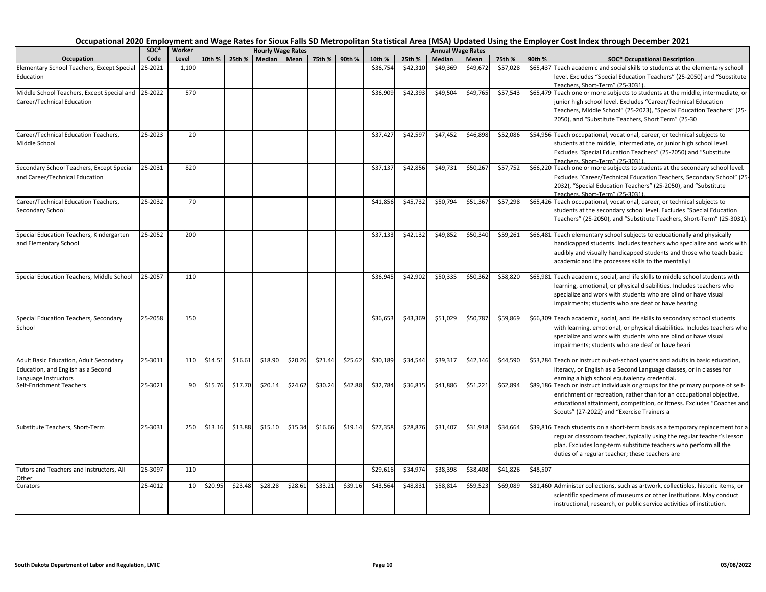|                                                            | SOC*    | Worker |         |         | <b>Hourly Wage Rates</b> |         |         |         |          |          | <b>Annual Wage Rates</b> |          |          |                                                |                                                                                                                                                          |
|------------------------------------------------------------|---------|--------|---------|---------|--------------------------|---------|---------|---------|----------|----------|--------------------------|----------|----------|------------------------------------------------|----------------------------------------------------------------------------------------------------------------------------------------------------------|
| Occupation                                                 | Code    | Level  | 10th %  | 25th %  | <b>Median</b>            | Mean    | 75th %  | 90th %  | 10th %   | 25th %   | Median                   | Mean     | 75th %   | 90th %<br><b>SOC* Occupational Description</b> |                                                                                                                                                          |
| Elementary School Teachers, Except Special                 | 25-2021 | 1,100  |         |         |                          |         |         |         | \$36,754 | \$42,310 | \$49,369                 | \$49,672 | \$57,028 |                                                | \$65,437 Teach academic and social skills to students at the elementary school                                                                           |
| Education                                                  |         |        |         |         |                          |         |         |         |          |          |                          |          |          |                                                | level. Excludes "Special Education Teachers" (25-2050) and "Substitute<br>Teachers. Short-Term" (25-3031).                                               |
| Middle School Teachers, Except Special and                 | 25-2022 | 570    |         |         |                          |         |         |         | \$36,909 | \$42,393 | \$49,504                 | \$49,765 | \$57,543 |                                                | \$65,479 Teach one or more subjects to students at the middle, intermediate, or                                                                          |
| Career/Technical Education                                 |         |        |         |         |                          |         |         |         |          |          |                          |          |          |                                                | junior high school level. Excludes "Career/Technical Education                                                                                           |
|                                                            |         |        |         |         |                          |         |         |         |          |          |                          |          |          |                                                | Teachers, Middle School" (25-2023), "Special Education Teachers" (25-                                                                                    |
|                                                            |         |        |         |         |                          |         |         |         |          |          |                          |          |          |                                                | 2050), and "Substitute Teachers, Short Term" (25-30                                                                                                      |
| Career/Technical Education Teachers,                       | 25-2023 | 20     |         |         |                          |         |         |         | \$37,427 | \$42,597 | \$47,452                 | \$46,898 | \$52,086 |                                                | \$54,956 Teach occupational, vocational, career, or technical subjects to                                                                                |
| Middle School                                              |         |        |         |         |                          |         |         |         |          |          |                          |          |          |                                                | students at the middle, intermediate, or junior high school level.                                                                                       |
|                                                            |         |        |         |         |                          |         |         |         |          |          |                          |          |          |                                                | Excludes "Special Education Teachers" (25-2050) and "Substitute<br>Teachers, Short-Term" (25-3031).                                                      |
| Secondary School Teachers, Except Special                  | 25-2031 | 820    |         |         |                          |         |         |         | \$37,137 | \$42,856 | \$49,731                 | \$50,267 | \$57,752 |                                                | \$66,220 Teach one or more subjects to students at the secondary school level.                                                                           |
| and Career/Technical Education                             |         |        |         |         |                          |         |         |         |          |          |                          |          |          |                                                | Excludes "Career/Technical Education Teachers, Secondary School" (25-                                                                                    |
|                                                            |         |        |         |         |                          |         |         |         |          |          |                          |          |          |                                                | 2032), "Special Education Teachers" (25-2050), and "Substitute                                                                                           |
|                                                            |         |        |         |         |                          |         |         |         |          |          |                          |          |          |                                                | Teachers. Short-Term" (25-3031).                                                                                                                         |
| Career/Technical Education Teachers,                       | 25-2032 | 70     |         |         |                          |         |         |         | \$41,856 | \$45,732 | \$50,794                 | \$51,367 | \$57,298 |                                                | \$65,426 Teach occupational, vocational, career, or technical subjects to                                                                                |
| Secondary School                                           |         |        |         |         |                          |         |         |         |          |          |                          |          |          |                                                | students at the secondary school level. Excludes "Special Education                                                                                      |
|                                                            |         |        |         |         |                          |         |         |         |          |          |                          |          |          |                                                | Teachers" (25-2050), and "Substitute Teachers, Short-Term" (25-3031).                                                                                    |
| Special Education Teachers, Kindergarten                   | 25-2052 | 200    |         |         |                          |         |         |         | \$37,133 | \$42,132 | \$49,852                 | \$50,340 | \$59,261 |                                                | \$66,481 Teach elementary school subjects to educationally and physically                                                                                |
| and Elementary School                                      |         |        |         |         |                          |         |         |         |          |          |                          |          |          |                                                | handicapped students. Includes teachers who specialize and work with                                                                                     |
|                                                            |         |        |         |         |                          |         |         |         |          |          |                          |          |          |                                                | audibly and visually handicapped students and those who teach basic                                                                                      |
|                                                            |         |        |         |         |                          |         |         |         |          |          |                          |          |          |                                                | academic and life processes skills to the mentally i                                                                                                     |
| Special Education Teachers, Middle School                  | 25-2057 | 110    |         |         |                          |         |         |         | \$36,945 | \$42,902 | \$50,335                 | \$50,362 | \$58,820 |                                                | \$65,981 Teach academic, social, and life skills to middle school students with                                                                          |
|                                                            |         |        |         |         |                          |         |         |         |          |          |                          |          |          |                                                | learning, emotional, or physical disabilities. Includes teachers who                                                                                     |
|                                                            |         |        |         |         |                          |         |         |         |          |          |                          |          |          |                                                | specialize and work with students who are blind or have visual                                                                                           |
|                                                            |         |        |         |         |                          |         |         |         |          |          |                          |          |          |                                                | impairments; students who are deaf or have hearing                                                                                                       |
| Special Education Teachers, Secondary                      | 25-2058 | 150    |         |         |                          |         |         |         | \$36,653 | \$43,369 | \$51,029                 | \$50,787 | \$59,869 |                                                | \$66,309 Teach academic, social, and life skills to secondary school students                                                                            |
| School                                                     |         |        |         |         |                          |         |         |         |          |          |                          |          |          |                                                | with learning, emotional, or physical disabilities. Includes teachers who                                                                                |
|                                                            |         |        |         |         |                          |         |         |         |          |          |                          |          |          |                                                | specialize and work with students who are blind or have visual                                                                                           |
|                                                            |         |        |         |         |                          |         |         |         |          |          |                          |          |          |                                                | impairments; students who are deaf or have heari                                                                                                         |
| Adult Basic Education, Adult Secondary                     | 25-3011 | 110    | \$14.51 | \$16.61 | \$18.90                  | \$20.26 | \$21.44 | \$25.62 | \$30,189 | \$34,544 | \$39,317                 | \$42,146 | \$44,590 |                                                | \$53,284 Teach or instruct out-of-school youths and adults in basic education,                                                                           |
| Education, and English as a Second<br>Language Instructors |         |        |         |         |                          |         |         |         |          |          |                          |          |          |                                                | literacy, or English as a Second Language classes, or in classes for<br>earning a high school equivalency credential.                                    |
| Self-Enrichment Teachers                                   | 25-3021 | 90     | \$15.76 | \$17.70 | \$20.14                  | \$24.62 | \$30.24 | \$42.88 | \$32,784 | \$36,815 | \$41,886                 | \$51,221 | \$62,894 |                                                | \$89,186 Teach or instruct individuals or groups for the primary purpose of self-                                                                        |
|                                                            |         |        |         |         |                          |         |         |         |          |          |                          |          |          |                                                | enrichment or recreation, rather than for an occupational objective,                                                                                     |
|                                                            |         |        |         |         |                          |         |         |         |          |          |                          |          |          |                                                | educational attainment, competition, or fitness. Excludes "Coaches and                                                                                   |
|                                                            |         |        |         |         |                          |         |         |         |          |          |                          |          |          |                                                | Scouts" (27-2022) and "Exercise Trainers a                                                                                                               |
| Substitute Teachers, Short-Term                            | 25-3031 | 250    | \$13.16 | \$13.88 | \$15.10                  | \$15.34 | \$16.66 | \$19.14 | \$27,358 | \$28,876 | \$31,407                 | \$31,918 | \$34,664 |                                                | \$39,816 Teach students on a short-term basis as a temporary replacement for a                                                                           |
|                                                            |         |        |         |         |                          |         |         |         |          |          |                          |          |          |                                                | regular classroom teacher, typically using the regular teacher's lesson                                                                                  |
|                                                            |         |        |         |         |                          |         |         |         |          |          |                          |          |          |                                                | plan. Excludes long-term substitute teachers who perform all the                                                                                         |
|                                                            |         |        |         |         |                          |         |         |         |          |          |                          |          |          |                                                | duties of a regular teacher; these teachers are                                                                                                          |
| <b>Futors and Teachers and Instructors, All</b>            | 25-3097 | 110    |         |         |                          |         |         |         | \$29,616 | \$34,974 | \$38,398                 | \$38,408 | \$41,826 | \$48,507                                       |                                                                                                                                                          |
| Other                                                      | 25-4012 | 10     | \$20.95 | \$23.48 | \$28.28                  | \$28.61 | \$33.21 | \$39.16 | \$43,564 | \$48,831 | \$58,814                 | \$59,523 |          |                                                |                                                                                                                                                          |
| Curators                                                   |         |        |         |         |                          |         |         |         |          |          |                          |          | \$69,089 |                                                | \$81,460 Administer collections, such as artwork, collectibles, historic items, or<br>scientific specimens of museums or other institutions. May conduct |
|                                                            |         |        |         |         |                          |         |         |         |          |          |                          |          |          |                                                | instructional, research, or public service activities of institution.                                                                                    |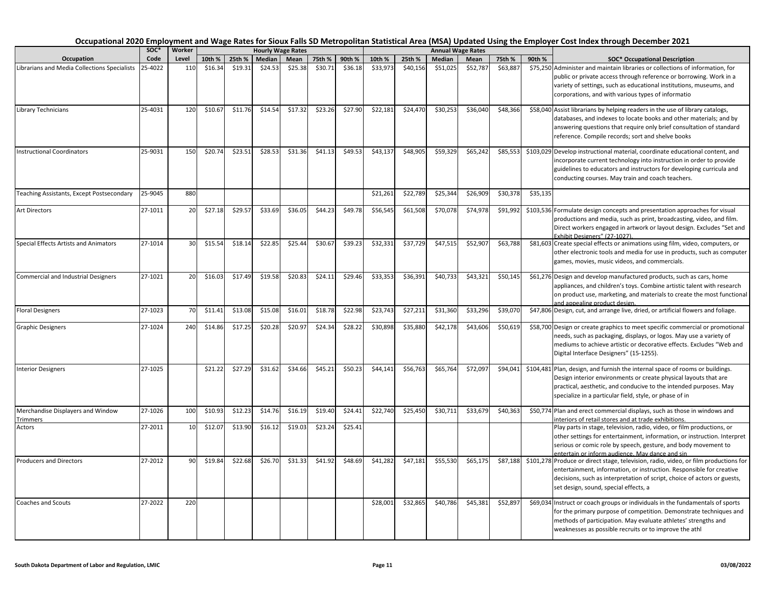| Occupation                                           | SOC*    | Worker |         |         |         | <b>Hourly Wage Rates</b> |         |         |          |          |          | <b>Annual Wage Rates</b> |          |          |                                                                                                                                                                                                                                                                                   |
|------------------------------------------------------|---------|--------|---------|---------|---------|--------------------------|---------|---------|----------|----------|----------|--------------------------|----------|----------|-----------------------------------------------------------------------------------------------------------------------------------------------------------------------------------------------------------------------------------------------------------------------------------|
|                                                      | Code    | Level  | 10th %  | 25th %  | Median  | Mean                     | 75th %  | 90th %  | 10th %   | 25th %   | Median   | Mean                     | 75th %   | 90th %   | <b>SOC* Occupational Description</b>                                                                                                                                                                                                                                              |
| Librarians and Media Collections Specialists         | 25-4022 | 110    | \$16.34 | \$19.31 | \$24.53 | \$25.38                  | \$30.71 | \$36.18 | \$33,973 | \$40,156 | \$51,025 | \$52,787                 | \$63,887 |          | \$75,250 Administer and maintain libraries or collections of information, for<br>public or private access through reference or borrowing. Work in a<br>variety of settings, such as educational institutions, museums, and<br>corporations, and with various types of informatio  |
| Library Technicians                                  | 25-4031 | 120    | \$10.67 | \$11.76 | \$14.54 | \$17.32                  | \$23.26 | \$27.90 | \$22,181 | \$24,470 | \$30,253 | \$36,040                 | \$48,366 |          | \$58,040 Assist librarians by helping readers in the use of library catalogs,<br>databases, and indexes to locate books and other materials; and by<br>answering questions that require only brief consultation of standard<br>reference. Compile records; sort and shelve books  |
| <b>Instructional Coordinators</b>                    | 25-9031 | 150    | \$20.74 | \$23.51 | \$28.53 | \$31.36                  | \$41.13 | \$49.53 | \$43,137 | \$48,905 | \$59,329 | \$65,242                 | \$85,553 |          | \$103,029 Develop instructional material, coordinate educational content, and<br>incorporate current technology into instruction in order to provide<br>guidelines to educators and instructors for developing curricula and<br>conducting courses. May train and coach teachers. |
| Teaching Assistants, Except Postsecondary            | 25-9045 | 880    |         |         |         |                          |         |         | \$21,261 | \$22,789 | \$25,344 | \$26,909                 | \$30,378 | \$35,135 |                                                                                                                                                                                                                                                                                   |
| <b>Art Directors</b>                                 | 27-1011 | 20     | \$27.18 | \$29.5  | \$33.69 | \$36.05                  | \$44.23 | \$49.78 | \$56,545 | \$61,508 | \$70,078 | \$74,978                 | \$91,992 |          | \$103,536 Formulate design concepts and presentation approaches for visual<br>productions and media, such as print, broadcasting, video, and film.<br>Direct workers engaged in artwork or layout design. Excludes "Set and<br>Exhibit Designers" (27-1027).                      |
| Special Effects Artists and Animators                | 27-1014 | 30     | \$15.54 | \$18.14 | \$22.85 | \$25.44                  | \$30.67 | \$39.23 | \$32,331 | \$37,729 | \$47,515 | \$52,907                 | \$63,788 |          | \$81,603 Create special effects or animations using film, video, computers, or<br>other electronic tools and media for use in products, such as computer<br>games, movies, music videos, and commercials.                                                                         |
| <b>Commercial and Industrial Designers</b>           | 27-1021 | 20     | \$16.03 | \$17.49 | \$19.58 | \$20.83                  | \$24.11 | \$29.46 | \$33,353 | \$36,391 | \$40,733 | \$43,321                 | \$50,145 |          | \$61,276 Design and develop manufactured products, such as cars, home<br>appliances, and children's toys. Combine artistic talent with research<br>on product use, marketing, and materials to create the most functional<br>and appealing product design.                        |
| <b>Floral Designers</b>                              | 27-1023 | 70     | \$11.41 | \$13.08 | \$15.08 | \$16.01                  | \$18.78 | \$22.98 | \$23,743 | \$27,211 | \$31,360 | \$33,296                 | \$39,070 |          | \$47,806 Design, cut, and arrange live, dried, or artificial flowers and foliage.                                                                                                                                                                                                 |
| <b>Graphic Designers</b>                             | 27-1024 | 240    | \$14.86 | \$17.25 | \$20.28 | \$20.97                  | \$24.34 | \$28.22 | \$30,898 | \$35,880 | \$42,178 | \$43,606                 | \$50,619 |          | \$58,700 Design or create graphics to meet specific commercial or promotional<br>needs, such as packaging, displays, or logos. May use a variety of<br>mediums to achieve artistic or decorative effects. Excludes "Web and<br>Digital Interface Designers" (15-1255).            |
| <b>Interior Designers</b>                            | 27-1025 |        | \$21.22 | \$27.29 | \$31.62 | \$34.66                  | \$45.21 | \$50.23 | \$44,141 | \$56,763 | \$65,764 | \$72,097                 | \$94,041 |          | \$104,481 Plan, design, and furnish the internal space of rooms or buildings.<br>Design interior environments or create physical layouts that are<br>practical, aesthetic, and conducive to the intended purposes. May<br>specialize in a particular field, style, or phase of in |
| Merchandise Displayers and Window<br><b>Trimmers</b> | 27-1026 | 100    | \$10.93 | \$12.23 | \$14.76 | \$16.19                  | \$19.40 | \$24.41 | \$22,740 | \$25,450 | \$30,711 | \$33,679                 | \$40,363 |          | \$50,774 Plan and erect commercial displays, such as those in windows and<br>interiors of retail stores and at trade exhibitions.                                                                                                                                                 |
| Actors                                               | 27-2011 | 10     | \$12.07 | \$13.90 | \$16.12 | \$19.03                  | \$23.24 | \$25.41 |          |          |          |                          |          |          | Play parts in stage, television, radio, video, or film productions, or<br>other settings for entertainment, information, or instruction. Interpret<br>serious or comic role by speech, gesture, and body movement to<br>entertain or inform audience. May dance and sin           |
| <b>Producers and Directors</b>                       | 27-2012 | 90     | \$19.84 | \$22.68 | \$26.70 | \$31.33                  | \$41.92 | \$48.69 | \$41,282 | \$47,181 | \$55,530 | \$65,175                 | \$87,188 |          | \$101,278 Produce or direct stage, television, radio, video, or film productions for<br>entertainment, information, or instruction. Responsible for creative<br>decisions, such as interpretation of script, choice of actors or guests,<br>set design, sound, special effects, a |
| <b>Coaches and Scouts</b>                            | 27-2022 | 220    |         |         |         |                          |         |         | \$28,001 | \$32,865 | \$40,786 | \$45,381                 | \$52,897 |          | \$69,034 Instruct or coach groups or individuals in the fundamentals of sports<br>for the primary purpose of competition. Demonstrate techniques and<br>methods of participation. May evaluate athletes' strengths and<br>weaknesses as possible recruits or to improve the athl  |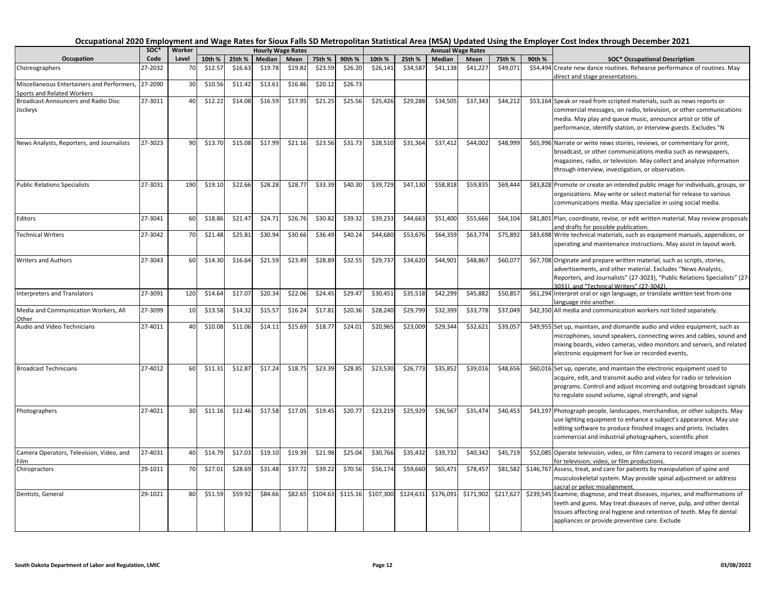| Occupation                                 | SOC*    | Worker |         |         |         | <b>Hourly Wage Rates</b> |          |          |           |           |           | <b>Annual Wage Rates</b> |           |        |                                                                                   |
|--------------------------------------------|---------|--------|---------|---------|---------|--------------------------|----------|----------|-----------|-----------|-----------|--------------------------|-----------|--------|-----------------------------------------------------------------------------------|
|                                            | Code    | Level  | 10th %  | 25th %  | Median  | Mean                     | 75th %   | 90th %   | 10th %    | 25th %    | Median    | Mean                     | 75th %    | 90th % | <b>SOC* Occupational Description</b>                                              |
| Choreographers                             | 27-2032 | 70     | \$12.57 | \$16.63 | \$19.78 | \$19.82                  | \$23.59  | \$26.20  | \$26,141  | \$34,587  | \$41,138  | \$41,227                 | \$49,071  |        | \$54,494 Create new dance routines. Rehearse performance of routines. May         |
|                                            |         |        |         |         |         |                          |          |          |           |           |           |                          |           |        | direct and stage presentations.                                                   |
| Miscellaneous Entertainers and Performers, | 27-2090 | 30     | \$10.56 | \$11.42 | \$13.61 | \$16.86                  | \$20.12  | \$26.73  |           |           |           |                          |           |        |                                                                                   |
| Sports and Related Workers                 |         |        |         |         |         |                          |          |          |           |           |           |                          |           |        |                                                                                   |
| <b>Broadcast Announcers and Radio Disc</b> | 27-3011 | 40     | \$12.22 | \$14.08 | \$16.59 | \$17.95                  | \$21.25  | \$25.56  | \$25,426  | \$29,288  | \$34,505  | \$37.343                 | \$44,212  |        | \$53,164 Speak or read from scripted materials, such as news reports or           |
| Jockeys                                    |         |        |         |         |         |                          |          |          |           |           |           |                          |           |        | commercial messages, on radio, television, or other communications                |
|                                            |         |        |         |         |         |                          |          |          |           |           |           |                          |           |        | media. May play and queue music, announce artist or title of                      |
|                                            |         |        |         |         |         |                          |          |          |           |           |           |                          |           |        | performance, identify station, or interview guests. Excludes "N                   |
| News Analysts, Reporters, and Journalists  | 27-3023 | 90     | \$13.70 | \$15.08 | \$17.99 | \$21.16                  | \$23.56  | \$31.73  | \$28,510  | \$31,364  | \$37,412  | \$44,002                 | \$48,999  |        | \$65,996 Narrate or write news stories, reviews, or commentary for print,         |
|                                            |         |        |         |         |         |                          |          |          |           |           |           |                          |           |        | broadcast, or other communications media such as newspapers,                      |
|                                            |         |        |         |         |         |                          |          |          |           |           |           |                          |           |        | magazines, radio, or television. May collect and analyze information              |
|                                            |         |        |         |         |         |                          |          |          |           |           |           |                          |           |        | through interview, investigation, or observation.                                 |
|                                            |         |        |         |         |         |                          |          |          |           |           |           |                          |           |        |                                                                                   |
| <b>Public Relations Specialists</b>        | 27-3031 | 190    | \$19.10 | \$22.66 | \$28.28 | \$28.77                  | \$33.39  | \$40.30  | \$39,729  | \$47,130  | \$58,818  | \$59,835                 | \$69,444  |        | \$83,828 Promote or create an intended public image for individuals, groups, or   |
|                                            |         |        |         |         |         |                          |          |          |           |           |           |                          |           |        | organizations. May write or select material for release to various                |
|                                            |         |        |         |         |         |                          |          |          |           |           |           |                          |           |        | communications media. May specialize in using social media.                       |
|                                            |         |        |         |         |         |                          |          |          |           |           |           |                          |           |        |                                                                                   |
| Editors                                    | 27-3041 | 60     | \$18.86 | \$21.4  | \$24.71 | \$26.76                  | \$30.82  | \$39.32  | \$39,233  | \$44,663  | \$51,400  | \$55,666                 | \$64,104  |        | \$81,801 Plan, coordinate, revise, or edit written material. May review proposals |
|                                            |         |        |         |         |         |                          |          |          |           |           |           |                          |           |        | and drafts for possible publication.                                              |
| <b>Technical Writers</b>                   | 27-3042 | 70     | \$21.48 | \$25.81 | \$30.94 | \$30.66                  | \$36.49  | \$40.24  | \$44,680  | \$53,676  | \$64,359  | \$63,774                 | \$75,892  |        | \$83,698 Write technical materials, such as equipment manuals, appendices, or     |
|                                            |         |        |         |         |         |                          |          |          |           |           |           |                          |           |        | operating and maintenance instructions. May assist in layout work.                |
| <b>Writers and Authors</b>                 | 27-3043 | 60     | \$14.30 | \$16.64 | \$21.59 | \$23.49                  | \$28.89  | \$32.55  | \$29,737  | \$34,620  | \$44,901  | \$48,867                 | \$60,077  |        | \$67,708 Originate and prepare written material, such as scripts, stories,        |
|                                            |         |        |         |         |         |                          |          |          |           |           |           |                          |           |        | advertisements, and other material. Excludes "News Analysts,                      |
|                                            |         |        |         |         |         |                          |          |          |           |           |           |                          |           |        | Reporters, and Journalists" (27-3023), "Public Relations Specialists" (27-        |
|                                            |         |        |         |         |         |                          |          |          |           |           |           |                          |           |        | 3031), and "Technical Writers" (27-3042).                                         |
| Interpreters and Translators               | 27-3091 | 120    | \$14.64 | \$17.07 | \$20.34 | \$22.06                  | \$24.45  | \$29.47  | \$30,451  | \$35,518  | \$42,299  | \$45,882                 | \$50,85   |        | \$61,294 Interpret oral or sign language, or translate written text from one      |
|                                            |         |        |         |         |         |                          |          |          |           |           |           |                          |           |        | language into another.                                                            |
| Media and Communication Workers, All       | 27-3099 | 10     | \$13.58 | \$14.32 | \$15.57 | \$16.24                  | \$17.81  | \$20.36  | \$28,240  | \$29,799  | \$32,399  | \$33,778                 | \$37,049  |        | \$42,350 All media and communication workers not listed separately.               |
| Other                                      |         |        |         |         |         |                          |          |          |           |           |           |                          |           |        |                                                                                   |
| Audio and Video Technicians                | 27-4011 | 40     | \$10.08 | \$11.06 | \$14.11 | \$15.69                  | \$18.77  | \$24.01  | \$20,965  | \$23,009  | \$29,344  | \$32,621                 | \$39,057  |        | \$49,955 Set up, maintain, and dismantle audio and video equipment, such as       |
|                                            |         |        |         |         |         |                          |          |          |           |           |           |                          |           |        | microphones, sound speakers, connecting wires and cables, sound and               |
|                                            |         |        |         |         |         |                          |          |          |           |           |           |                          |           |        | mixing boards, video cameras, video monitors and servers, and related             |
|                                            |         |        |         |         |         |                          |          |          |           |           |           |                          |           |        | electronic equipment for live or recorded events,                                 |
| <b>Broadcast Technicians</b>               | 27-4012 | 60     | \$11.31 | \$12.87 | \$17.24 | \$18.75                  | \$23.39  | \$28.85  | \$23,530  | \$26,773  | \$35,852  | \$39,016                 | \$48,656  |        | \$60,016 Set up, operate, and maintain the electronic equipment used to           |
|                                            |         |        |         |         |         |                          |          |          |           |           |           |                          |           |        | acquire, edit, and transmit audio and video for radio or television               |
|                                            |         |        |         |         |         |                          |          |          |           |           |           |                          |           |        | programs. Control and adjust incoming and outgoing broadcast signals              |
|                                            |         |        |         |         |         |                          |          |          |           |           |           |                          |           |        | to regulate sound volume, signal strength, and signal                             |
|                                            |         |        |         |         |         |                          |          |          |           |           |           |                          |           |        |                                                                                   |
| Photographers                              | 27-4021 | 30     | \$11.16 | \$12.46 | \$17.58 | \$17.05                  | \$19.45  | \$20.77  | \$23,219  | \$25,929  | \$36,567  | \$35,47                  | \$40,453  |        | \$43,197 Photograph people, landscapes, merchandise, or other subjects. May       |
|                                            |         |        |         |         |         |                          |          |          |           |           |           |                          |           |        | use lighting equipment to enhance a subject's appearance. May use                 |
|                                            |         |        |         |         |         |                          |          |          |           |           |           |                          |           |        | editing software to produce finished images and prints. Includes                  |
|                                            |         |        |         |         |         |                          |          |          |           |           |           |                          |           |        | commercial and industrial photographers, scientific phot                          |
| Camera Operators, Television, Video, and   | 27-4031 | 40     | \$14.79 | \$17.03 | \$19.10 | \$19.39                  | \$21.98  | \$25.04  | \$30,766  | \$35,432  | \$39,732  | \$40,342                 | \$45,719  |        | \$52,085 Operate television, video, or film camera to record images or scenes     |
| Film                                       |         |        |         |         |         |                          |          |          |           |           |           |                          |           |        | for television, video, or film productions.                                       |
| Chiropractors                              | 29-1011 | 70     | \$27.01 | \$28.69 | \$31.48 | \$37.72                  | \$39.22  | \$70.56  | \$56,174  | \$59,660  | \$65,471  | \$78,457                 | \$81,582  |        | \$146,767 Assess, treat, and care for patients by manipulation of spine and       |
|                                            |         |        |         |         |         |                          |          |          |           |           |           |                          |           |        | musculoskeletal system. May provide spinal adjustment or address                  |
|                                            |         |        |         |         |         |                          |          |          |           |           |           |                          |           |        | sacral or pelvic misalignment.                                                    |
| Dentists, General                          | 29-1021 | 80     | \$51.59 | \$59.92 | \$84.66 | \$82.65                  | \$104.63 | \$115.16 | \$107,300 | \$124,631 | \$176,091 | \$171,902                | \$217,627 |        | \$239,545 Examine, diagnose, and treat diseases, injuries, and malformations of   |
|                                            |         |        |         |         |         |                          |          |          |           |           |           |                          |           |        | teeth and gums. May treat diseases of nerve, pulp, and other dental               |
|                                            |         |        |         |         |         |                          |          |          |           |           |           |                          |           |        | tissues affecting oral hygiene and retention of teeth. May fit dental             |
|                                            |         |        |         |         |         |                          |          |          |           |           |           |                          |           |        | appliances or provide preventive care. Exclude                                    |
|                                            |         |        |         |         |         |                          |          |          |           |           |           |                          |           |        |                                                                                   |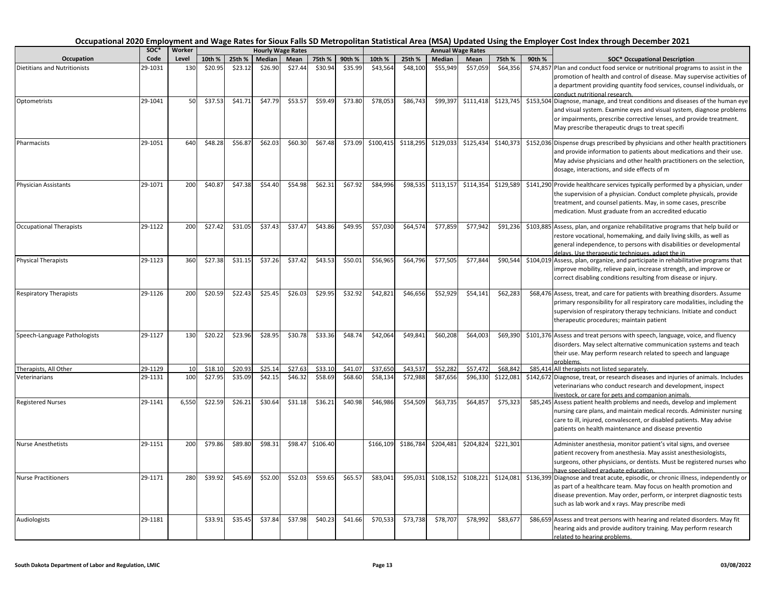| Occupation                          | soc*    | Worker |         |         |               | <b>Hourly Wage Rates</b> |          |         |           |           |           | <b>Annual Wage Rates</b> |           |        |                                                                                                                                                                                                                                                                                   |
|-------------------------------------|---------|--------|---------|---------|---------------|--------------------------|----------|---------|-----------|-----------|-----------|--------------------------|-----------|--------|-----------------------------------------------------------------------------------------------------------------------------------------------------------------------------------------------------------------------------------------------------------------------------------|
|                                     | Code    | Level  | 10th %  | 25th %  | <b>Median</b> | Mean                     | 75th %   | 90th %  | 10th %    | 25th %    | Median    | Mean                     | 75th %    | 90th % | <b>SOC* Occupational Description</b>                                                                                                                                                                                                                                              |
| <b>Dietitians and Nutritionists</b> | 29-1031 | 130    | \$20.95 | \$23.12 | \$26.90       | \$27.44                  | \$30.94  | \$35.99 | \$43,564  | \$48,100  | \$55,949  | \$57,059                 | \$64,356  |        | \$74,857 Plan and conduct food service or nutritional programs to assist in the<br>promotion of health and control of disease. May supervise activities of<br>a department providing quantity food services, counsel individuals, or<br>conduct nutritional research.             |
| Optometrists                        | 29-1041 | 50     | \$37.53 | \$41.71 | \$47.79       | \$53.57                  | \$59.49  | \$73.80 | \$78,053  | \$86,743  | \$99,397  | \$111,418                | \$123,745 |        | \$153,504 Diagnose, manage, and treat conditions and diseases of the human eye<br>and visual system. Examine eyes and visual system, diagnose problems<br>or impairments, prescribe corrective lenses, and provide treatment.<br>May prescribe therapeutic drugs to treat specifi |
| Pharmacists                         | 29-1051 | 640    | \$48.28 | \$56.87 | \$62.03       | \$60.30                  | \$67.48  | \$73.09 | \$100,415 | \$118,295 | \$129,033 | \$125,43                 | \$140,373 |        | \$152,036 Dispense drugs prescribed by physicians and other health practitioners<br>and provide information to patients about medications and their use.<br>May advise physicians and other health practitioners on the selection,<br>dosage, interactions, and side effects of m |
| Physician Assistants                | 29-1071 | 200    | \$40.87 | \$47.38 | \$54.40       | \$54.98                  | \$62.31  | \$67.92 | \$84,996  | \$98,535  | \$113,157 | \$114,354                | \$129,589 |        | \$141,290 Provide healthcare services typically performed by a physician, under<br>the supervision of a physician. Conduct complete physicals, provide<br>treatment, and counsel patients. May, in some cases, prescribe<br>medication. Must graduate from an accredited educatio |
| <b>Occupational Therapists</b>      | 29-1122 | 200    | \$27.42 | \$31.05 | \$37.43       | \$37.47                  | \$43.86  | \$49.95 | \$57,030  | \$64,574  | \$77,859  | \$77,942                 | \$91,236  |        | \$103,885 Assess, plan, and organize rehabilitative programs that help build or<br>restore vocational, homemaking, and daily living skills, as well as<br>general independence, to persons with disabilities or developmental<br>delays. Use therapeutic techniques, adapt the in |
| <b>Physical Therapists</b>          | 29-1123 | 360    | \$27.38 | \$31.15 | \$37.26       | \$37.42                  | \$43.53  | \$50.01 | \$56,965  | \$64,796  | \$77,505  | \$77,84                  | \$90,544  |        | \$104,019 Assess, plan, organize, and participate in rehabilitative programs that<br>improve mobility, relieve pain, increase strength, and improve or<br>correct disabling conditions resulting from disease or injury.                                                          |
| <b>Respiratory Therapists</b>       | 29-1126 | 200    | \$20.59 | \$22.43 | \$25.45       | \$26.03                  | \$29.95  | \$32.92 | \$42,821  | \$46,656  | \$52,929  | \$54,141                 | \$62,283  |        | \$68,476 Assess, treat, and care for patients with breathing disorders. Assume<br>primary responsibility for all respiratory care modalities, including the<br>supervision of respiratory therapy technicians. Initiate and conduct<br>therapeutic procedures; maintain patient   |
| Speech-Language Pathologists        | 29-1127 | 130    | \$20.22 | \$23.96 | \$28.95       | \$30.78                  | \$33.36  | \$48.74 | \$42,064  | \$49,841  | \$60,208  | \$64,003                 | \$69,390  |        | \$101,376 Assess and treat persons with speech, language, voice, and fluency<br>disorders. May select alternative communication systems and teach<br>their use. May perform research related to speech and language<br>problems.                                                  |
| Therapists, All Other               | 29-1129 | 10     | \$18.10 | \$20.9  | \$25.14       | \$27.63                  | \$33.10  | \$41.07 | \$37,650  | \$43,537  | \$52,282  | \$57,47                  | \$68,84   |        | \$85,414 All therapists not listed separately.                                                                                                                                                                                                                                    |
| Veterinarians                       | 29-1131 | 100    | \$27.95 | \$35.09 | \$42.15       | \$46.32                  | \$58.69  | \$68.60 | \$58,134  | \$72,988  | \$87,656  | \$96,330                 | \$122,081 |        | \$142,672 Diagnose, treat, or research diseases and injuries of animals. Includes<br>veterinarians who conduct research and development, inspect<br>livestock, or care for pets and companion animals.                                                                            |
| <b>Registered Nurses</b>            | 29-1141 | 6,550  | \$22.59 | \$26.21 | \$30.64       | \$31.18                  | \$36.21  | \$40.98 | \$46,986  | \$54,509  | \$63,735  | \$64,85                  | \$75,323  |        | \$85,245 Assess patient health problems and needs, develop and implement<br>nursing care plans, and maintain medical records. Administer nursing<br>care to ill, injured, convalescent, or disabled patients. May advise<br>patients on health maintenance and disease preventio  |
| <b>Nurse Anesthetists</b>           | 29-1151 | 200    | \$79.86 | \$89.80 | \$98.31       | \$98.47                  | \$106.40 |         | \$166,109 | \$186,784 | \$204,481 | \$204,82                 | \$221,301 |        | Administer anesthesia, monitor patient's vital signs, and oversee<br>patient recovery from anesthesia. May assist anesthesiologists,<br>surgeons, other physicians, or dentists. Must be registered nurses who<br>have specialized graduate education.                            |
| <b>Nurse Practitioners</b>          | 29-1171 | 280    | \$39.92 | \$45.69 | \$52.00       | \$52.03                  | \$59.65  | \$65.57 | \$83,041  | \$95,031  | \$108,152 | \$108,221                | \$124,081 |        | \$136,399 Diagnose and treat acute, episodic, or chronic illness, independently or<br>as part of a healthcare team. May focus on health promotion and<br>disease prevention. May order, perform, or interpret diagnostic tests<br>such as lab work and x rays. May prescribe medi |
| Audiologists                        | 29-1181 |        | \$33.91 | \$35.45 | \$37.84       | \$37.98                  | \$40.23  | \$41.66 | \$70,533  | \$73,738  | \$78,707  | \$78,992                 | \$83,677  |        | \$86,659 Assess and treat persons with hearing and related disorders. May fit<br>hearing aids and provide auditory training. May perform research<br>related to hearing problems.                                                                                                 |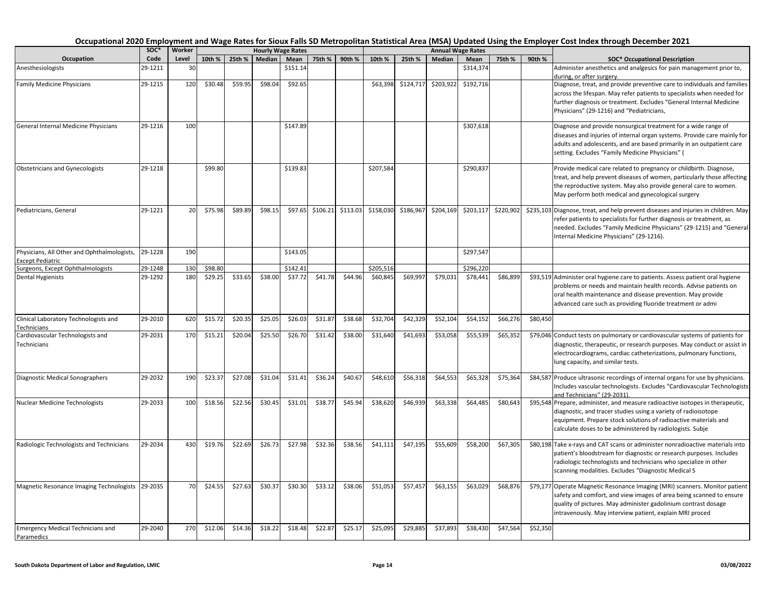| Occupation                                                   | soc*    | Worker |         |         |         | <b>Hourly Wage Rates</b> |          |          |           |           |           | <b>Annual Wage Rates</b> |           |          |                                                                                    |
|--------------------------------------------------------------|---------|--------|---------|---------|---------|--------------------------|----------|----------|-----------|-----------|-----------|--------------------------|-----------|----------|------------------------------------------------------------------------------------|
|                                                              | Code    | Level  | 10th %  | 25th %  | Median  | Mean                     | 75th %   | 90th %   | 10th %    | 25th %    | Median    | Mean                     | 75th %    | 90th %   | <b>SOC* Occupational Description</b>                                               |
| Anesthesiologists                                            | 29-1211 | 30     |         |         |         | \$151.14                 |          |          |           |           |           | \$314,37                 |           |          | Administer anesthetics and analgesics for pain management prior to,                |
|                                                              |         |        |         |         |         |                          |          |          |           |           |           |                          |           |          | during, or after surgery.                                                          |
| <b>Family Medicine Physicians</b>                            | 29-1215 | 120    | \$30.48 | \$59.95 | \$98.04 | \$92.65                  |          |          | \$63,398  | \$124,717 | \$203,922 | \$192,716                |           |          | Diagnose, treat, and provide preventive care to individuals and families           |
|                                                              |         |        |         |         |         |                          |          |          |           |           |           |                          |           |          | across the lifespan. May refer patients to specialists when needed for             |
|                                                              |         |        |         |         |         |                          |          |          |           |           |           |                          |           |          | further diagnosis or treatment. Excludes "General Internal Medicine                |
|                                                              |         |        |         |         |         |                          |          |          |           |           |           |                          |           |          | Physicians" (29-1216) and "Pediatricians,                                          |
| General Internal Medicine Physicians                         | 29-1216 | 100    |         |         |         | \$147.89                 |          |          |           |           |           | \$307,618                |           |          | Diagnose and provide nonsurgical treatment for a wide range of                     |
|                                                              |         |        |         |         |         |                          |          |          |           |           |           |                          |           |          | diseases and injuries of internal organ systems. Provide care mainly for           |
|                                                              |         |        |         |         |         |                          |          |          |           |           |           |                          |           |          | adults and adolescents, and are based primarily in an outpatient care              |
|                                                              |         |        |         |         |         |                          |          |          |           |           |           |                          |           |          | setting. Excludes "Family Medicine Physicians" (                                   |
| <b>Obstetricians and Gynecologists</b>                       | 29-1218 |        | \$99.80 |         |         | \$139.83                 |          |          | \$207,584 |           |           | \$290,837                |           |          | Provide medical care related to pregnancy or childbirth. Diagnose,                 |
|                                                              |         |        |         |         |         |                          |          |          |           |           |           |                          |           |          | treat, and help prevent diseases of women, particularly those affecting            |
|                                                              |         |        |         |         |         |                          |          |          |           |           |           |                          |           |          | the reproductive system. May also provide general care to women.                   |
|                                                              |         |        |         |         |         |                          |          |          |           |           |           |                          |           |          | May perform both medical and gynecological surgery                                 |
| Pediatricians, General                                       | 29-1221 | 20     | \$75.98 | \$89.89 | \$98.15 | \$97.65                  | \$106.21 | \$113.03 | \$158,030 | \$186,967 | \$204,169 | \$203,117                | \$220,902 |          | \$235,103 Diagnose, treat, and help prevent diseases and injuries in children. May |
|                                                              |         |        |         |         |         |                          |          |          |           |           |           |                          |           |          | refer patients to specialists for further diagnosis or treatment, as               |
|                                                              |         |        |         |         |         |                          |          |          |           |           |           |                          |           |          | needed. Excludes "Family Medicine Physicians" (29-1215) and "General               |
|                                                              |         |        |         |         |         |                          |          |          |           |           |           |                          |           |          | Internal Medicine Physicians" (29-1216).                                           |
|                                                              |         |        |         |         |         |                          |          |          |           |           |           |                          |           |          |                                                                                    |
| Physicians, All Other and Ophthalmologists,                  | 29-1228 | 190    |         |         |         | \$143.05                 |          |          |           |           |           | \$297,547                |           |          |                                                                                    |
| <b>Except Pediatric</b><br>Surgeons, Except Ophthalmologists | 29-1248 | 130    | \$98.80 |         |         | \$142.41                 |          |          | \$205,516 |           |           | \$296,220                |           |          |                                                                                    |
| <b>Dental Hygienists</b>                                     | 29-1292 | 180    | \$29.25 | \$33.65 | \$38.00 | \$37.72                  | \$41.78  | \$44.96  | \$60,845  | \$69,997  | \$79,031  | \$78,441                 | \$86,899  |          | \$93,519 Administer oral hygiene care to patients. Assess patient oral hygiene     |
|                                                              |         |        |         |         |         |                          |          |          |           |           |           |                          |           |          | problems or needs and maintain health records. Advise patients on                  |
|                                                              |         |        |         |         |         |                          |          |          |           |           |           |                          |           |          | oral health maintenance and disease prevention. May provide                        |
|                                                              |         |        |         |         |         |                          |          |          |           |           |           |                          |           |          | advanced care such as providing fluoride treatment or admi                         |
|                                                              |         |        |         |         |         |                          |          |          |           |           |           |                          |           |          |                                                                                    |
| Clinical Laboratory Technologists and                        | 29-2010 | 620    | \$15.72 | \$20.35 | \$25.05 | \$26.03                  | \$31.87  | \$38.68  | \$32,704  | \$42,329  | \$52,104  | \$54,152                 | \$66,276  | \$80,450 |                                                                                    |
| Technicians                                                  |         |        |         |         |         |                          |          |          |           |           |           |                          |           |          |                                                                                    |
| Cardiovascular Technologists and                             | 29-2031 | 170    | \$15.21 | \$20.04 | \$25.50 | \$26.70                  | \$31.42  | \$38.00  | \$31,640  | \$41,693  | \$53,058  | \$55,539                 | \$65,352  |          | \$79,046 Conduct tests on pulmonary or cardiovascular systems of patients for      |
| Technicians                                                  |         |        |         |         |         |                          |          |          |           |           |           |                          |           |          | diagnostic, therapeutic, or research purposes. May conduct or assist in            |
|                                                              |         |        |         |         |         |                          |          |          |           |           |           |                          |           |          | electrocardiograms, cardiac catheterizations, pulmonary functions,                 |
|                                                              |         |        |         |         |         |                          |          |          |           |           |           |                          |           |          | lung capacity, and similar tests.                                                  |
| Diagnostic Medical Sonographers                              | 29-2032 | 190    | \$23.37 | \$27.08 | \$31.04 | \$31.41                  | \$36.24  | \$40.67  | \$48,610  | \$56,318  | \$64,553  | \$65,328                 | \$75,364  |          | \$84,587 Produce ultrasonic recordings of internal organs for use by physicians.   |
|                                                              |         |        |         |         |         |                          |          |          |           |           |           |                          |           |          | Includes vascular technologists. Excludes "Cardiovascular Technologists            |
|                                                              |         |        |         |         |         |                          |          |          |           |           |           |                          |           |          | and Technicians" (29-2031)                                                         |
| Nuclear Medicine Technologists                               | 29-2033 | 100    | \$18.56 | \$22.56 | \$30.45 | \$31.01                  | \$38.77  | \$45.94  | \$38,620  | \$46,939  | \$63,338  | \$64,485                 | \$80,643  |          | \$95,548 Prepare, administer, and measure radioactive isotopes in therapeutic,     |
|                                                              |         |        |         |         |         |                          |          |          |           |           |           |                          |           |          | diagnostic, and tracer studies using a variety of radioisotope                     |
|                                                              |         |        |         |         |         |                          |          |          |           |           |           |                          |           |          | equipment. Prepare stock solutions of radioactive materials and                    |
|                                                              |         |        |         |         |         |                          |          |          |           |           |           |                          |           |          | calculate doses to be administered by radiologists. Subje                          |
| Radiologic Technologists and Technicians                     | 29-2034 | 430    | \$19.76 | \$22.69 | \$26.73 | \$27.98                  | \$32.36  | \$38.56  | \$41,111  | \$47,195  | \$55,609  | \$58,200                 | \$67,305  |          | \$80,198 Take x-rays and CAT scans or administer nonradioactive materials into     |
|                                                              |         |        |         |         |         |                          |          |          |           |           |           |                          |           |          | patient's bloodstream for diagnostic or research purposes. Includes                |
|                                                              |         |        |         |         |         |                          |          |          |           |           |           |                          |           |          | radiologic technologists and technicians who specialize in other                   |
|                                                              |         |        |         |         |         |                          |          |          |           |           |           |                          |           |          | scanning modalities. Excludes "Diagnostic Medical S                                |
|                                                              |         |        |         |         |         |                          |          |          |           |           |           |                          |           |          |                                                                                    |
| Magnetic Resonance Imaging Technologists                     | 29-2035 | 70     | \$24.55 | \$27.63 | \$30.37 | \$30.30                  | \$33.12  | \$38.06  | \$51,053  | \$57,457  | \$63,155  | \$63,029                 | \$68,876  |          | \$79,177 Operate Magnetic Resonance Imaging (MRI) scanners. Monitor patient        |
|                                                              |         |        |         |         |         |                          |          |          |           |           |           |                          |           |          | safety and comfort, and view images of area being scanned to ensure                |
|                                                              |         |        |         |         |         |                          |          |          |           |           |           |                          |           |          | quality of pictures. May administer gadolinium contrast dosage                     |
|                                                              |         |        |         |         |         |                          |          |          |           |           |           |                          |           |          | intravenously. May interview patient, explain MRI proced                           |
| <b>Emergency Medical Technicians and</b>                     | 29-2040 | 270    | \$12.06 | \$14.36 | \$18.22 | \$18.48                  | \$22.87  | \$25.17  | \$25,095  | \$29,885  | \$37,893  | \$38,430                 | \$47,564  | \$52,350 |                                                                                    |
| Paramedics                                                   |         |        |         |         |         |                          |          |          |           |           |           |                          |           |          |                                                                                    |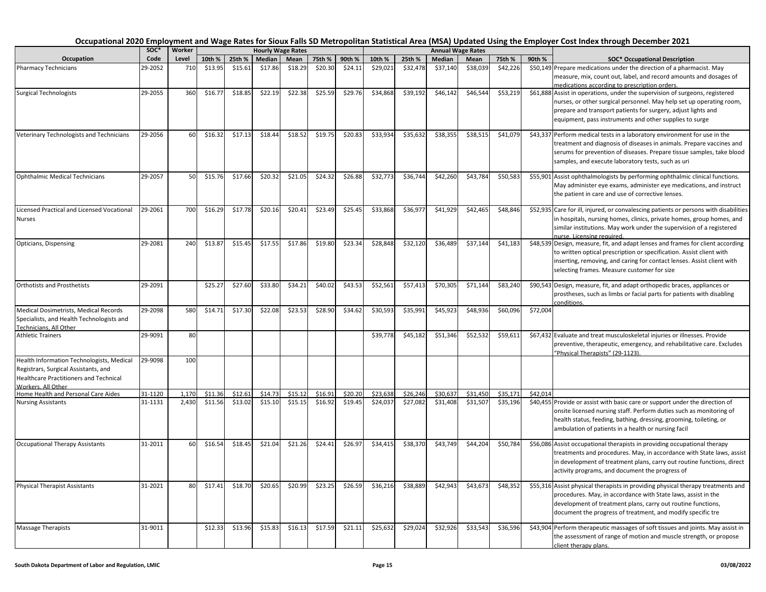|                                                                     | soc*    | Worker     |         |         |         | <b>Hourly Wage Rates</b> |         |         |          |          |          | <b>Annual Wage Rates</b> |          |          |                                                                                                                                                   |
|---------------------------------------------------------------------|---------|------------|---------|---------|---------|--------------------------|---------|---------|----------|----------|----------|--------------------------|----------|----------|---------------------------------------------------------------------------------------------------------------------------------------------------|
| Occupation                                                          | Code    | Level      | 10th %  | 25th %  | Median  | Mean                     | 75th %  | 90th %  | 10th %   | 25th %   | Median   | Mean                     | 75th %   | 90th %   | <b>SOC* Occupational Description</b>                                                                                                              |
| <b>Pharmacy Technicians</b>                                         | 29-2052 | 710        | \$13.95 | \$15.61 | \$17.86 | \$18.29                  | \$20.30 | \$24.11 | \$29,021 | \$32,478 | \$37,140 | \$38,039                 | \$42,226 |          | \$50,149 Prepare medications under the direction of a pharmacist. May                                                                             |
|                                                                     |         |            |         |         |         |                          |         |         |          |          |          |                          |          |          | measure, mix, count out, label, and record amounts and dosages of                                                                                 |
|                                                                     | 29-2055 |            |         |         |         |                          |         |         |          |          |          |                          |          |          | medications according to prescription orders.                                                                                                     |
| <b>Surgical Technologists</b>                                       |         | 360        | \$16.77 | \$18.85 | \$22.19 | \$22.38                  | \$25.59 | \$29.76 | \$34,868 | \$39,192 | \$46,142 | \$46,54                  | \$53,219 |          | \$61,888 Assist in operations, under the supervision of surgeons, registered                                                                      |
|                                                                     |         |            |         |         |         |                          |         |         |          |          |          |                          |          |          | nurses, or other surgical personnel. May help set up operating room,<br>prepare and transport patients for surgery, adjust lights and             |
|                                                                     |         |            |         |         |         |                          |         |         |          |          |          |                          |          |          | equipment, pass instruments and other supplies to surge                                                                                           |
|                                                                     |         |            |         |         |         |                          |         |         |          |          |          |                          |          |          |                                                                                                                                                   |
| Veterinary Technologists and Technicians                            | 29-2056 | 60         | \$16.32 | \$17.13 | \$18.44 | \$18.52                  | \$19.75 | \$20.83 | \$33,934 | \$35,632 | \$38,355 | \$38,515                 | \$41,079 |          | \$43,337 Perform medical tests in a laboratory environment for use in the                                                                         |
|                                                                     |         |            |         |         |         |                          |         |         |          |          |          |                          |          |          | treatment and diagnosis of diseases in animals. Prepare vaccines and                                                                              |
|                                                                     |         |            |         |         |         |                          |         |         |          |          |          |                          |          |          | serums for prevention of diseases. Prepare tissue samples, take blood                                                                             |
|                                                                     |         |            |         |         |         |                          |         |         |          |          |          |                          |          |          | samples, and execute laboratory tests, such as uri                                                                                                |
| Ophthalmic Medical Technicians                                      | 29-2057 | 50         | \$15.76 | \$17.66 | \$20.32 | \$21.05                  | \$24.32 | \$26.88 | \$32,773 | \$36,744 | \$42,260 | \$43,784                 | \$50,583 |          | \$55,901 Assist ophthalmologists by performing ophthalmic clinical functions.                                                                     |
|                                                                     |         |            |         |         |         |                          |         |         |          |          |          |                          |          |          | May administer eye exams, administer eye medications, and instruct                                                                                |
|                                                                     |         |            |         |         |         |                          |         |         |          |          |          |                          |          |          | the patient in care and use of corrective lenses.                                                                                                 |
|                                                                     |         |            |         |         |         |                          |         |         |          |          |          |                          |          |          |                                                                                                                                                   |
| Licensed Practical and Licensed Vocational                          | 29-2061 | 700        | \$16.29 | \$17.78 | \$20.16 | \$20.41                  | \$23.49 | \$25.45 | \$33,868 | \$36,977 | \$41,929 | \$42,465                 | \$48,846 |          | \$52,935 Care for ill, injured, or convalescing patients or persons with disabilities                                                             |
| Nurses                                                              |         |            |         |         |         |                          |         |         |          |          |          |                          |          |          | in hospitals, nursing homes, clinics, private homes, group homes, and                                                                             |
|                                                                     |         |            |         |         |         |                          |         |         |          |          |          |                          |          |          | similar institutions. May work under the supervision of a registered<br>nurse. Licensing required.                                                |
| Opticians, Dispensing                                               | 29-2081 | 240        | \$13.87 | \$15.45 | \$17.55 | \$17.86                  | \$19.80 | \$23.34 | \$28,848 | \$32,120 | \$36,489 | \$37,144                 | \$41,183 |          | \$48,539 Design, measure, fit, and adapt lenses and frames for client according                                                                   |
|                                                                     |         |            |         |         |         |                          |         |         |          |          |          |                          |          |          | to written optical prescription or specification. Assist client with                                                                              |
|                                                                     |         |            |         |         |         |                          |         |         |          |          |          |                          |          |          | inserting, removing, and caring for contact lenses. Assist client with                                                                            |
|                                                                     |         |            |         |         |         |                          |         |         |          |          |          |                          |          |          | selecting frames. Measure customer for size                                                                                                       |
| <b>Orthotists and Prosthetists</b>                                  | 29-2091 |            | \$25.27 | \$27.60 | \$33.80 | \$34.21                  | \$40.02 | \$43.53 | \$52,561 | \$57,413 | \$70,305 | \$71,144                 | \$83,240 |          | \$90,543 Design, measure, fit, and adapt orthopedic braces, appliances or                                                                         |
|                                                                     |         |            |         |         |         |                          |         |         |          |          |          |                          |          |          | prostheses, such as limbs or facial parts for patients with disabling                                                                             |
|                                                                     |         |            |         |         |         |                          |         |         |          |          |          |                          |          |          | conditions.                                                                                                                                       |
| Medical Dosimetrists, Medical Records                               | 29-2098 | <b>580</b> | \$14.71 | \$17.30 | \$22.08 | \$23.53                  | \$28.90 | \$34.62 | \$30,593 | \$35,991 | \$45,923 | \$48,936                 | \$60,096 | \$72,004 |                                                                                                                                                   |
| Specialists, and Health Technologists and                           |         |            |         |         |         |                          |         |         |          |          |          |                          |          |          |                                                                                                                                                   |
| Technicians. All Other<br><b>Athletic Trainers</b>                  | 29-9091 | 80         |         |         |         |                          |         |         | \$39,778 | \$45,182 | \$51,346 | \$52,532                 | \$59,611 |          | \$67,432 Evaluate and treat musculoskeletal injuries or illnesses. Provide                                                                        |
|                                                                     |         |            |         |         |         |                          |         |         |          |          |          |                          |          |          | preventive, therapeutic, emergency, and rehabilitative care. Excludes                                                                             |
|                                                                     |         |            |         |         |         |                          |         |         |          |          |          |                          |          |          | "Physical Therapists" (29-1123).                                                                                                                  |
| Health Information Technologists, Medical                           | 29-9098 | 100        |         |         |         |                          |         |         |          |          |          |                          |          |          |                                                                                                                                                   |
| Registrars, Surgical Assistants, and                                |         |            |         |         |         |                          |         |         |          |          |          |                          |          |          |                                                                                                                                                   |
| <b>Healthcare Practitioners and Technical</b><br>Workers, All Other |         |            |         |         |         |                          |         |         |          |          |          |                          |          |          |                                                                                                                                                   |
| Home Health and Personal Care Aides                                 | 31-1120 | 1,170      | \$11.36 | \$12.61 | \$14.73 | \$15.12                  | \$16.91 | \$20.20 | \$23,638 | \$26,246 | \$30,637 | \$31,450                 | \$35,171 | \$42,014 |                                                                                                                                                   |
| <b>Nursing Assistants</b>                                           | 31-1131 | 2,430      | \$11.56 | \$13.02 | \$15.10 | \$15.15                  | \$16.92 | \$19.45 | \$24,037 | \$27,082 | \$31,408 | \$31,507                 | \$35,196 |          | \$40,455 Provide or assist with basic care or support under the direction of                                                                      |
|                                                                     |         |            |         |         |         |                          |         |         |          |          |          |                          |          |          | onsite licensed nursing staff. Perform duties such as monitoring of                                                                               |
|                                                                     |         |            |         |         |         |                          |         |         |          |          |          |                          |          |          | health status, feeding, bathing, dressing, grooming, toileting, or                                                                                |
|                                                                     |         |            |         |         |         |                          |         |         |          |          |          |                          |          |          | ambulation of patients in a health or nursing facil                                                                                               |
| <b>Occupational Therapy Assistants</b>                              | 31-2011 | 60         | \$16.54 | \$18.45 | \$21.04 | \$21.26                  | \$24.41 | \$26.97 | \$34,415 | \$38,370 | \$43,749 | \$44,204                 | \$50,784 |          | \$56,086 Assist occupational therapists in providing occupational therapy                                                                         |
|                                                                     |         |            |         |         |         |                          |         |         |          |          |          |                          |          |          | treatments and procedures. May, in accordance with State laws, assist                                                                             |
|                                                                     |         |            |         |         |         |                          |         |         |          |          |          |                          |          |          | in development of treatment plans, carry out routine functions, direct                                                                            |
|                                                                     |         |            |         |         |         |                          |         |         |          |          |          |                          |          |          | activity programs, and document the progress of                                                                                                   |
|                                                                     |         |            |         |         |         |                          |         |         |          |          |          |                          |          |          |                                                                                                                                                   |
| <b>Physical Therapist Assistants</b>                                | 31-2021 | 80         | \$17.41 | \$18.70 | \$20.65 | \$20.99                  | \$23.25 | \$26.59 | \$36,216 | \$38,889 | \$42,943 | \$43,673                 | \$48,352 |          | \$55,316 Assist physical therapists in providing physical therapy treatments and<br>procedures. May, in accordance with State laws, assist in the |
|                                                                     |         |            |         |         |         |                          |         |         |          |          |          |                          |          |          | development of treatment plans, carry out routine functions,                                                                                      |
|                                                                     |         |            |         |         |         |                          |         |         |          |          |          |                          |          |          | document the progress of treatment, and modify specific tre                                                                                       |
|                                                                     |         |            |         |         |         |                          |         |         |          |          |          |                          |          |          |                                                                                                                                                   |
| <b>Massage Therapists</b>                                           | 31-9011 |            | \$12.33 | \$13.96 | \$15.83 | \$16.13                  | \$17.59 | \$21.11 | \$25,632 | \$29,024 | \$32,926 | \$33,543                 | \$36,596 |          | \$43,904 Perform therapeutic massages of soft tissues and joints. May assist in                                                                   |
|                                                                     |         |            |         |         |         |                          |         |         |          |          |          |                          |          |          | the assessment of range of motion and muscle strength, or propose                                                                                 |
|                                                                     |         |            |         |         |         |                          |         |         |          |          |          |                          |          |          | client therapy plans.                                                                                                                             |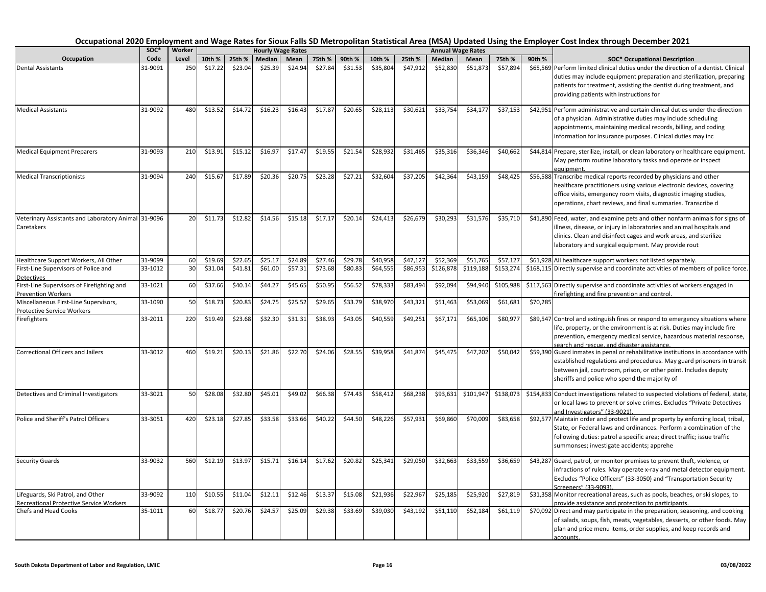|                                                                              | SOC*    | Worker |         |         |         | <b>Hourly Wage Rates</b> |         |         |          |          |           | <b>Annual Wage Rates</b> |           |                                                |                                                                                                                                                                                                                                                                                                                                 |
|------------------------------------------------------------------------------|---------|--------|---------|---------|---------|--------------------------|---------|---------|----------|----------|-----------|--------------------------|-----------|------------------------------------------------|---------------------------------------------------------------------------------------------------------------------------------------------------------------------------------------------------------------------------------------------------------------------------------------------------------------------------------|
| Occupation                                                                   | Code    | Level  | 10th %  | 25th %  | Median  | Mean                     | 75th %  | 90th %  | 10th %   | 25th %   | Median    | Mean                     | 75th %    | 90th %<br><b>SOC* Occupational Description</b> |                                                                                                                                                                                                                                                                                                                                 |
| <b>Dental Assistants</b>                                                     | 31-9091 | 250    | \$17.22 | \$23.04 | \$25.39 | \$24.94                  | \$27.84 | \$31.53 | \$35,804 | \$47,912 | \$52,830  | \$51,873                 | \$57,894  |                                                | \$65,569 Perform limited clinical duties under the direction of a dentist. Clinical<br>duties may include equipment preparation and sterilization, preparing<br>patients for treatment, assisting the dentist during treatment, and<br>providing patients with instructions for                                                 |
| <b>Medical Assistants</b>                                                    | 31-9092 | 480    | \$13.52 | \$14.72 | \$16.23 | \$16.43                  | \$17.87 | \$20.65 | \$28,113 | \$30,621 | \$33,754  | \$34,177                 | \$37,153  |                                                | \$42,951 Perform administrative and certain clinical duties under the direction<br>of a physician. Administrative duties may include scheduling<br>appointments, maintaining medical records, billing, and coding<br>information for insurance purposes. Clinical duties may inc                                                |
| <b>Medical Equipment Preparers</b>                                           | 31-9093 | 210    | \$13.91 | \$15.12 | \$16.97 | \$17.47                  | \$19.55 | \$21.54 | \$28,932 | \$31,465 | \$35,316  | \$36,346                 | \$40,662  |                                                | \$44,814 Prepare, sterilize, install, or clean laboratory or healthcare equipment.<br>May perform routine laboratory tasks and operate or inspect<br><u>equipment.</u>                                                                                                                                                          |
| <b>Medical Transcriptionists</b>                                             | 31-9094 | 240    | \$15.67 | \$17.89 | \$20.36 | \$20.75                  | \$23.28 | \$27.21 | \$32,604 | \$37,205 | \$42,364  | \$43,159                 | \$48,425  |                                                | \$56,588 Transcribe medical reports recorded by physicians and other<br>healthcare practitioners using various electronic devices, covering<br>office visits, emergency room visits, diagnostic imaging studies,<br>operations, chart reviews, and final summaries. Transcribe d                                                |
| Veterinary Assistants and Laboratory Animal 31-9096<br>Caretakers            |         | 20     | \$11.73 | \$12.82 | \$14.56 | \$15.18                  | \$17.17 | \$20.14 | \$24,413 | \$26,679 | \$30,293  | \$31,576                 | \$35,710  |                                                | \$41,890 Feed, water, and examine pets and other nonfarm animals for signs of<br>illness, disease, or injury in laboratories and animal hospitals and<br>clinics. Clean and disinfect cages and work areas, and sterilize<br>laboratory and surgical equipment. May provide rout                                                |
| Healthcare Support Workers, All Other                                        | 31-9099 | 60     | \$19.69 | \$22.65 | \$25.17 | \$24.89                  | \$27.46 | \$29.78 | \$40,958 | \$47,127 | \$52,369  | \$51,765                 | \$57,127  |                                                | \$61,928 All healthcare support workers not listed separately                                                                                                                                                                                                                                                                   |
| First-Line Supervisors of Police and<br>Detectives                           | 33-1012 | 30     | \$31.04 | \$41.81 | \$61.00 | \$57.31                  | \$73.68 | \$80.83 | \$64,555 | \$86,953 | \$126,878 | \$119,188                | \$153,274 |                                                | \$168,115 Directly supervise and coordinate activities of members of police force.                                                                                                                                                                                                                                              |
| First-Line Supervisors of Firefighting and                                   | 33-1021 | 60     | \$37.66 | \$40.14 | \$44.27 | \$45.65                  | \$50.95 | \$56.52 | \$78,333 | \$83,494 | \$92,094  | \$94,940                 | \$105,988 |                                                | \$117,563 Directly supervise and coordinate activities of workers engaged in                                                                                                                                                                                                                                                    |
| Prevention Workers<br>Miscellaneous First-Line Supervisors,                  | 33-1090 | 50     | \$18.73 | \$20.83 | \$24.75 | \$25.52                  | \$29.65 | \$33.79 | \$38,970 | \$43,321 | \$51,463  | \$53,069                 | \$61,681  | \$70,285                                       | firefighting and fire prevention and control.                                                                                                                                                                                                                                                                                   |
| Protective Service Workers<br>Firefighters                                   | 33-2011 | 220    | \$19.49 | \$23.68 | \$32.30 | \$31.31                  | \$38.93 | \$43.05 | \$40,559 | \$49,251 | \$67,171  | \$65,106                 | \$80,977  |                                                | \$89,547 Control and extinguish fires or respond to emergency situations where<br>life, property, or the environment is at risk. Duties may include fire<br>prevention, emergency medical service, hazardous material response,                                                                                                 |
| <b>Correctional Officers and Jailers</b>                                     | 33-3012 | 460    | \$19.21 | \$20.13 | \$21.86 | \$22.70                  | \$24.06 | \$28.55 | \$39,958 | \$41,874 | \$45,475  | \$47,202                 | \$50,042  |                                                | search and rescue, and disaster assistance.<br>\$59,390 Guard inmates in penal or rehabilitative institutions in accordance with<br>established regulations and procedures. May guard prisoners in transit<br>between jail, courtroom, prison, or other point. Includes deputy<br>sheriffs and police who spend the majority of |
| Detectives and Criminal Investigators                                        | 33-3021 | 50     | \$28.08 | \$32.80 | \$45.01 | \$49.02                  | \$66.38 | \$74.43 | \$58,412 | \$68,238 | \$93,631  | \$101,947                | \$138,073 |                                                | \$154,833 Conduct investigations related to suspected violations of federal, state,<br>or local laws to prevent or solve crimes. Excludes "Private Detectives<br>and Investigators" (33-9021).                                                                                                                                  |
| Police and Sheriff's Patrol Officers                                         | 33-3051 | 420    | \$23.18 | \$27.85 | \$33.58 | \$33.66                  | \$40.22 | \$44.50 | \$48,226 | \$57,931 | \$69,860  | \$70,009                 | \$83,658  |                                                | \$92,577 Maintain order and protect life and property by enforcing local, tribal,<br>State, or Federal laws and ordinances. Perform a combination of the<br>following duties: patrol a specific area; direct traffic; issue traffic<br>summonses; investigate accidents; apprehe                                                |
| <b>Security Guards</b>                                                       | 33-9032 | 560    | \$12.19 | \$13.97 | \$15.71 | \$16.14                  | \$17.62 | \$20.82 | \$25,341 | \$29,050 | \$32,663  | \$33,559                 | \$36,659  |                                                | \$43,287 Guard, patrol, or monitor premises to prevent theft, violence, or<br>infractions of rules. May operate x-ray and metal detector equipment.<br>Excludes "Police Officers" (33-3050) and "Transportation Security<br>Screeners" (33-9093)                                                                                |
| Lifeguards, Ski Patrol, and Other<br>Recreational Protective Service Workers | 33-9092 | 110    | \$10.55 | \$11.04 | \$12.11 | \$12.46                  | \$13.37 | \$15.08 | \$21,936 | \$22,967 | \$25,185  | \$25,920                 | \$27,819  |                                                | \$31,358 Monitor recreational areas, such as pools, beaches, or ski slopes, to<br>provide assistance and protection to participants.                                                                                                                                                                                            |
| Chefs and Head Cooks                                                         | 35-1011 | 60     | \$18.7  | \$20.76 | \$24.57 | \$25.09                  | \$29.38 | \$33.69 | \$39,030 | \$43,192 | \$51,110  | \$52,184                 | \$61,119  |                                                | \$70,092 Direct and may participate in the preparation, seasoning, and cooking<br>of salads, soups, fish, meats, vegetables, desserts, or other foods. May<br>plan and price menu items, order supplies, and keep records and<br>accounts.                                                                                      |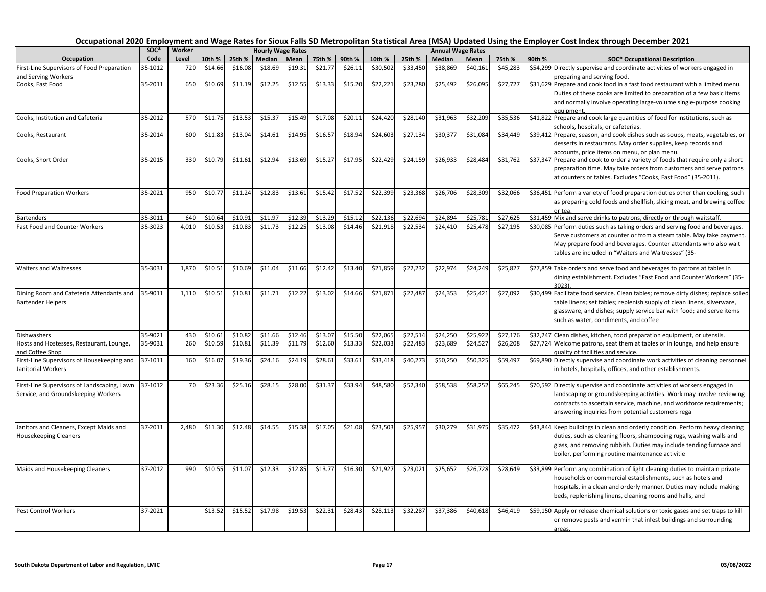|                                                                                    | SOC*    | Worker |         |         |         | <b>Hourly Wage Rates</b> |         |         |          |          | <b>Annual Wage Rates</b> |          |          |        |                                                                                                                                                                                                                                                                                  |
|------------------------------------------------------------------------------------|---------|--------|---------|---------|---------|--------------------------|---------|---------|----------|----------|--------------------------|----------|----------|--------|----------------------------------------------------------------------------------------------------------------------------------------------------------------------------------------------------------------------------------------------------------------------------------|
| Occupation                                                                         | Code    | Level  | 10th %  | 25th %  | Median  | Mean                     | 75th %  | 90th %  | 10th %   | 25th %   | Median                   | Mean     | 75th %   | 90th % | <b>SOC* Occupational Description</b>                                                                                                                                                                                                                                             |
| First-Line Supervisors of Food Preparation                                         | 35-1012 | 720    | \$14.66 | \$16.08 | \$18.69 | \$19.31                  | \$21.77 | \$26.11 | \$30,502 | \$33,450 | \$38,869                 | \$40,161 | \$45,283 |        | \$54,299 Directly supervise and coordinate activities of workers engaged in                                                                                                                                                                                                      |
| and Serving Workers                                                                |         |        |         |         |         |                          |         |         |          |          |                          |          |          |        | preparing and serving food.                                                                                                                                                                                                                                                      |
| Cooks, Fast Food                                                                   | 35-2011 | 650    | \$10.69 | \$11.19 | \$12.25 | \$12.55                  | \$13.33 | \$15.20 | \$22,221 | \$23,280 | \$25,492                 | \$26,095 | \$27,727 |        | \$31,629 Prepare and cook food in a fast food restaurant with a limited menu.<br>Duties of these cooks are limited to preparation of a few basic items<br>and normally involve operating large-volume single-purpose cooking<br>equipment.                                       |
| Cooks, Institution and Cafeteria                                                   | 35-2012 | 570    | \$11.75 | \$13.53 | \$15.37 | \$15.49                  | \$17.08 | \$20.11 | \$24,420 | \$28,140 | \$31,963                 | \$32,209 | \$35,536 |        | \$41,822 Prepare and cook large quantities of food for institutions, such as<br>schools, hospitals, or cafeterias.                                                                                                                                                               |
| Cooks, Restaurant                                                                  | 35-2014 | 600    | \$11.83 | \$13.04 | \$14.61 | \$14.95                  | \$16.5  | \$18.94 | \$24,603 | \$27,134 | \$30,377                 | \$31,084 | \$34,449 |        | \$39,412 Prepare, season, and cook dishes such as soups, meats, vegetables, or<br>desserts in restaurants. May order supplies, keep records and<br>accounts, price items on menu, or plan menu.                                                                                  |
| Cooks, Short Order                                                                 | 35-2015 | 330    | \$10.79 | \$11.61 | \$12.94 | \$13.69                  | \$15.2  | \$17.95 | \$22,429 | \$24,159 | \$26,933                 | \$28,484 | \$31,762 |        | \$37,347 Prepare and cook to order a variety of foods that require only a short<br>preparation time. May take orders from customers and serve patrons<br>at counters or tables. Excludes "Cooks, Fast Food" (35-2011).                                                           |
| Food Preparation Workers                                                           | 35-2021 | 950    | \$10.77 | \$11.24 | \$12.83 | \$13.61                  | \$15.42 | \$17.52 | \$22,399 | \$23,368 | \$26,706                 | \$28,309 | \$32,066 |        | \$36,451 Perform a variety of food preparation duties other than cooking, such<br>as preparing cold foods and shellfish, slicing meat, and brewing coffee                                                                                                                        |
| <b>Bartenders</b>                                                                  | 35-3011 | 640    | \$10.64 | \$10.91 | \$11.97 | \$12.39                  | \$13.29 | \$15.12 | \$22,136 | \$22,694 | \$24,894                 | \$25,78  | \$27,625 |        | \$31,459 Mix and serve drinks to patrons, directly or through waitstaff.                                                                                                                                                                                                         |
| Fast Food and Counter Workers                                                      | 35-3023 | 4,010  | \$10.53 | \$10.83 | \$11.73 | \$12.25                  | \$13.08 | \$14.46 | \$21,918 | \$22,534 | \$24,410                 | \$25,478 | \$27,195 |        | \$30,085 Perform duties such as taking orders and serving food and beverages.<br>Serve customers at counter or from a steam table. May take payment.<br>May prepare food and beverages. Counter attendants who also wait<br>tables are included in "Waiters and Waitresses" (35- |
| <b>Waiters and Waitresses</b>                                                      | 35-3031 | 1,870  | \$10.51 | \$10.69 | \$11.04 | \$11.66                  | \$12.42 | \$13.40 | \$21,859 | \$22,232 | \$22,974                 | \$24,249 | \$25,827 |        | \$27,859 Take orders and serve food and beverages to patrons at tables in<br>dining establishment. Excludes "Fast Food and Counter Workers" (35-<br>3023)                                                                                                                        |
| Dining Room and Cafeteria Attendants and<br><b>Bartender Helpers</b>               | 35-9011 | 1.110  | \$10.51 | \$10.81 | \$11.71 | \$12.22                  | \$13.02 | \$14.66 | \$21,871 | \$22,487 | \$24,353                 | \$25,421 | \$27,092 |        | \$30,499 Facilitate food service. Clean tables; remove dirty dishes; replace soiled<br>table linens; set tables; replenish supply of clean linens, silverware,<br>glassware, and dishes; supply service bar with food; and serve items<br>such as water, condiments, and coffee  |
| Dishwashers                                                                        | 35-9021 | 430    | \$10.6  | \$10.82 | \$11.66 | \$12.46                  | \$13.07 | \$15.50 | \$22,065 | \$22,514 | \$24,250                 | \$25,922 | \$27,176 |        | \$32,247 Clean dishes, kitchen, food preparation equipment, or utensils.                                                                                                                                                                                                         |
| Hosts and Hostesses, Restaurant, Lounge,<br>and Coffee Shop                        | 35-9031 | 260    | \$10.59 | \$10.81 | \$11.39 | \$11.79                  | \$12.60 | \$13.33 | \$22,033 | \$22,483 | \$23,689                 | \$24,527 | \$26,208 |        | \$27,724 Welcome patrons, seat them at tables or in lounge, and help ensure<br>quality of facilities and service.                                                                                                                                                                |
| First-Line Supervisors of Housekeeping and<br>Janitorial Workers                   | 37-1011 | 160    | \$16.07 | \$19.36 | \$24.16 | \$24.19                  | \$28.61 | \$33.61 | \$33,418 | \$40,273 | \$50,250                 | \$50,32  | \$59,49  |        | \$69,890 Directly supervise and coordinate work activities of cleaning personnel<br>in hotels, hospitals, offices, and other establishments.                                                                                                                                     |
| First-Line Supervisors of Landscaping, Lawn<br>Service, and Groundskeeping Workers | 37-1012 | 70     | \$23.36 | \$25.16 | \$28.15 | \$28.00                  | \$31.3  | \$33.94 | \$48,580 | \$52,340 | \$58,538                 | \$58,252 | \$65,245 |        | \$70,592 Directly supervise and coordinate activities of workers engaged in<br>landscaping or groundskeeping activities. Work may involve reviewing<br>contracts to ascertain service, machine, and workforce requirements;<br>answering inquiries from potential customers rega |
| Janitors and Cleaners, Except Maids and<br><b>Housekeeping Cleaners</b>            | 37-2011 | 2,480  | \$11.30 | \$12.48 | \$14.55 | \$15.38                  | \$17.05 | \$21.08 | \$23,503 | \$25,957 | \$30,279                 | \$31,975 | \$35,472 |        | \$43,844 Keep buildings in clean and orderly condition. Perform heavy cleaning<br>duties, such as cleaning floors, shampooing rugs, washing walls and<br>glass, and removing rubbish. Duties may include tending furnace and<br>boiler, performing routine maintenance activitie |
| Maids and Housekeeping Cleaners                                                    | 37-2012 | 990    | \$10.55 | \$11.07 | \$12.33 | \$12.85                  | \$13.77 | \$16.30 | \$21,927 | \$23,021 | \$25,652                 | \$26,728 | \$28,649 |        | \$33,899 Perform any combination of light cleaning duties to maintain private<br>households or commercial establishments, such as hotels and<br>hospitals, in a clean and orderly manner. Duties may include making<br>beds, replenishing linens, cleaning rooms and halls, and  |
| Pest Control Workers                                                               | 37-2021 |        | \$13.52 | \$15.52 | \$17.98 | \$19.53                  | \$22.31 | \$28.43 | \$28,113 | \$32,287 | \$37,386                 | \$40,618 | \$46,419 |        | \$59,150 Apply or release chemical solutions or toxic gases and set traps to kill<br>or remove pests and vermin that infest buildings and surrounding<br>areas.                                                                                                                  |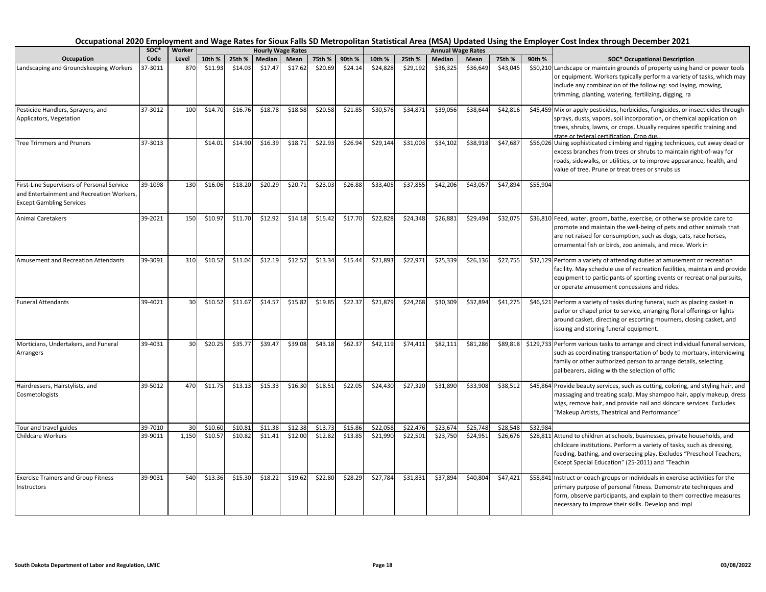| Occupation                                                                                                                 | soc*    | Worker |         |         |         | <b>Hourly Wage Rates</b> |         |         |          |          |          | <b>Annual Wage Rates</b> |          |          |                                                                                                                                                                                                                                                                                   |
|----------------------------------------------------------------------------------------------------------------------------|---------|--------|---------|---------|---------|--------------------------|---------|---------|----------|----------|----------|--------------------------|----------|----------|-----------------------------------------------------------------------------------------------------------------------------------------------------------------------------------------------------------------------------------------------------------------------------------|
|                                                                                                                            | Code    | Level  | 10th %  | 25th %  | Median  | Mean                     | 75th %  | 90th %  | 10th %   | 25th %   | Median   | Mean                     | 75th %   | 90th %   | <b>SOC* Occupational Description</b>                                                                                                                                                                                                                                              |
| Landscaping and Groundskeeping Workers                                                                                     | 37-3011 | 870    | \$11.93 | \$14.03 | \$17.47 | \$17.62                  | \$20.69 | \$24.14 | \$24,828 | \$29,192 | \$36,325 | \$36,649                 | \$43,045 |          | \$50,210 Landscape or maintain grounds of property using hand or power tools<br>or equipment. Workers typically perform a variety of tasks, which may<br>include any combination of the following: sod laying, mowing,<br>trimming, planting, watering, fertilizing, digging, ra  |
| Pesticide Handlers, Sprayers, and<br>Applicators, Vegetation                                                               | 37-3012 | 100    | \$14.70 | \$16.76 | \$18.78 | \$18.58                  | \$20.58 | \$21.85 | \$30,576 | \$34,871 | \$39,056 | \$38,644                 | \$42,816 |          | \$45,459 Mix or apply pesticides, herbicides, fungicides, or insecticides through<br>sprays, dusts, vapors, soil incorporation, or chemical application on<br>trees, shrubs, lawns, or crops. Usually requires specific training and<br>state or federal certification. Crop dus  |
| <b>Tree Trimmers and Pruners</b>                                                                                           | 37-3013 |        | \$14.01 | \$14.90 | \$16.39 | \$18.71                  | \$22.93 | \$26.94 | \$29,144 | \$31,003 | \$34,102 | \$38,918                 | \$47,687 |          | \$56,026 Using sophisticated climbing and rigging techniques, cut away dead or<br>excess branches from trees or shrubs to maintain right-of-way for<br>roads, sidewalks, or utilities, or to improve appearance, health, and<br>value of tree. Prune or treat trees or shrubs us  |
| First-Line Supervisors of Personal Service<br>and Entertainment and Recreation Workers,<br><b>Except Gambling Services</b> | 39-1098 | 130    | \$16.06 | \$18.20 | \$20.29 | \$20.71                  | \$23.03 | \$26.88 | \$33,405 | \$37,855 | \$42,206 | \$43,057                 | \$47,894 | \$55,904 |                                                                                                                                                                                                                                                                                   |
| <b>Animal Caretakers</b>                                                                                                   | 39-2021 | 150    | \$10.97 | \$11.70 | \$12.92 | \$14.18                  | \$15.42 | \$17.70 | \$22,828 | \$24,348 | \$26,881 | \$29,494                 | \$32,075 |          | \$36,810 Feed, water, groom, bathe, exercise, or otherwise provide care to<br>promote and maintain the well-being of pets and other animals that<br>are not raised for consumption, such as dogs, cats, race horses,<br>ornamental fish or birds, zoo animals, and mice. Work in  |
| Amusement and Recreation Attendants                                                                                        | 39-3091 | 310    | \$10.52 | \$11.04 | \$12.19 | \$12.57                  | \$13.34 | \$15.44 | \$21,893 | \$22,971 | \$25,339 | \$26,136                 | \$27,755 |          | \$32,129 Perform a variety of attending duties at amusement or recreation<br>facility. May schedule use of recreation facilities, maintain and provide<br>equipment to participants of sporting events or recreational pursuits,<br>or operate amusement concessions and rides.   |
| <b>Funeral Attendants</b>                                                                                                  | 39-4021 | 30     | \$10.52 | \$11.67 | \$14.57 | \$15.82                  | \$19.85 | \$22.37 | \$21,879 | \$24,268 | \$30,309 | \$32,894                 | \$41,275 |          | \$46,521 Perform a variety of tasks during funeral, such as placing casket in<br>parlor or chapel prior to service, arranging floral offerings or lights<br>around casket, directing or escorting mourners, closing casket, and<br>issuing and storing funeral equipment.         |
| Morticians, Undertakers, and Funeral<br>Arrangers                                                                          | 39-4031 | 30     | \$20.25 | \$35.77 | \$39.47 | \$39.08                  | \$43.18 | \$62.37 | \$42,119 | \$74,411 | \$82,111 | \$81,286                 | \$89,818 |          | \$129,733 Perform various tasks to arrange and direct individual funeral services,<br>such as coordinating transportation of body to mortuary, interviewing<br>family or other authorized person to arrange details, selecting<br>pallbearers, aiding with the selection of offic |
| Hairdressers, Hairstylists, and<br>Cosmetologists                                                                          | 39-5012 | 470    | \$11.75 | \$13.13 | \$15.33 | \$16.30                  | \$18.51 | \$22.05 | \$24,430 | \$27,320 | \$31,890 | \$33,908                 | \$38,512 |          | \$45,864 Provide beauty services, such as cutting, coloring, and styling hair, and<br>massaging and treating scalp. May shampoo hair, apply makeup, dress<br>wigs, remove hair, and provide nail and skincare services. Excludes<br>"Makeup Artists, Theatrical and Performance"  |
| Tour and travel guides                                                                                                     | 39-7010 | 30     | \$10.60 | \$10.81 | \$11.38 | \$12.38                  | \$13.73 | \$15.86 | \$22,058 | \$22,476 | \$23,674 | \$25,748                 | \$28,548 | \$32,984 |                                                                                                                                                                                                                                                                                   |
| <b>Childcare Workers</b>                                                                                                   | 39-9011 | 1,150  | \$10.57 | \$10.82 | \$11.41 | \$12.00                  | \$12.82 | \$13.85 | \$21,990 | \$22,501 | \$23,750 | \$24,951                 | \$26,676 |          | \$28,811 Attend to children at schools, businesses, private households, and<br>childcare institutions. Perform a variety of tasks, such as dressing,<br>feeding, bathing, and overseeing play. Excludes "Preschool Teachers,<br>Except Special Education" (25-2011) and "Teachin  |
| <b>Exercise Trainers and Group Fitness</b><br>Instructors                                                                  | 39-9031 | 540    | \$13.36 | \$15.30 | \$18.22 | \$19.62                  | \$22.80 | \$28.29 | \$27,784 | \$31,831 | \$37,894 | \$40,804                 | \$47,421 |          | \$58,841 Instruct or coach groups or individuals in exercise activities for the<br>primary purpose of personal fitness. Demonstrate techniques and<br>form, observe participants, and explain to them corrective measures<br>necessary to improve their skills. Develop and impl  |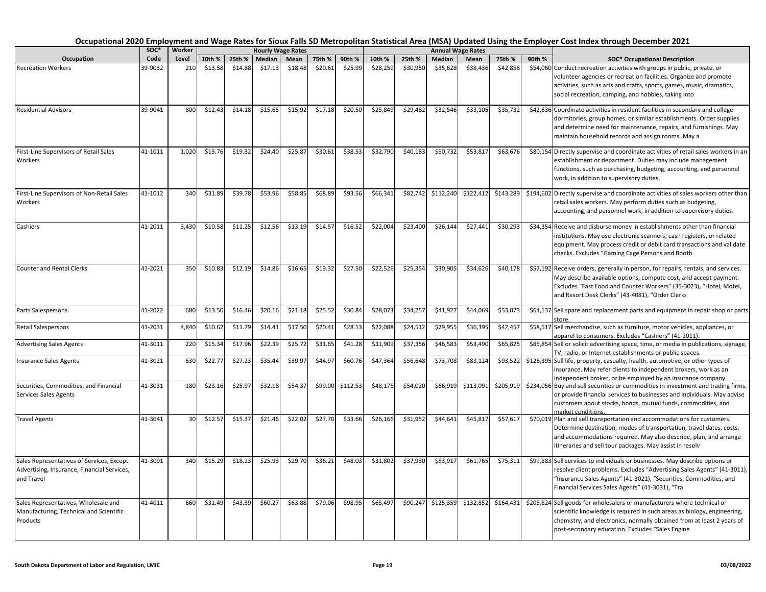|                                                                                                        | SOC*    | Worker |         |         |         | <b>Hourly Wage Rates</b> |         |          |          |          |           | <b>Annual Wage Rates</b> |           |        |                                                                                                                                                                                                                                                                                   |
|--------------------------------------------------------------------------------------------------------|---------|--------|---------|---------|---------|--------------------------|---------|----------|----------|----------|-----------|--------------------------|-----------|--------|-----------------------------------------------------------------------------------------------------------------------------------------------------------------------------------------------------------------------------------------------------------------------------------|
| Occupation                                                                                             | Code    | Level  | 10th %  | 25th %  | Median  | Mean                     | 75th %  | 90th %   | 10th %   | 25th %   | Median    | Mean                     | 75th %    | 90th % | <b>SOC* Occupational Description</b>                                                                                                                                                                                                                                              |
| <b>Recreation Workers</b>                                                                              | 39-9032 | 210    | \$13.58 | \$14.88 | \$17.13 | \$18.48                  | \$20.61 | \$25.99  | \$28,259 | \$30,950 | \$35,628  | \$38,436                 | \$42,858  |        | \$54,060 Conduct recreation activities with groups in public, private, or<br>volunteer agencies or recreation facilities. Organize and promote<br>activities, such as arts and crafts, sports, games, music, dramatics,<br>social recreation, camping, and hobbies, taking into   |
| <b>Residential Advisors</b>                                                                            | 39-9041 | 800    | \$12.43 | \$14.18 | \$15.65 | \$15.92                  | \$17.18 | \$20.50  | \$25,849 | \$29,482 | \$32,546  | \$33,105                 | \$35,732  |        | \$42,636 Coordinate activities in resident facilities in secondary and college<br>dormitories, group homes, or similar establishments. Order supplies<br>and determine need for maintenance, repairs, and furnishings. May<br>maintain household records and assign rooms. May a  |
| First-Line Supervisors of Retail Sales<br>Workers                                                      | 41-1011 | 1,020  | \$15.76 | \$19.32 | \$24.40 | \$25.87                  | \$30.61 | 538.53   | \$32,790 | \$40,183 | \$50,732  | \$53,817                 | \$63,676  |        | \$80,154 Directly supervise and coordinate activities of retail sales workers in an<br>establishment or department. Duties may include management<br>functions, such as purchasing, budgeting, accounting, and personnel<br>work, in addition to supervisory duties.              |
| First-Line Supervisors of Non-Retail Sales<br>Workers                                                  | 41-1012 | 340    | \$31.89 | \$39.78 | \$53.96 | \$58.85                  | \$68.89 | \$93.56  | \$66,341 | \$82,742 | \$112,240 | \$122,412                | \$143,289 |        | \$194,602 Directly supervise and coordinate activities of sales workers other than<br>retail sales workers. May perform duties such as budgeting,<br>accounting, and personnel work, in addition to supervisory duties.                                                           |
| Cashiers                                                                                               | 41-2011 | 3,430  | \$10.58 | \$11.25 | \$12.56 | \$13.19                  | \$14.57 | \$16.52  | \$22,004 | \$23,400 | \$26,144  | \$27,441                 | \$30,293  |        | \$34,354 Receive and disburse money in establishments other than financial<br>institutions. May use electronic scanners, cash registers, or related<br>equipment. May process credit or debit card transactions and validate<br>checks. Excludes "Gaming Cage Persons and Booth   |
| <b>Counter and Rental Clerks</b>                                                                       | 41-2021 | 350    | \$10.83 | \$12.19 | \$14.86 | \$16.65                  | \$19.32 | \$27.50  | \$22,526 | \$25,354 | \$30,905  | \$34,626                 | \$40,178  |        | \$57,192 Receive orders, generally in person, for repairs, rentals, and services.<br>May describe available options, compute cost, and accept payment.<br>Excludes "Fast Food and Counter Workers" (35-3023), "Hotel, Motel,<br>and Resort Desk Clerks" (43-4081), "Order Clerks  |
| Parts Salespersons                                                                                     | 41-2022 | 680    | \$13.50 | \$16.46 | \$20.16 | \$21.18                  | \$25.52 | \$30.84  | \$28,073 | \$34,257 | \$41,92   | \$44,069                 | \$53,073  |        | \$64,137 Sell spare and replacement parts and equipment in repair shop or parts<br>store.                                                                                                                                                                                         |
| <b>Retail Salespersons</b>                                                                             | 41-2031 | 4.840  | \$10.62 | \$11.79 | \$14.41 | \$17.50                  | \$20.41 | \$28.13  | \$22,088 | \$24,512 | \$29,95   | \$36,395                 | \$42,457  |        | \$58,517 Sell merchandise, such as furniture, motor vehicles, appliances, or<br>spparel to consumers. Excludes "Cashiers" (41-2011).                                                                                                                                              |
| <b>Advertising Sales Agents</b>                                                                        | 41-3011 | 220    | \$15.34 | \$17.96 | \$22.39 | \$25.72                  | \$31.65 | \$41.28  | \$31,909 | \$37,356 | \$46,583  | \$53,490                 | \$65,825  |        | \$85,854 Sell or solicit advertising space, time, or media in publications, signage,<br>TV, radio, or Internet establishments or public spaces.                                                                                                                                   |
| <b>Insurance Sales Agents</b>                                                                          | 41-3021 | 630    | \$22.77 | \$27.23 | \$35.44 | \$39.97                  | \$44.97 | \$60.76  | \$47,364 | \$56,648 | \$73,708  | \$83,124                 | \$93,52   |        | \$126,395 Sell life, property, casualty, health, automotive, or other types of<br>insurance. May refer clients to independent brokers, work as an<br>independent broker, or be employed by an insurance company.                                                                  |
| Securities, Commodities, and Financial<br>Services Sales Agents                                        | 41-3031 | 180    | \$23.16 | \$25.97 | \$32.18 | \$54.37                  | \$99.00 | \$112.53 | \$48,175 | \$54,020 | \$66,919  | \$113,091                | \$205,919 |        | \$234,056 Buy and sell securities or commodities in investment and trading firms,<br>or provide financial services to businesses and individuals. May advise<br>customers about stocks, bonds, mutual funds, commodities, and<br>market conditions.                               |
| <b>Travel Agents</b>                                                                                   | 41-3041 | 30     | \$12.57 | \$15.37 | \$21.46 | \$22.02                  | \$27.70 | \$33.66  | \$26,166 | \$31,952 | \$44,641  | \$45,817                 | \$57,617  |        | \$70,019 Plan and sell transportation and accommodations for customers.<br>Determine destination, modes of transportation, travel dates, costs,<br>and accommodations required. May also describe, plan, and arrange<br>itineraries and sell tour packages. May assist in resolv  |
| Sales Representatives of Services, Except<br>Advertising, Insurance, Financial Services,<br>and Travel | 41-3091 | 340    | \$15.29 | \$18.23 | \$25.93 | \$29.70                  | \$36.21 | \$48.03  | \$31,802 | \$37,930 | \$53,917  | \$61,765                 | \$75,311  |        | \$99,883 Sell services to individuals or businesses. May describe options or<br>resolve client problems. Excludes "Advertising Sales Agents" (41-3011),<br>"Insurance Sales Agents" (41-3021), "Securities, Commodities, and<br>Financial Services Sales Agents" (41-3031), "Tra  |
| Sales Representatives, Wholesale and<br>Manufacturing, Technical and Scientific<br>Products            | 41-4011 | 660    | \$31.49 | \$43.39 | \$60.27 | \$63.88                  | \$79.06 | \$98.95  | \$65,497 | \$90,247 | \$125,359 | \$132,852                | \$164,431 |        | \$205,824 Sell goods for wholesalers or manufacturers where technical or<br>scientific knowledge is required in such areas as biology, engineering,<br>chemistry, and electronics, normally obtained from at least 2 years of<br>post-secondary education. Excludes "Sales Engine |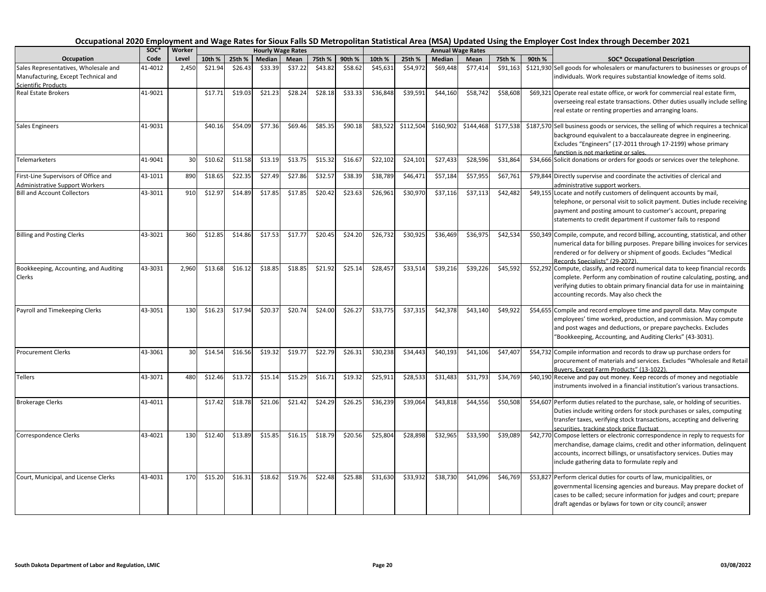|                                                                               | soc*    | Worker |         |         | <b>Hourly Wage Rates</b> |         |         |         |          |           | <b>Annual Wage Rates</b> |           |           |        |                                                                                                                                                                                                                                                                                  |
|-------------------------------------------------------------------------------|---------|--------|---------|---------|--------------------------|---------|---------|---------|----------|-----------|--------------------------|-----------|-----------|--------|----------------------------------------------------------------------------------------------------------------------------------------------------------------------------------------------------------------------------------------------------------------------------------|
| Occupation                                                                    | Code    | Level  | 10th %  | 25th %  | Median                   | Mean    | 75th %  | 90th %  | 10th %   | 25th %    | Median                   | Mean      | 75th %    | 90th % | <b>SOC* Occupational Description</b>                                                                                                                                                                                                                                             |
| Sales Representatives, Wholesale and<br>Manufacturing, Except Technical and   | 41-4012 | 2,450  | \$21.94 | \$26.43 | \$33.39                  | \$37.22 | \$43.82 | \$58.62 | \$45,631 | \$54,972  | \$69,448                 | \$77,414  | \$91,163  |        | \$121,930 Sell goods for wholesalers or manufacturers to businesses or groups of<br>ndividuals. Work requires substantial knowledge of items sold.                                                                                                                               |
| Scientific Products                                                           |         |        |         |         |                          |         |         |         |          |           |                          |           |           |        |                                                                                                                                                                                                                                                                                  |
| <b>Real Estate Brokers</b>                                                    | 41-9021 |        | \$17.71 | \$19.03 | \$21.23                  | \$28.24 | \$28.18 | \$33.33 | \$36,848 | \$39,591  | \$44,160                 | \$58,742  | \$58,608  |        | \$69,321 Operate real estate office, or work for commercial real estate firm,<br>overseeing real estate transactions. Other duties usually include selling<br>real estate or renting properties and arranging loans.                                                             |
| <b>Sales Engineers</b>                                                        | 41-9031 |        | \$40.16 | \$54.09 | \$77.36                  | \$69.46 | \$85.35 | \$90.18 | \$83,522 | \$112,504 | \$160,902                | \$144,468 | \$177,538 |        | \$187,570 Sell business goods or services, the selling of which requires a technical<br>background equivalent to a baccalaureate degree in engineering.<br>Excludes "Engineers" (17-2011 through 17-2199) whose primary<br>function is not marketing or sales.                   |
| Telemarketers                                                                 | 41-9041 | 30     | \$10.62 | \$11.58 | \$13.19                  | \$13.75 | \$15.32 | \$16.67 | \$22,102 | \$24,101  | \$27,433                 | \$28,596  | \$31,864  |        | \$34,666 Solicit donations or orders for goods or services over the telephone.                                                                                                                                                                                                   |
| First-Line Supervisors of Office and<br><b>Administrative Support Workers</b> | 43-1011 | 890    | \$18.65 | \$22.35 | \$27.49                  | \$27.86 | \$32.57 | \$38.39 | \$38,789 | \$46,471  | \$57,184                 | \$57,955  | \$67,761  |        | \$79,844 Directly supervise and coordinate the activities of clerical and<br>administrative support workers.                                                                                                                                                                     |
| <b>Bill and Account Collectors</b>                                            | 43-3011 | 910    | \$12.97 | \$14.89 | \$17.85                  | \$17.85 | \$20.42 | \$23.63 | \$26,961 | \$30,970  | \$37,116                 | \$37,113  | \$42,482  |        | \$49,155 Locate and notify customers of delinquent accounts by mail,<br>telephone, or personal visit to solicit payment. Duties include receiving<br>payment and posting amount to customer's account, preparing<br>statements to credit department if customer fails to respond |
| <b>Billing and Posting Clerks</b>                                             | 43-3021 | 360    | \$12.85 | \$14.86 | \$17.53                  | \$17.77 | \$20.45 | \$24.20 | \$26,732 | \$30,925  | \$36,469                 | \$36,975  | \$42,534  |        | \$50,349 Compile, compute, and record billing, accounting, statistical, and other<br>numerical data for billing purposes. Prepare billing invoices for services<br>rendered or for delivery or shipment of goods. Excludes "Medical<br>Records Specialists" (29-2072).           |
| Bookkeeping, Accounting, and Auditing<br>Clerks                               | 43-3031 | 2,960  | \$13.68 | \$16.12 | \$18.85                  | \$18.85 | \$21.92 | \$25.14 | \$28,457 | \$33,514  | \$39,216                 | \$39,226  | \$45,592  |        | \$52,292 Compute, classify, and record numerical data to keep financial records<br>complete. Perform any combination of routine calculating, posting, and<br>verifying duties to obtain primary financial data for use in maintaining<br>accounting records. May also check the  |
| Payroll and Timekeeping Clerks                                                | 43-3051 | 130    | \$16.23 | \$17.94 | \$20.37                  | \$20.74 | \$24.00 | \$26.27 | \$33,775 | \$37,315  | \$42,378                 | \$43,140  | \$49,922  |        | \$54,655 Compile and record employee time and payroll data. May compute<br>employees' time worked, production, and commission. May compute<br>and post wages and deductions, or prepare paychecks. Excludes<br>"Bookkeeping, Accounting, and Auditing Clerks" (43-3031).         |
| <b>Procurement Clerks</b>                                                     | 43-3061 | 30     | \$14.54 | \$16.56 | \$19.32                  | \$19.77 | \$22.79 | \$26.31 | \$30,238 | \$34,443  | \$40,193                 | \$41,106  | \$47,407  |        | \$54,732 Compile information and records to draw up purchase orders for<br>procurement of materials and services. Excludes "Wholesale and Retail<br>Buvers. Except Farm Products" (13-1022)                                                                                      |
| <b>Tellers</b>                                                                | 43-3071 | 480    | \$12.46 | \$13.72 | \$15.14                  | \$15.29 | \$16.71 | \$19.32 | \$25,911 | \$28,533  | \$31,483                 | \$31,793  | \$34,769  |        | \$40,190 Receive and pay out money. Keep records of money and negotiable<br>instruments involved in a financial institution's various transactions.                                                                                                                              |
| <b>Brokerage Clerks</b>                                                       | 43-4011 |        | \$17.42 | \$18.78 | \$21.06                  | \$21.42 | \$24.29 | \$26.25 | \$36,239 | \$39,064  | \$43,818                 | \$44,556  | \$50,508  |        | \$54,607 Perform duties related to the purchase, sale, or holding of securities.<br>Duties include writing orders for stock purchases or sales, computing<br>transfer taxes, verifying stock transactions, accepting and delivering<br>securities, tracking stock price fluctuat |
| Correspondence Clerks                                                         | 43-4021 | 130    | \$12.40 | \$13.89 | \$15.85                  | \$16.15 | \$18.79 | \$20.56 | \$25,804 | \$28,898  | \$32,965                 | \$33,590  | \$39,089  |        | \$42,770 Compose letters or electronic correspondence in reply to requests for<br>merchandise, damage claims, credit and other information, delinquent<br>accounts, incorrect billings, or unsatisfactory services. Duties may<br>include gathering data to formulate reply and  |
| Court, Municipal, and License Clerks                                          | 43-4031 | 170    | \$15.20 | \$16.31 | \$18.62                  | \$19.76 | \$22.48 | \$25.88 | \$31,630 | \$33,932  | \$38,730                 | \$41,096  | \$46,769  |        | \$53,827 Perform clerical duties for courts of law, municipalities, or<br>governmental licensing agencies and bureaus. May prepare docket of<br>cases to be called; secure information for judges and court; prepare<br>draft agendas or bylaws for town or city council; answer |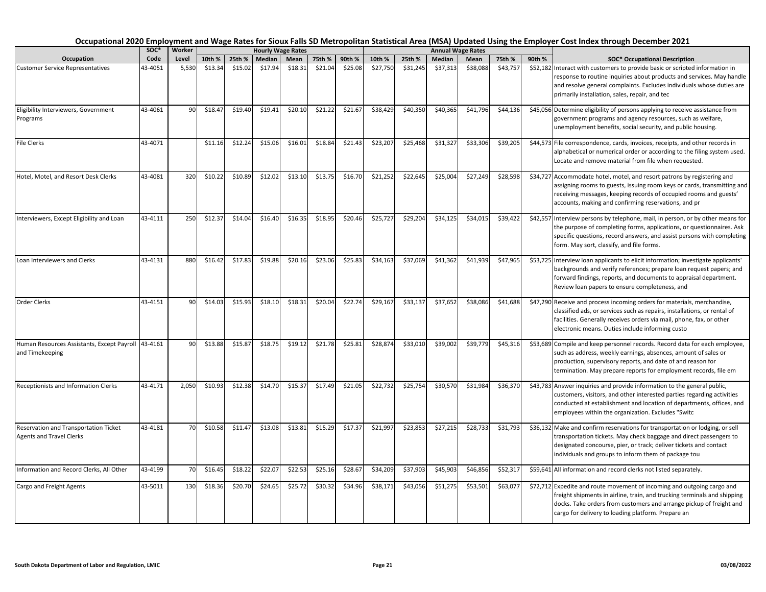|                                                                          | soc*    | Worker |         |         |         | <b>Hourly Wage Rates</b> |         |         |          |          |          | <b>Annual Wage Rates</b> |          |        |                                                                                                                                                                                                                                                                                  |
|--------------------------------------------------------------------------|---------|--------|---------|---------|---------|--------------------------|---------|---------|----------|----------|----------|--------------------------|----------|--------|----------------------------------------------------------------------------------------------------------------------------------------------------------------------------------------------------------------------------------------------------------------------------------|
| Occupation                                                               | Code    | Level  | 10th %  | 25th %  | Median  | Mean                     | 75th %  | 90th %  | 10th %   | 25th %   | Median   | Mean                     | 75th %   | 90th % | <b>SOC* Occupational Description</b>                                                                                                                                                                                                                                             |
| <b>Customer Service Representatives</b>                                  | 43-4051 | 5,530  | \$13.34 | \$15.02 | \$17.94 | \$18.31                  | \$21.04 | \$25.08 | \$27,750 | \$31,245 | \$37,313 | \$38,088                 | \$43,757 |        | \$52,182 Interact with customers to provide basic or scripted information in<br>response to routine inquiries about products and services. May handle<br>and resolve general complaints. Excludes individuals whose duties are<br>primarily installation, sales, repair, and tec |
| Eligibility Interviewers, Government<br>Programs                         | 43-4061 | 90     | \$18.47 | \$19.40 | \$19.41 | \$20.10                  | \$21.22 | \$21.67 | \$38,429 | \$40,350 | \$40,365 | \$41,796                 | \$44,136 |        | \$45,056 Determine eligibility of persons applying to receive assistance from<br>government programs and agency resources, such as welfare,<br>unemployment benefits, social security, and public housing.                                                                       |
| <b>File Clerks</b>                                                       | 43-4071 |        | \$11.16 | \$12.24 | \$15.06 | \$16.01                  | \$18.84 | \$21.43 | \$23,207 | \$25,468 | \$31,327 | \$33,306                 | \$39,205 |        | \$44,573 File correspondence, cards, invoices, receipts, and other records in<br>alphabetical or numerical order or according to the filing system used.<br>Locate and remove material from file when requested.                                                                 |
| Hotel, Motel, and Resort Desk Clerks                                     | 43-4081 | 320    | \$10.22 | \$10.89 | \$12.02 | \$13.10                  | \$13.75 | \$16.70 | \$21,252 | \$22,645 | \$25,004 | \$27,249                 | \$28,598 |        | \$34,727 Accommodate hotel, motel, and resort patrons by registering and<br>assigning rooms to guests, issuing room keys or cards, transmitting and<br>receiving messages, keeping records of occupied rooms and guests'<br>accounts, making and confirming reservations, and pr |
| Interviewers, Except Eligibility and Loan                                | 43-4111 | 250    | \$12.37 | \$14.04 | \$16.40 | \$16.35                  | \$18.95 | \$20.46 | \$25,727 | \$29,204 | \$34,125 | \$34,015                 | \$39,422 |        | \$42,557 Interview persons by telephone, mail, in person, or by other means for<br>the purpose of completing forms, applications, or questionnaires. Ask<br>specific questions, record answers, and assist persons with completing<br>form. May sort, classify, and file forms.  |
| Loan Interviewers and Clerks                                             | 43-4131 | 880    | \$16.42 | \$17.83 | \$19.88 | \$20.16                  | \$23.06 | \$25.83 | \$34,163 | \$37,069 | \$41,362 | \$41,939                 | \$47,965 |        | \$53,725 Interview loan applicants to elicit information; investigate applicants'<br>backgrounds and verify references; prepare loan request papers; and<br>forward findings, reports, and documents to appraisal department.<br>Review loan papers to ensure completeness, and  |
| <b>Order Clerks</b>                                                      | 43-4151 | 90     | \$14.03 | \$15.93 | \$18.10 | \$18.31                  | \$20.04 | \$22.74 | \$29,167 | \$33,137 | \$37,652 | \$38,086                 | \$41,688 |        | \$47,290 Receive and process incoming orders for materials, merchandise,<br>classified ads, or services such as repairs, installations, or rental of<br>facilities. Generally receives orders via mail, phone, fax, or other<br>electronic means. Duties include informing custo |
| Human Resources Assistants, Except Payroll 43-4161<br>and Timekeeping    |         | 90     | \$13.88 | \$15.87 | \$18.75 | \$19.12                  | \$21.78 | \$25.81 | \$28,874 | \$33,010 | \$39,002 | \$39,779                 | \$45,316 |        | \$53,689 Compile and keep personnel records. Record data for each employee,<br>such as address, weekly earnings, absences, amount of sales or<br>production, supervisory reports, and date of and reason for<br>termination. May prepare reports for employment records, file em |
| Receptionists and Information Clerks                                     | 43-4171 | 2,050  | \$10.93 | \$12.38 | \$14.70 | \$15.37                  | \$17.49 | \$21.05 | \$22,732 | \$25,754 | \$30,570 | \$31,984                 | \$36,370 |        | \$43,783 Answer inquiries and provide information to the general public,<br>customers, visitors, and other interested parties regarding activities<br>conducted at establishment and location of departments, offices, and<br>employees within the organization. Excludes "Switc |
| Reservation and Transportation Ticket<br><b>Agents and Travel Clerks</b> | 43-4181 | 70     | \$10.58 | \$11.47 | \$13.08 | \$13.81                  | \$15.29 | \$17.37 | \$21,997 | \$23,853 | \$27,215 | \$28,733                 | \$31,793 |        | \$36,132 Make and confirm reservations for transportation or lodging, or sell<br>transportation tickets. May check baggage and direct passengers to<br>designated concourse, pier, or track; deliver tickets and contact<br>individuals and groups to inform them of package tou |
| Information and Record Clerks, All Other                                 | 43-4199 | 70     | \$16.45 | \$18.22 | \$22.07 | \$22.53                  | \$25.16 | \$28.67 | \$34,209 | \$37,903 | \$45,903 | \$46,856                 | \$52,317 |        | \$59,641 All information and record clerks not listed separately.                                                                                                                                                                                                                |
| Cargo and Freight Agents                                                 | 43-5011 | 130    | \$18.36 | \$20.70 | \$24.65 | \$25.72                  | \$30.32 | \$34.96 | \$38,171 | \$43,056 | \$51,275 | \$53,501                 | \$63,077 |        | \$72,712 Expedite and route movement of incoming and outgoing cargo and<br>freight shipments in airline, train, and trucking terminals and shipping<br>docks. Take orders from customers and arrange pickup of freight and<br>cargo for delivery to loading platform. Prepare an |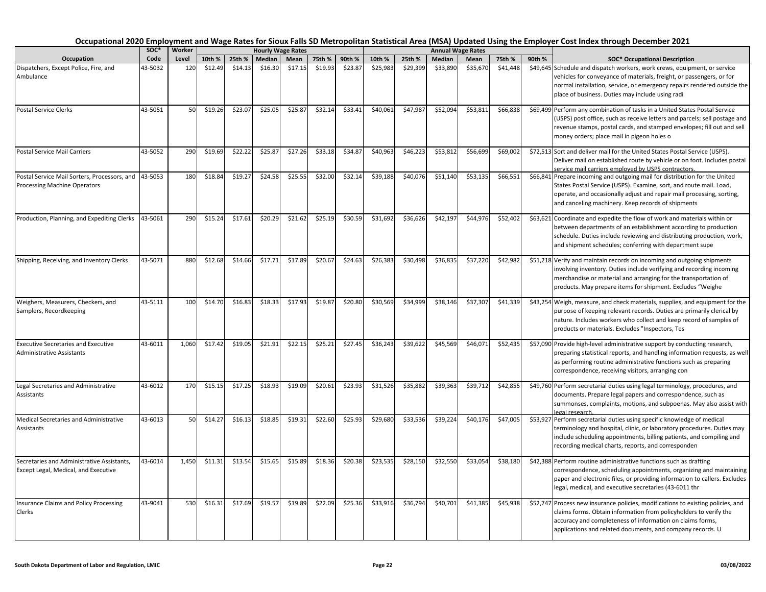|                                                                                    | soc*    | Worker |         |         |         | <b>Hourly Wage Rates</b> |         |         |          |          |          | <b>Annual Wage Rates</b> |          |                                                |                                                                                                                                                                                                                                                                                                     |
|------------------------------------------------------------------------------------|---------|--------|---------|---------|---------|--------------------------|---------|---------|----------|----------|----------|--------------------------|----------|------------------------------------------------|-----------------------------------------------------------------------------------------------------------------------------------------------------------------------------------------------------------------------------------------------------------------------------------------------------|
| Occupation                                                                         | Code    | Level  | 10th %  | 25th %  | Median  | Mean                     | 75th %  | 90th %  | 10th %   | 25th %   | Median   | Mean                     | 75th %   | 90th %<br><b>SOC* Occupational Description</b> |                                                                                                                                                                                                                                                                                                     |
| Dispatchers, Except Police, Fire, and<br>Ambulance                                 | 43-5032 | 120    | \$12.49 | \$14.13 | \$16.30 | \$17.15                  | \$19.93 | \$23.87 | \$25,983 | \$29,399 | \$33,890 | \$35,670                 | \$41,448 |                                                | \$49,645 Schedule and dispatch workers, work crews, equipment, or service<br>vehicles for conveyance of materials, freight, or passengers, or for<br>normal installation, service, or emergency repairs rendered outside the<br>place of business. Duties may include using radi                    |
| <b>Postal Service Clerks</b>                                                       | 43-5051 | 50     | \$19.26 | \$23.07 | \$25.05 | \$25.87                  | \$32.14 | \$33.41 | \$40,061 | \$47,987 | \$52,094 | \$53,811                 | \$66,838 |                                                | \$69,499 Perform any combination of tasks in a United States Postal Service<br>(USPS) post office, such as receive letters and parcels; sell postage and<br>revenue stamps, postal cards, and stamped envelopes; fill out and sell<br>money orders; place mail in pigeon holes o                    |
| <b>Postal Service Mail Carriers</b>                                                | 43-5052 | 290    | \$19.69 | \$22.22 | \$25.87 | \$27.26                  | \$33.18 | \$34.87 | \$40,963 | \$46,223 | \$53,812 | \$56,699                 | \$69,002 |                                                | \$72,513 Sort and deliver mail for the United States Postal Service (USPS).<br>Deliver mail on established route by vehicle or on foot. Includes postal<br>service mail carriers employed by USPS contractors.                                                                                      |
| Postal Service Mail Sorters, Processors, and<br>Processing Machine Operators       | 43-5053 | 180    | \$18.84 | \$19.27 | \$24.58 | \$25.55                  | \$32.00 | \$32.14 | \$39,188 | \$40,076 | \$51,140 | \$53,135                 | \$66,551 |                                                | \$66,841 Prepare incoming and outgoing mail for distribution for the United<br>States Postal Service (USPS). Examine, sort, and route mail. Load,<br>operate, and occasionally adjust and repair mail processing, sorting,<br>and canceling machinery. Keep records of shipments                    |
| Production, Planning, and Expediting Clerks                                        | 43-5061 | 290    | \$15.24 | \$17.61 | \$20.29 | \$21.62                  | \$25.19 | \$30.59 | \$31,692 | \$36,626 | \$42,197 | \$44,976                 | \$52,402 |                                                | \$63,621 Coordinate and expedite the flow of work and materials within or<br>between departments of an establishment according to production<br>schedule. Duties include reviewing and distributing production, work,<br>and shipment schedules; conferring with department supe                    |
| Shipping, Receiving, and Inventory Clerks                                          | 43-5071 | 880    | \$12.68 | \$14.66 | \$17.71 | \$17.89                  | \$20.67 | \$24.63 | \$26,383 | \$30,498 | \$36,83  | \$37,22                  | \$42,982 |                                                | \$51,218 Verify and maintain records on incoming and outgoing shipments<br>involving inventory. Duties include verifying and recording incoming<br>merchandise or material and arranging for the transportation of<br>products. May prepare items for shipment. Excludes "Weighe                    |
| Weighers, Measurers, Checkers, and<br>Samplers, Recordkeeping                      | 43-5111 | 100    | \$14.70 | \$16.83 | \$18.33 | \$17.93                  | \$19.87 | \$20.80 | \$30,569 | \$34,999 | \$38,146 | \$37,307                 | \$41,339 |                                                | \$43,254 Weigh, measure, and check materials, supplies, and equipment for the<br>purpose of keeping relevant records. Duties are primarily clerical by<br>nature. Includes workers who collect and keep record of samples of<br>products or materials. Excludes "Inspectors, Tes                    |
| <b>Executive Secretaries and Executive</b><br><b>Administrative Assistants</b>     | 43-6011 | 1.060  | \$17.42 | \$19.05 | \$21.91 | \$22.15                  | \$25.21 | \$27.45 | \$36,243 | \$39,622 | \$45,569 | \$46,071                 | \$52,435 |                                                | \$57,090 Provide high-level administrative support by conducting research,<br>preparing statistical reports, and handling information requests, as well<br>as performing routine administrative functions such as preparing<br>correspondence, receiving visitors, arranging con                    |
| Legal Secretaries and Administrative<br>Assistants                                 | 43-6012 | 170    | \$15.15 | \$17.25 | \$18.93 | \$19.09                  | \$20.61 | \$23.93 | \$31,526 | \$35,882 | \$39,363 | \$39,712                 | \$42,855 |                                                | \$49,760 Perform secretarial duties using legal terminology, procedures, and<br>documents. Prepare legal papers and correspondence, such as<br>summonses, complaints, motions, and subpoenas. May also assist with                                                                                  |
| Medical Secretaries and Administrative<br>Assistants                               | 43-6013 | 50     | \$14.27 | \$16.13 | \$18.85 | \$19.31                  | \$22.60 | \$25.93 | \$29,680 | \$33,536 | \$39,224 | \$40,176                 | \$47,005 |                                                | legal research.<br>\$53,927 Perform secretarial duties using specific knowledge of medical<br>terminology and hospital, clinic, or laboratory procedures. Duties may<br>include scheduling appointments, billing patients, and compiling and<br>recording medical charts, reports, and corresponden |
| Secretaries and Administrative Assistants,<br>Except Legal, Medical, and Executive | 43-6014 | 1,450  | \$11.31 | \$13.54 | \$15.65 | \$15.89                  | \$18.36 | \$20.38 | \$23,535 | \$28,150 | \$32,550 | \$33,054                 | \$38,180 |                                                | \$42,388 Perform routine administrative functions such as drafting<br>correspondence, scheduling appointments, organizing and maintaining<br>paper and electronic files, or providing information to callers. Excludes<br>legal, medical, and executive secretaries (43-6011 thr                    |
| <b>Insurance Claims and Policy Processing</b><br>Clerks                            | 43-9041 | 530    | \$16.31 | \$17.69 | \$19.57 | \$19.89                  | \$22.09 | \$25.36 | \$33,916 | \$36,794 | \$40,701 | \$41,385                 | \$45,938 |                                                | \$52,747 Process new insurance policies, modifications to existing policies, and<br>claims forms. Obtain information from policyholders to verify the<br>accuracy and completeness of information on claims forms,<br>applications and related documents, and company records. U                    |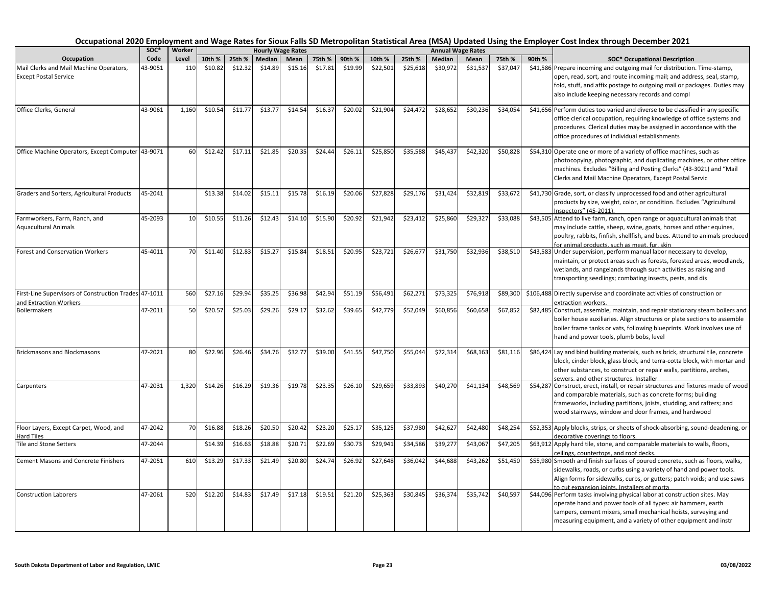|                                                                                 | soc*    | Worker |         |         |         | <b>Hourly Wage Rates</b> |         |         |          |          |          | <b>Annual Wage Rates</b> |          |        |                                                                                                                                                                                                                                                                                  |
|---------------------------------------------------------------------------------|---------|--------|---------|---------|---------|--------------------------|---------|---------|----------|----------|----------|--------------------------|----------|--------|----------------------------------------------------------------------------------------------------------------------------------------------------------------------------------------------------------------------------------------------------------------------------------|
| Occupation                                                                      | Code    | Level  | 10th %  | 25th %  | Median  | Mean                     | 75th %  | 90th %  | 10th %   | 25th %   | Median   | Mean                     | 75th %   | 90th % | <b>SOC* Occupational Description</b>                                                                                                                                                                                                                                             |
| Mail Clerks and Mail Machine Operators,<br><b>Except Postal Service</b>         | 43-9051 | 110    | \$10.82 | \$12.32 | \$14.89 | \$15.16                  | \$17.81 | \$19.99 | \$22,501 | \$25,618 | \$30,972 | \$31,537                 | \$37,047 |        | \$41,586 Prepare incoming and outgoing mail for distribution. Time-stamp,<br>open, read, sort, and route incoming mail; and address, seal, stamp,<br>fold, stuff, and affix postage to outgoing mail or packages. Duties may<br>also include keeping necessary records and compl |
| Office Clerks, General                                                          | 43-9061 | 1,160  | \$10.54 | \$11.77 | \$13.77 | \$14.54                  | \$16.37 | \$20.02 | \$21,904 | \$24,472 | \$28,652 | \$30,236                 | \$34,054 |        | \$41,656 Perform duties too varied and diverse to be classified in any specific<br>office clerical occupation, requiring knowledge of office systems and<br>procedures. Clerical duties may be assigned in accordance with the<br>office procedures of individual establishments |
| Office Machine Operators, Except Computer 43-9071                               |         | 60     | \$12.42 | \$17.11 | \$21.85 | \$20.35                  | \$24.44 | \$26.11 | \$25,850 | \$35,588 | \$45,437 | \$42,320                 | \$50,828 |        | \$54,310 Operate one or more of a variety of office machines, such as<br>photocopying, photographic, and duplicating machines, or other office<br>machines. Excludes "Billing and Posting Clerks" (43-3021) and "Mail<br>Clerks and Mail Machine Operators, Except Postal Servic |
| Graders and Sorters, Agricultural Products                                      | 45-2041 |        | \$13.38 | \$14.02 | \$15.11 | \$15.78                  | \$16.19 | \$20.06 | \$27,828 | \$29,176 | \$31,424 | \$32,819                 | \$33,672 |        | \$41,730 Grade, sort, or classify unprocessed food and other agricultural<br>products by size, weight, color, or condition. Excludes "Agricultural<br>Inspectors" (45-2011).                                                                                                     |
| Farmworkers, Farm, Ranch, and<br><b>Aquacultural Animals</b>                    | 45-2093 | 10     | \$10.55 | \$11.26 | \$12.43 | \$14.10                  | \$15.90 | \$20.92 | \$21,942 | \$23,412 | \$25,860 | \$29,32                  | \$33,088 |        | \$43,505 Attend to live farm, ranch, open range or aquacultural animals that<br>may include cattle, sheep, swine, goats, horses and other equines,<br>poultry, rabbits, finfish, shellfish, and bees. Attend to animals produced<br>for animal products, such as meat, fur, skin |
| <b>Forest and Conservation Workers</b>                                          | 45-4011 | 70     | \$11.40 | \$12.83 | \$15.27 | \$15.84                  | \$18.51 | \$20.95 | \$23,721 | \$26,677 | \$31,750 | \$32,936                 | \$38,510 |        | \$43,583 Under supervision, perform manual labor necessary to develop,<br>maintain, or protect areas such as forests, forested areas, woodlands,<br>wetlands, and rangelands through such activities as raising and<br>transporting seedlings; combating insects, pests, and dis |
| First-Line Supervisors of Construction Trades 47-1011<br>and Extraction Workers |         | 560    | \$27.16 | \$29.94 | \$35.25 | \$36.98                  | \$42.94 | \$51.19 | \$56,491 | \$62,271 | \$73,325 | \$76,918                 | \$89,300 |        | \$106,488 Directly supervise and coordinate activities of construction or<br>extraction workers.                                                                                                                                                                                 |
| <b>Boilermakers</b>                                                             | 47-2011 | 50     | \$20.57 | \$25.03 | \$29.26 | \$29.17                  | \$32.62 | \$39.65 | \$42,779 | \$52,049 | \$60,856 | \$60,658                 | \$67,852 |        | \$82,485 Construct, assemble, maintain, and repair stationary steam boilers and<br>boiler house auxiliaries. Align structures or plate sections to assemble<br>boiler frame tanks or vats, following blueprints. Work involves use of<br>hand and power tools, plumb bobs, level |
| <b>Brickmasons and Blockmasons</b>                                              | 47-2021 | 80     | \$22.96 | \$26.46 | \$34.76 | \$32.77                  | \$39.00 | \$41.55 | \$47,750 | \$55,044 | \$72,314 | \$68,163                 | \$81,116 |        | \$86,424 Lay and bind building materials, such as brick, structural tile, concrete<br>block, cinder block, glass block, and terra-cotta block, with mortar and<br>other substances, to construct or repair walls, partitions, arches,<br>sewers, and other structures, Installer |
| Carpenters                                                                      | 47-2031 | 1,320  | \$14.26 | \$16.29 | \$19.36 | \$19.78                  | \$23.35 | \$26.10 | \$29,659 | \$33,893 | \$40,270 | \$41,134                 | \$48,569 |        | \$54,287 Construct, erect, install, or repair structures and fixtures made of wood<br>and comparable materials, such as concrete forms; building<br>frameworks, including partitions, joists, studding, and rafters; and<br>wood stairways, window and door frames, and hardwood |
| Floor Layers, Except Carpet, Wood, and<br><b>Hard Tiles</b>                     | 47-2042 | 70     | \$16.88 | \$18.26 | \$20.50 | \$20.42                  | \$23.20 | \$25.17 | \$35,125 | \$37,980 | \$42,627 | \$42,480                 | \$48,254 |        | \$52,353 Apply blocks, strips, or sheets of shock-absorbing, sound-deadening, or<br>decorative coverings to floors.                                                                                                                                                              |
| <b>Tile and Stone Setters</b>                                                   | 47-2044 |        | \$14.39 | \$16.63 | \$18.88 | \$20.71                  | \$22.69 | \$30.73 | \$29,941 | \$34,586 | \$39,27  | \$43,067                 | \$47,205 |        | \$63,912 Apply hard tile, stone, and comparable materials to walls, floors,<br>ceilings, countertops, and roof decks.                                                                                                                                                            |
| <b>Cement Masons and Concrete Finishers</b>                                     | 47-2051 | 610    | \$13.29 | \$17.33 | \$21.49 | \$20.80                  | \$24.74 | \$26.92 | \$27,648 | \$36,042 | \$44,688 | \$43,262                 | \$51,450 |        | \$55,980 Smooth and finish surfaces of poured concrete, such as floors, walks,<br>sidewalks, roads, or curbs using a variety of hand and power tools.<br>Align forms for sidewalks, curbs, or gutters; patch voids; and use saws<br>to cut expansion ioints. Installers of morta |
| <b>Construction Laborers</b>                                                    | 47-2061 | 520    | \$12.20 | \$14.83 | \$17.49 | \$17.18                  | \$19.51 | \$21.20 | \$25,363 | \$30,845 | \$36,374 | \$35,742                 | \$40,597 |        | \$44,096 Perform tasks involving physical labor at construction sites. May<br>operate hand and power tools of all types: air hammers, earth<br>tampers, cement mixers, small mechanical hoists, surveying and<br>measuring equipment, and a variety of other equipment and instr |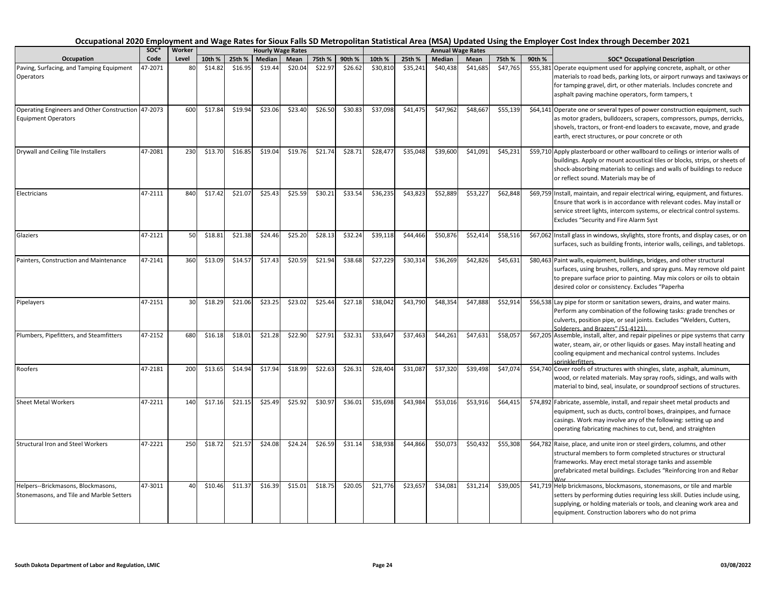|                                                                                  | soc*    | Worker |         |         |         | <b>Hourly Wage Rates</b> |         |         |          |          |          | <b>Annual Wage Rates</b> |          |        |                                                                                                                                                                                                                                                                                         |
|----------------------------------------------------------------------------------|---------|--------|---------|---------|---------|--------------------------|---------|---------|----------|----------|----------|--------------------------|----------|--------|-----------------------------------------------------------------------------------------------------------------------------------------------------------------------------------------------------------------------------------------------------------------------------------------|
| Occupation                                                                       | Code    | Level  | 10th %  | 25th %  | Median  | Mean                     | 75th %  | 90th %  | 10th %   | 25th %   | Median   | Mean                     | 75th %   | 90th % | <b>SOC* Occupational Description</b>                                                                                                                                                                                                                                                    |
| Paving, Surfacing, and Tamping Equipment<br>Operators                            | 17-2071 | 80     | \$14.82 | \$16.95 | \$19.44 | \$20.04                  | \$22.97 | \$26.62 | \$30,810 | \$35,241 | \$40,438 | \$41,685                 | \$47,765 |        | \$55,381 Operate equipment used for applying concrete, asphalt, or other<br>materials to road beds, parking lots, or airport runways and taxiways or<br>for tamping gravel, dirt, or other materials. Includes concrete and<br>asphalt paving machine operators, form tampers, t        |
| Operating Engineers and Other Construction 47-2073<br><b>Equipment Operators</b> |         | 600    | \$17.84 | \$19.94 | \$23.06 | \$23.40                  | \$26.50 | \$30.83 | \$37,098 | \$41,475 | \$47,962 | \$48,667                 | \$55,139 |        | \$64,141 Operate one or several types of power construction equipment, such<br>as motor graders, bulldozers, scrapers, compressors, pumps, derricks,<br>shovels, tractors, or front-end loaders to excavate, move, and grade<br>earth, erect structures, or pour concrete or oth        |
| Drywall and Ceiling Tile Installers                                              | 47-2081 | 230    | \$13.70 | \$16.85 | \$19.04 | \$19.76                  | \$21.74 | \$28.71 | \$28,477 | \$35,048 | \$39,600 | \$41,09                  | \$45,231 |        | \$59,710 Apply plasterboard or other wallboard to ceilings or interior walls of<br>buildings. Apply or mount acoustical tiles or blocks, strips, or sheets of<br>shock-absorbing materials to ceilings and walls of buildings to reduce<br>or reflect sound. Materials may be of        |
| Electricians                                                                     | 47-2111 | 840    | \$17.42 | \$21.07 | \$25.43 | \$25.59                  | \$30.21 | \$33.54 | \$36,235 | \$43,823 | \$52,889 | \$53,227                 | \$62,848 |        | \$69,759 Install, maintain, and repair electrical wiring, equipment, and fixtures.<br>Ensure that work is in accordance with relevant codes. May install or<br>service street lights, intercom systems, or electrical control systems.<br><b>Excludes "Security and Fire Alarm Syst</b> |
| Glaziers                                                                         | 47-2121 | 50     | \$18.81 | \$21.38 | \$24.46 | \$25.20                  | \$28.13 | \$32.24 | \$39,118 | \$44,466 | \$50,876 | \$52,414                 | \$58,516 |        | \$67,062 Install glass in windows, skylights, store fronts, and display cases, or on<br>surfaces, such as building fronts, interior walls, ceilings, and tabletops.                                                                                                                     |
| Painters, Construction and Maintenance                                           | 47-2141 | 360    | \$13.09 | \$14.57 | \$17.43 | \$20.59                  | \$21.94 | \$38.68 | \$27,229 | \$30,314 | \$36,269 | \$42,826                 | \$45,631 |        | \$80,463 Paint walls, equipment, buildings, bridges, and other structural<br>surfaces, using brushes, rollers, and spray guns. May remove old paint<br>to prepare surface prior to painting. May mix colors or oils to obtain<br>desired color or consistency. Excludes "Paperha        |
| Pipelayers                                                                       | 47-2151 | 30     | \$18.29 | \$21.06 | \$23.25 | \$23.02                  | \$25.44 | \$27.18 | \$38,042 | \$43,790 | \$48,354 | \$47,88                  | \$52,914 |        | \$56,538 Lay pipe for storm or sanitation sewers, drains, and water mains.<br>Perform any combination of the following tasks: grade trenches or<br>culverts, position pipe, or seal joints. Excludes "Welders, Cutters,<br>Solderers, and Brazers" (51-4121)                            |
| Plumbers, Pipefitters, and Steamfitters                                          | 47-2152 | 680    | \$16.18 | \$18.01 | \$21.28 | \$22.90                  | \$27.91 | \$32.31 | \$33,647 | \$37,463 | \$44,261 | \$47,631                 | \$58,057 |        | \$67,205 Assemble, install, alter, and repair pipelines or pipe systems that carry<br>water, steam, air, or other liquids or gases. May install heating and<br>cooling equipment and mechanical control systems. Includes<br>sprinklerfitters                                           |
| Roofers                                                                          | 47-2181 | 200    | \$13.65 | \$14.94 | \$17.94 | \$18.99                  | \$22.63 | \$26.31 | \$28,404 | \$31,087 | \$37,320 | \$39,498                 | \$47,074 |        | \$54,740 Cover roofs of structures with shingles, slate, asphalt, aluminum,<br>wood, or related materials. May spray roofs, sidings, and walls with<br>material to bind, seal, insulate, or soundproof sections of structures.                                                          |
| <b>Sheet Metal Workers</b>                                                       | 47-2211 | 140    | \$17.16 | \$21.15 | \$25.49 | \$25.92                  | \$30.97 | \$36.01 | \$35,698 | \$43,984 | \$53,016 | \$53.916                 | \$64,415 |        | \$74,892 Fabricate, assemble, install, and repair sheet metal products and<br>equipment, such as ducts, control boxes, drainpipes, and furnace<br>casings. Work may involve any of the following: setting up and<br>operating fabricating machines to cut, bend, and straighten         |
| <b>Structural Iron and Steel Workers</b>                                         | 47-2221 | 250    | \$18.72 | \$21.57 | \$24.08 | \$24.24                  | \$26.59 | \$31.14 | \$38,938 | \$44,866 | \$50,073 | \$50,432                 | \$55,308 |        | \$64,782 Raise, place, and unite iron or steel girders, columns, and other<br>structural members to form completed structures or structural<br>frameworks. May erect metal storage tanks and assemble<br>prefabricated metal buildings. Excludes "Reinforcing Iron and Rebar            |
| Helpers--Brickmasons, Blockmasons,<br>Stonemasons, and Tile and Marble Setters   | 47-3011 | 40     | \$10.46 | \$11.37 | \$16.39 | \$15.01                  | \$18.75 | \$20.05 | \$21,776 | \$23,657 | \$34,081 | \$31,214                 | \$39,005 |        | \$41,719 Help brickmasons, blockmasons, stonemasons, or tile and marble<br>setters by performing duties requiring less skill. Duties include using,<br>supplying, or holding materials or tools, and cleaning work area and<br>equipment. Construction laborers who do not prima        |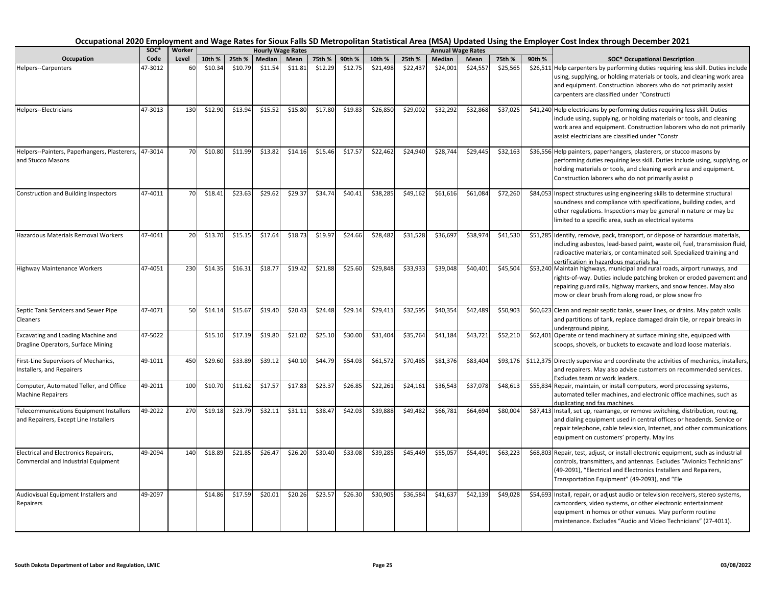| Occupation                                                                              | SOC*<br>Code | Worker | <b>Hourly Wage Rates</b> |         |         |         |         |         |          |          |          | <b>Annual Wage Rates</b> |          |        |                                                                                                                                                                                                                                                                                  |
|-----------------------------------------------------------------------------------------|--------------|--------|--------------------------|---------|---------|---------|---------|---------|----------|----------|----------|--------------------------|----------|--------|----------------------------------------------------------------------------------------------------------------------------------------------------------------------------------------------------------------------------------------------------------------------------------|
|                                                                                         |              | Level  | 10th %                   | 25th %  | Median  | Mean    | 75th %  | 90th %  | 10th %   | 25th %   | Median   | Mean                     | 75th %   | 90th % | <b>SOC* Occupational Description</b>                                                                                                                                                                                                                                             |
| <b>Helpers--Carpenters</b>                                                              | 47-3012      | 60     | \$10.34                  | \$10.79 | \$11.54 | \$11.81 | \$12.29 | \$12.75 | \$21,498 | \$22,437 | \$24,001 | \$24,557                 | \$25,565 |        | \$26,511 Help carpenters by performing duties requiring less skill. Duties include<br>using, supplying, or holding materials or tools, and cleaning work area<br>and equipment. Construction laborers who do not primarily assist<br>carpenters are classified under "Constructi |
| Helpers--Electricians                                                                   | 47-3013      | 130    | \$12.90                  | \$13.94 | \$15.52 | \$15.80 | \$17.80 | \$19.83 | \$26,850 | \$29,002 | \$32,292 | \$32,868                 | \$37,025 |        | \$41,240 Help electricians by performing duties requiring less skill. Duties<br>include using, supplying, or holding materials or tools, and cleaning<br>work area and equipment. Construction laborers who do not primarily<br>assist electricians are classified under "Constr |
| Helpers--Painters, Paperhangers, Plasterers,<br>and Stucco Masons                       | 47-3014      | 70     | \$10.80                  | \$11.99 | \$13.82 | \$14.16 | \$15.46 | \$17.57 | \$22,462 | \$24,940 | \$28,744 | \$29,445                 | \$32,163 |        | \$36,556 Help painters, paperhangers, plasterers, or stucco masons by<br>performing duties requiring less skill. Duties include using, supplying, or<br>holding materials or tools, and cleaning work area and equipment.<br>Construction laborers who do not primarily assist p |
| <b>Construction and Building Inspectors</b>                                             | 47-4011      | 70     | \$18.41                  | \$23.63 | \$29.62 | \$29.37 | \$34.74 | \$40.41 | \$38,285 | \$49,162 | \$61,616 | \$61,084                 | \$72,260 |        | \$84,053 Inspect structures using engineering skills to determine structural<br>soundness and compliance with specifications, building codes, and<br>other regulations. Inspections may be general in nature or may be<br>limited to a specific area, such as electrical systems |
| Hazardous Materials Removal Workers                                                     | 47-4041      | 20     | \$13.70                  | \$15.15 | \$17.64 | \$18.73 | \$19.97 | \$24.66 | \$28,482 | \$31,528 | \$36,697 | \$38,974                 | \$41,530 |        | \$51,285 Identify, remove, pack, transport, or dispose of hazardous materials,<br>including asbestos, lead-based paint, waste oil, fuel, transmission fluid,<br>radioactive materials, or contaminated soil. Specialized training and<br>certification in hazardous materials ha |
| <b>Highway Maintenance Workers</b>                                                      | 47-4051      | 230    | \$14.35                  | \$16.31 | \$18.77 | \$19.42 | \$21.88 | \$25.60 | \$29,848 | \$33,933 | \$39,048 | \$40,401                 | \$45,504 |        | \$53,240 Maintain highways, municipal and rural roads, airport runways, and<br>rights-of-way. Duties include patching broken or eroded pavement and<br>repairing guard rails, highway markers, and snow fences. May also<br>mow or clear brush from along road, or plow snow fro |
| Septic Tank Servicers and Sewer Pipe<br>Cleaners                                        | 47-4071      | 50     | \$14.14                  | \$15.67 | \$19.40 | \$20.43 | \$24.48 | \$29.14 | \$29,411 | \$32,595 | \$40,354 | \$42,489                 | \$50,903 |        | \$60,623 Clean and repair septic tanks, sewer lines, or drains. May patch walls<br>and partitions of tank, replace damaged drain tile, or repair breaks in<br>underground piping.                                                                                                |
| Excavating and Loading Machine and<br>Dragline Operators, Surface Mining                | 47-5022      |        | \$15.10                  | \$17.19 | \$19.80 | \$21.02 | \$25.10 | \$30.00 | \$31,404 | \$35,764 | \$41,184 | \$43,721                 | \$52,210 |        | \$62,401 Operate or tend machinery at surface mining site, equipped with<br>scoops, shovels, or buckets to excavate and load loose materials.                                                                                                                                    |
| First-Line Supervisors of Mechanics,<br>Installers, and Repairers                       | 49-1011      | 450    | \$29.60                  | \$33.89 | \$39.12 | \$40.10 | \$44.79 | \$54.03 | \$61,572 | \$70,485 | \$81,376 | \$83,404                 | \$93,176 |        | \$112,375 Directly supervise and coordinate the activities of mechanics, installers,<br>and repairers. May also advise customers on recommended services.<br>Excludes team or work leaders.                                                                                      |
| Computer, Automated Teller, and Office<br><b>Machine Repairers</b>                      | 49-2011      | 100    | \$10.70                  | \$11.62 | \$17.57 | \$17.83 | \$23.37 | \$26.85 | \$22,261 | \$24,161 | \$36,543 | \$37,078                 | \$48,613 |        | \$55,834 Repair, maintain, or install computers, word processing systems,<br>automated teller machines, and electronic office machines, such as<br>duplicating and fax machines.                                                                                                 |
| <b>Telecommunications Equipment Installers</b><br>and Repairers, Except Line Installers | 49-2022      | 270    | \$19.18                  | \$23.79 | \$32.11 | \$31.11 | \$38.47 | \$42.03 | \$39,888 | \$49,482 | \$66,781 | \$64,694                 | \$80,004 |        | \$87,413 Install, set up, rearrange, or remove switching, distribution, routing,<br>and dialing equipment used in central offices or headends. Service or<br>repair telephone, cable television, Internet, and other communications<br>equipment on customers' property. May ins |
| Electrical and Electronics Repairers,<br>Commercial and Industrial Equipment            | 49-2094      | 140    | \$18.89                  | \$21.85 | \$26.47 | \$26.20 | \$30.40 | \$33.08 | \$39,285 | \$45,449 | \$55,057 | \$54,491                 | \$63,223 |        | \$68,803 Repair, test, adjust, or install electronic equipment, such as industrial<br>controls, transmitters, and antennas. Excludes "Avionics Technicians"<br>(49-2091), "Electrical and Electronics Installers and Repairers,<br>Transportation Equipment" (49-2093), and "Ele |
| Audiovisual Equipment Installers and<br>Repairers                                       | 49-2097      |        | \$14.86                  | \$17.59 | \$20.01 | \$20.26 | \$23.57 | \$26.30 | \$30,905 | \$36,584 | \$41,637 | \$42,139                 | \$49,028 |        | \$54,693 Install, repair, or adjust audio or television receivers, stereo systems,<br>camcorders, video systems, or other electronic entertainment<br>equipment in homes or other venues. May perform routine<br>maintenance. Excludes "Audio and Video Technicians" (27-4011).  |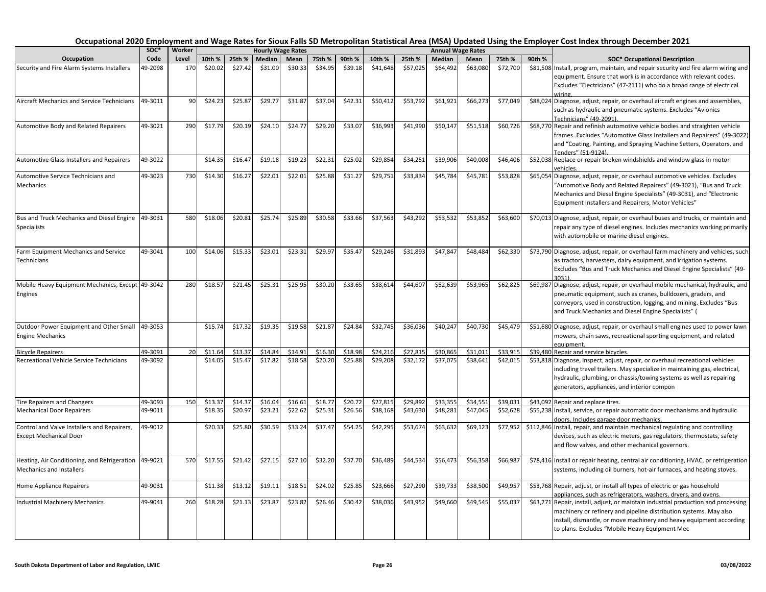|                                                     | SOC*               | Worker | <b>Hourly Wage Rates</b> |                    |         |         |                    |         |          |          |          | <b>Annual Wage Rates</b> |          |        |                                                                                                                                                            |
|-----------------------------------------------------|--------------------|--------|--------------------------|--------------------|---------|---------|--------------------|---------|----------|----------|----------|--------------------------|----------|--------|------------------------------------------------------------------------------------------------------------------------------------------------------------|
| Occupation                                          | Code               | Level  | 10th %                   | 25th %             | Median  | Mean    | 75th %             | 90th %  | 10th %   | 25th %   | Median   | Mean                     | 75th %   | 90th % | <b>SOC* Occupational Description</b>                                                                                                                       |
| Security and Fire Alarm Systems Installers          | 49-2098            | 170    | \$20.02                  | \$27.42            | \$31.00 | \$30.33 | \$34.95            | \$39.18 | \$41,648 | \$57,025 | \$64,492 | \$63,080                 | \$72,700 |        | \$81,508 Install, program, maintain, and repair security and fire alarm wiring and                                                                         |
|                                                     |                    |        |                          |                    |         |         |                    |         |          |          |          |                          |          |        | equipment. Ensure that work is in accordance with relevant codes.                                                                                          |
|                                                     |                    |        |                          |                    |         |         |                    |         |          |          |          |                          |          |        | Excludes "Electricians" (47-2111) who do a broad range of electrical<br>wiring.                                                                            |
| <b>Aircraft Mechanics and Service Technicians</b>   | 49-3011            | 90     | \$24.23                  | \$25.87            | \$29.77 | \$31.87 | \$37.04            | \$42.31 | \$50,412 | \$53,792 | \$61,921 | \$66,273                 | \$77,049 |        | \$88,024 Diagnose, adjust, repair, or overhaul aircraft engines and assemblies,                                                                            |
|                                                     |                    |        |                          |                    |         |         |                    |         |          |          |          |                          |          |        | such as hydraulic and pneumatic systems. Excludes "Avionics                                                                                                |
|                                                     |                    |        |                          |                    |         |         |                    |         |          |          |          |                          |          |        | Technicians" (49-2091).                                                                                                                                    |
| Automotive Body and Related Repairers               | 49-3021            | 290    | \$17.79                  | \$20.19            | \$24.10 | \$24.77 | \$29.20            | \$33.07 | \$36,993 | \$41,990 | \$50,147 | \$51,518                 | \$60,726 |        | \$68,770 Repair and refinish automotive vehicle bodies and straighten vehicle                                                                              |
|                                                     |                    |        |                          |                    |         |         |                    |         |          |          |          |                          |          |        | frames. Excludes "Automotive Glass Installers and Repairers" (49-3022)<br>and "Coating, Painting, and Spraying Machine Setters, Operators, and             |
|                                                     |                    |        |                          |                    |         |         |                    |         |          |          |          |                          |          |        | Fenders" (51-9124).                                                                                                                                        |
| Automotive Glass Installers and Repairers           | 49-3022            |        | \$14.35                  | \$16.47            | \$19.18 | \$19.23 | \$22.31            | \$25.02 | \$29,854 | \$34,251 | \$39,906 | \$40,008                 | \$46,406 |        | \$52,038 Replace or repair broken windshields and window glass in motor                                                                                    |
|                                                     |                    |        |                          |                    |         |         |                    |         |          |          |          |                          |          |        | rehicles.                                                                                                                                                  |
| Automotive Service Technicians and                  | 49-3023            | 730    | \$14.30                  | \$16.27            | \$22.01 | \$22.01 | \$25.88            | \$31.27 | \$29,751 | \$33,834 | \$45,784 | \$45,781                 | \$53,828 |        | \$65,054 Diagnose, adjust, repair, or overhaul automotive vehicles. Excludes                                                                               |
| Mechanics                                           |                    |        |                          |                    |         |         |                    |         |          |          |          |                          |          |        | "Automotive Body and Related Repairers" (49-3021), "Bus and Truck                                                                                          |
|                                                     |                    |        |                          |                    |         |         |                    |         |          |          |          |                          |          |        | Mechanics and Diesel Engine Specialists" (49-3031), and "Electronic                                                                                        |
|                                                     |                    |        |                          |                    |         |         |                    |         |          |          |          |                          |          |        | Equipment Installers and Repairers, Motor Vehicles"                                                                                                        |
| Bus and Truck Mechanics and Diesel Engine           | 49-3031            | 580    | \$18.06                  | \$20.81            | \$25.74 | \$25.89 | \$30.58            | \$33.66 | \$37,563 | \$43,292 | \$53,532 | \$53,852                 | \$63,600 |        | \$70,013 Diagnose, adjust, repair, or overhaul buses and trucks, or maintain and                                                                           |
| <b>Specialists</b>                                  |                    |        |                          |                    |         |         |                    |         |          |          |          |                          |          |        | repair any type of diesel engines. Includes mechanics working primarily                                                                                    |
|                                                     |                    |        |                          |                    |         |         |                    |         |          |          |          |                          |          |        | with automobile or marine diesel engines.                                                                                                                  |
|                                                     | 49-3041            | 100    | \$14.06                  | \$15.33            | \$23.01 | \$23.31 | \$29.97            | \$35.47 | \$29,246 | \$31,893 | \$47,847 | \$48,484                 | \$62,330 |        |                                                                                                                                                            |
| Farm Equipment Mechanics and Service<br>Technicians |                    |        |                          |                    |         |         |                    |         |          |          |          |                          |          |        | \$73,790 Diagnose, adjust, repair, or overhaul farm machinery and vehicles, such<br>as tractors, harvesters, dairy equipment, and irrigation systems.      |
|                                                     |                    |        |                          |                    |         |         |                    |         |          |          |          |                          |          |        | Excludes "Bus and Truck Mechanics and Diesel Engine Specialists" (49-                                                                                      |
|                                                     |                    |        |                          |                    |         |         |                    |         |          |          |          |                          |          |        | 3031)                                                                                                                                                      |
| Mobile Heavy Equipment Mechanics, Except 49-3042    |                    | 280    | \$18.57                  | \$21.45            | \$25.31 | \$25.95 | \$30.20            | \$33.65 | \$38,614 | \$44,607 | \$52,639 | \$53,96                  | \$62,825 |        | \$69,987 Diagnose, adjust, repair, or overhaul mobile mechanical, hydraulic, and                                                                           |
| Engines                                             |                    |        |                          |                    |         |         |                    |         |          |          |          |                          |          |        | pneumatic equipment, such as cranes, bulldozers, graders, and                                                                                              |
|                                                     |                    |        |                          |                    |         |         |                    |         |          |          |          |                          |          |        | conveyors, used in construction, logging, and mining. Excludes "Bus                                                                                        |
|                                                     |                    |        |                          |                    |         |         |                    |         |          |          |          |                          |          |        | and Truck Mechanics and Diesel Engine Specialists" (                                                                                                       |
| Outdoor Power Equipment and Other Small             | 49-3053            |        | \$15.74                  | \$17.32            | \$19.35 | \$19.58 | \$21.87            | \$24.84 | \$32,745 | \$36,036 | \$40,247 | \$40,730                 | \$45,479 |        | \$51,680 Diagnose, adjust, repair, or overhaul small engines used to power lawn                                                                            |
| <b>Engine Mechanics</b>                             |                    |        |                          |                    |         |         |                    |         |          |          |          |                          |          |        | mowers, chain saws, recreational sporting equipment, and related                                                                                           |
|                                                     |                    |        |                          |                    |         |         |                    |         |          |          |          |                          |          |        | equipment.                                                                                                                                                 |
| <b>Bicycle Repairers</b>                            | 49-3091<br>49-3092 | 20     | \$11.64                  | \$13.37<br>\$15.47 | \$14.84 | \$14.91 | \$16.30<br>\$20.20 | \$18.98 | \$24,216 | \$27,815 | \$30,865 | \$31,01:                 | \$33,915 |        | \$39,480 Repair and service bicycles.                                                                                                                      |
| Recreational Vehicle Service Technicians            |                    |        | \$14.05                  |                    | \$17.82 | \$18.58 |                    | \$25.88 | \$29,208 | \$32,172 | \$37,075 | \$38,641                 | \$42,015 |        | \$53,818 Diagnose, inspect, adjust, repair, or overhaul recreational vehicles<br>including travel trailers. May specialize in maintaining gas, electrical, |
|                                                     |                    |        |                          |                    |         |         |                    |         |          |          |          |                          |          |        | hydraulic, plumbing, or chassis/towing systems as well as repairing                                                                                        |
|                                                     |                    |        |                          |                    |         |         |                    |         |          |          |          |                          |          |        | generators, appliances, and interior compon                                                                                                                |
|                                                     |                    |        |                          |                    |         |         |                    |         |          |          |          |                          |          |        |                                                                                                                                                            |
| <b>Tire Repairers and Changers</b>                  | 49-3093            | 150    | \$13.3                   | \$14.3             | \$16.04 | \$16.61 | \$18.77            | \$20.72 | \$27,81  | \$29,892 | \$33,355 | \$34,55                  | \$39,03  |        | \$43,092 Repair and replace tires.                                                                                                                         |
| <b>Mechanical Door Repairers</b>                    | 49-9011            |        | \$18.35                  | \$20.97            | \$23.21 | \$22.62 | \$25.31            | \$26.56 | \$38,168 | \$43,630 | \$48,281 | \$47,045                 | \$52,628 |        | \$55,238 Install, service, or repair automatic door mechanisms and hydraulic<br>doors. Includes garage door mechanics.                                     |
| Control and Valve Installers and Repairers,         | 49-9012            |        | \$20.33                  | \$25.80            | \$30.59 | \$33.24 | \$37.47            | \$54.25 | \$42,295 | \$53,674 | \$63,632 | \$69,123                 | \$77,952 |        | \$112,846 Install, repair, and maintain mechanical regulating and controlling                                                                              |
| <b>Except Mechanical Door</b>                       |                    |        |                          |                    |         |         |                    |         |          |          |          |                          |          |        | devices, such as electric meters, gas regulators, thermostats, safety                                                                                      |
|                                                     |                    |        |                          |                    |         |         |                    |         |          |          |          |                          |          |        | and flow valves, and other mechanical governors.                                                                                                           |
|                                                     |                    |        |                          |                    |         |         |                    |         |          |          |          |                          |          |        |                                                                                                                                                            |
| Heating, Air Conditioning, and Refrigeration        | 49-9021            | 570    | \$17.55                  | \$21.42            | \$27.15 | \$27.10 | \$32.20            | \$37.70 | \$36,489 | \$44,534 | \$56,473 | \$56,358                 | \$66,987 |        | \$78,416 Install or repair heating, central air conditioning, HVAC, or refrigeration                                                                       |
| Mechanics and Installers                            |                    |        |                          |                    |         |         |                    |         |          |          |          |                          |          |        | systems, including oil burners, hot-air furnaces, and heating stoves.                                                                                      |
| Home Appliance Repairers                            | 49-9031            |        | \$11.38                  | \$13.12            | \$19.11 | \$18.51 | \$24.02            | \$25.85 | \$23,666 | \$27,290 | \$39,733 | \$38,500                 | \$49,957 |        | \$53,768 Repair, adjust, or install all types of electric or gas household                                                                                 |
|                                                     |                    |        |                          |                    |         |         |                    |         |          |          |          |                          |          |        | appliances, such as refrigerators, washers, dryers, and ovens.                                                                                             |
| Industrial Machinery Mechanics                      | 49-9041            | 260    | \$18.28                  | \$21.13            | \$23.87 | \$23.82 | \$26.46            | \$30.42 | \$38,036 | \$43,952 | \$49,660 | \$49,545                 | \$55,037 |        | \$63,271 Repair, install, adjust, or maintain industrial production and processing                                                                         |
|                                                     |                    |        |                          |                    |         |         |                    |         |          |          |          |                          |          |        | machinery or refinery and pipeline distribution systems. May also                                                                                          |
|                                                     |                    |        |                          |                    |         |         |                    |         |          |          |          |                          |          |        | install, dismantle, or move machinery and heavy equipment according<br>to plans. Excludes "Mobile Heavy Equipment Mec                                      |
|                                                     |                    |        |                          |                    |         |         |                    |         |          |          |          |                          |          |        |                                                                                                                                                            |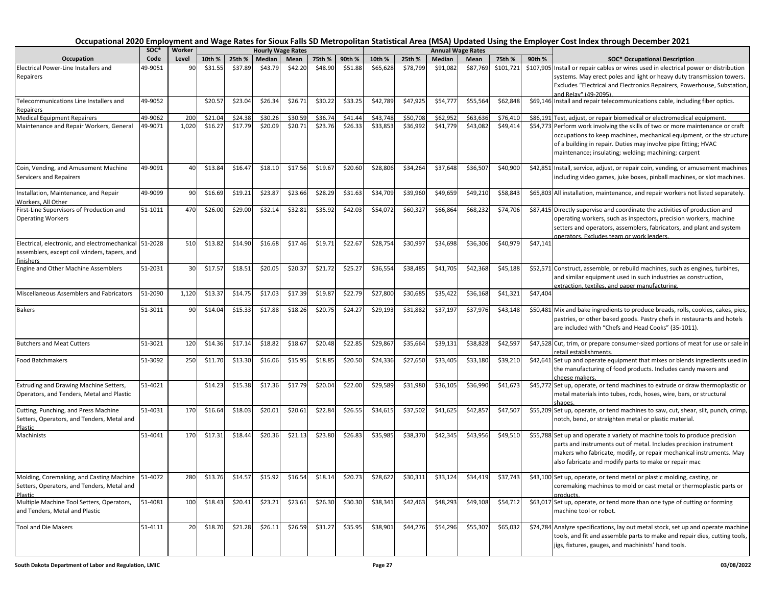| Occupation                                                                  | soc*    | Worker |         |         | <b>Hourly Wage Rates</b> |         |         |         |          |          |          | <b>Annual Wage Rates</b> |           |          | <b>SOC* Occupational Description</b>                                                                              |
|-----------------------------------------------------------------------------|---------|--------|---------|---------|--------------------------|---------|---------|---------|----------|----------|----------|--------------------------|-----------|----------|-------------------------------------------------------------------------------------------------------------------|
|                                                                             | Code    | Level  | 10th %  | 25th %  | Median                   | Mean    | 75th %  | 90th %  | 10th %   | 25th %   | Median   | Mean                     | 75th %    | 90th %   |                                                                                                                   |
| Electrical Power-Line Installers and                                        | 49-9051 | 90     | \$31.55 | \$37.89 | \$43.79                  | \$42.20 | \$48.90 | \$51.88 | \$65,628 | \$78,799 | \$91,082 | \$87,769                 | \$101,721 |          | \$107,905 Install or repair cables or wires used in electrical power or distribution                              |
| Repairers                                                                   |         |        |         |         |                          |         |         |         |          |          |          |                          |           |          | systems. May erect poles and light or heavy duty transmission towers.                                             |
|                                                                             |         |        |         |         |                          |         |         |         |          |          |          |                          |           |          | Excludes "Electrical and Electronics Repairers, Powerhouse, Substation,<br>and Relav" (49-2095).                  |
| Telecommunications Line Installers and<br>Repairers                         | 49-9052 |        | \$20.57 | \$23.04 | \$26.34                  | \$26.71 | \$30.22 | \$33.25 | \$42,789 | \$47,925 | \$54,777 | \$55,564                 | \$62,848  |          | \$69,146 Install and repair telecommunications cable, including fiber optics.                                     |
| <b>Medical Equipment Repairers</b>                                          | 49-9062 | 200    | \$21.04 | \$24.38 | \$30.26                  | \$30.59 | \$36.74 | \$41.44 | \$43,748 | \$50,708 | \$62,952 | \$63,636                 | \$76,410  |          | \$86,191 Test, adjust, or repair biomedical or electromedical equipment.                                          |
| Maintenance and Repair Workers, General                                     | 49-9071 | 1,020  | \$16.27 | \$17.79 | \$20.09                  | \$20.71 | \$23.76 | \$26.33 | \$33,853 | \$36,992 | \$41,779 | \$43,082                 | \$49,414  |          | \$54,773 Perform work involving the skills of two or more maintenance or craft                                    |
|                                                                             |         |        |         |         |                          |         |         |         |          |          |          |                          |           |          | occupations to keep machines, mechanical equipment, or the structure                                              |
|                                                                             |         |        |         |         |                          |         |         |         |          |          |          |                          |           |          | of a building in repair. Duties may involve pipe fitting; HVAC                                                    |
|                                                                             |         |        |         |         |                          |         |         |         |          |          |          |                          |           |          | maintenance; insulating; welding; machining; carpent                                                              |
| Coin, Vending, and Amusement Machine                                        | 49-9091 | 40     | \$13.84 | \$16.47 | \$18.10                  | \$17.56 | \$19.67 | \$20.60 | \$28,806 | \$34,264 | \$37,648 | \$36,507                 | \$40,900  |          | \$42,851 Install, service, adjust, or repair coin, vending, or amusement machines                                 |
| Servicers and Repairers                                                     |         |        |         |         |                          |         |         |         |          |          |          |                          |           |          | including video games, juke boxes, pinball machines, or slot machines.                                            |
| Installation, Maintenance, and Repair                                       | 49-9099 | 90     | \$16.69 | \$19.21 | \$23.87                  | \$23.66 | \$28.29 | \$31.63 | \$34,709 | \$39,960 | \$49,659 | \$49,210                 | \$58,843  |          | \$65,803 All installation, maintenance, and repair workers not listed separately.                                 |
| Workers, All Other                                                          |         |        |         |         |                          |         |         |         |          |          |          |                          |           |          |                                                                                                                   |
| First-Line Supervisors of Production and                                    | 51-1011 | 470    | \$26.00 | \$29.00 | \$32.14                  | \$32.81 | \$35.92 | \$42.03 | \$54,072 | \$60,327 | \$66,864 | \$68,232                 | \$74,706  |          | \$87,415 Directly supervise and coordinate the activities of production and                                       |
| <b>Operating Workers</b>                                                    |         |        |         |         |                          |         |         |         |          |          |          |                          |           |          | operating workers, such as inspectors, precision workers, machine                                                 |
|                                                                             |         |        |         |         |                          |         |         |         |          |          |          |                          |           |          | setters and operators, assemblers, fabricators, and plant and system<br>operators. Excludes team or work leaders. |
| Electrical, electronic, and electromechanical 51-2028                       |         | 510    | \$13.82 | \$14.90 | \$16.68                  | \$17.46 | \$19.71 | \$22.67 | \$28,754 | \$30,997 | \$34,698 | \$36,306                 | \$40,979  | \$47,141 |                                                                                                                   |
| assemblers, except coil winders, tapers, and                                |         |        |         |         |                          |         |         |         |          |          |          |                          |           |          |                                                                                                                   |
| finishers                                                                   |         |        |         |         |                          |         |         |         |          |          |          |                          |           |          |                                                                                                                   |
| Engine and Other Machine Assemblers                                         | 51-2031 | 30     | \$17.57 | \$18.51 | \$20.05                  | \$20.37 | \$21.72 | \$25.27 | \$36,554 | \$38,485 | \$41,705 | \$42,368                 | \$45,188  |          | \$52,571 Construct, assemble, or rebuild machines, such as engines, turbines,                                     |
|                                                                             |         |        |         |         |                          |         |         |         |          |          |          |                          |           |          | and similar equipment used in such industries as construction,                                                    |
| Miscellaneous Assemblers and Fabricators                                    | 51-2090 | 1,120  | \$13.3  | \$14.75 | \$17.03                  | \$17.39 | \$19.87 | \$22.79 | \$27,800 | \$30,685 | \$35,422 | \$36,168                 | \$41,321  | \$47,404 | extraction. textiles, and paper manufacturing.                                                                    |
|                                                                             |         |        |         |         |                          |         |         |         |          |          |          |                          |           |          |                                                                                                                   |
| <b>Bakers</b>                                                               | 51-3011 | 90     | \$14.04 | \$15.33 | \$17.88                  | \$18.26 | \$20.75 | \$24.27 | \$29,193 | \$31,882 | \$37,197 | \$37,976                 | \$43,148  |          | \$50,481 Mix and bake ingredients to produce breads, rolls, cookies, cakes, pies,                                 |
|                                                                             |         |        |         |         |                          |         |         |         |          |          |          |                          |           |          | pastries, or other baked goods. Pastry chefs in restaurants and hotels                                            |
|                                                                             |         |        |         |         |                          |         |         |         |          |          |          |                          |           |          | are included with "Chefs and Head Cooks" (35-1011).                                                               |
| <b>Butchers and Meat Cutters</b>                                            | 51-3021 | 120    | \$14.36 | \$17.14 | \$18.82                  | \$18.67 | \$20.48 | \$22.85 | \$29,867 | \$35,664 | \$39,131 | \$38,828                 | \$42,597  |          | \$47,528 Cut, trim, or prepare consumer-sized portions of meat for use or sale in                                 |
|                                                                             |         |        |         |         |                          |         |         |         |          |          |          |                          |           |          | retail establishments.                                                                                            |
| Food Batchmakers                                                            | 51-3092 | 250    | \$11.70 | \$13.30 | \$16.06                  | \$15.95 | \$18.85 | \$20.50 | \$24,336 | \$27,650 | \$33,405 | \$33,180                 | \$39,210  |          | \$42,641 Set up and operate equipment that mixes or blends ingredients used in                                    |
|                                                                             |         |        |         |         |                          |         |         |         |          |          |          |                          |           |          | the manufacturing of food products. Includes candy makers and<br>cheese makers.                                   |
| Extruding and Drawing Machine Setters,                                      | 51-4021 |        | \$14.23 | \$15.38 | \$17.36                  | \$17.79 | \$20.04 | \$22.00 | \$29,589 | \$31,980 | \$36,105 | \$36,990                 | \$41,673  |          | \$45,772 Set up, operate, or tend machines to extrude or draw thermoplastic or                                    |
| Operators, and Tenders, Metal and Plastic                                   |         |        |         |         |                          |         |         |         |          |          |          |                          |           |          | metal materials into tubes, rods, hoses, wire, bars, or structural                                                |
|                                                                             |         |        |         |         |                          |         |         |         |          |          |          |                          |           |          | shapes                                                                                                            |
| Cutting, Punching, and Press Machine                                        | 51-4031 | 170    | \$16.64 | \$18.03 | \$20.01                  | \$20.61 | \$22.84 | \$26.55 | \$34,615 | \$37,502 | \$41,625 | \$42,857                 | \$47,507  |          | \$55,209 Set up, operate, or tend machines to saw, cut, shear, slit, punch, crimp,                                |
| Setters, Operators, and Tenders, Metal and<br>Plastic                       |         |        |         |         |                          |         |         |         |          |          |          |                          |           |          | notch, bend, or straighten metal or plastic material.                                                             |
| Machinists                                                                  | 51-4041 | 170    | \$17.31 | \$18.44 | \$20.36                  | \$21.13 | \$23.80 | \$26.83 | \$35,985 | \$38,370 | \$42,345 | \$43,956                 | \$49,510  |          | \$55,788 Set up and operate a variety of machine tools to produce precision                                       |
|                                                                             |         |        |         |         |                          |         |         |         |          |          |          |                          |           |          | parts and instruments out of metal. Includes precision instrument                                                 |
|                                                                             |         |        |         |         |                          |         |         |         |          |          |          |                          |           |          | makers who fabricate, modify, or repair mechanical instruments. May                                               |
|                                                                             |         |        |         |         |                          |         |         |         |          |          |          |                          |           |          | also fabricate and modify parts to make or repair mac                                                             |
| Molding, Coremaking, and Casting Machine                                    | 51-4072 | 280    | \$13.76 | \$14.57 | \$15.92                  | \$16.54 | \$18.14 | \$20.73 | \$28,622 | \$30,311 | \$33,124 | \$34,419                 | \$37,743  |          | \$43,100 Set up, operate, or tend metal or plastic molding, casting, or                                           |
| Setters, Operators, and Tenders, Metal and                                  |         |        |         |         |                          |         |         |         |          |          |          |                          |           |          | coremaking machines to mold or cast metal or thermoplastic parts or                                               |
| Plastic                                                                     | 51-4081 | 100    | \$18.43 | \$20.41 | \$23.21                  | \$23.61 | \$26.30 | \$30.30 | \$38,341 | \$42,463 | \$48,293 | \$49,108                 | \$54,712  |          | products.<br>\$63,017 Set up, operate, or tend more than one type of cutting or forming                           |
| Multiple Machine Tool Setters, Operators,<br>and Tenders, Metal and Plastic |         |        |         |         |                          |         |         |         |          |          |          |                          |           |          | machine tool or robot.                                                                                            |
|                                                                             |         |        |         |         |                          |         |         |         |          |          |          |                          |           |          |                                                                                                                   |
| <b>Tool and Die Makers</b>                                                  | 51-4111 | 20     | \$18.70 | \$21.28 | \$26.11                  | \$26.59 | \$31.27 | \$35.95 | \$38,901 | \$44,276 | \$54,296 | \$55,307                 | \$65,032  |          | \$74,784 Analyze specifications, lay out metal stock, set up and operate machine                                  |
|                                                                             |         |        |         |         |                          |         |         |         |          |          |          |                          |           |          | tools, and fit and assemble parts to make and repair dies, cutting tools,                                         |
|                                                                             |         |        |         |         |                          |         |         |         |          |          |          |                          |           |          | jigs, fixtures, gauges, and machinists' hand tools.                                                               |
|                                                                             |         |        |         |         |                          |         |         |         |          |          |          |                          |           |          |                                                                                                                   |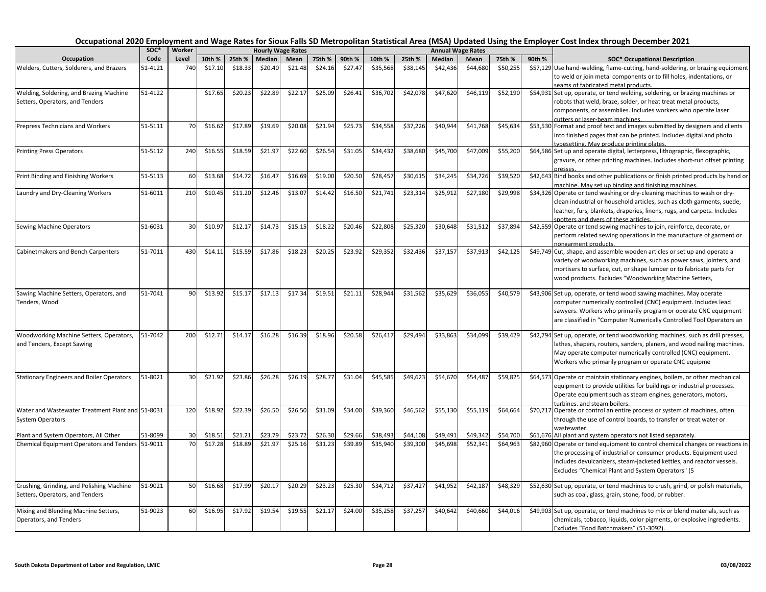| Occupation                                       | soc*    | Worker | <b>Hourly Wage Rates</b> |         |         |         |         |         |                      |          |          | <b>Annual Wage Rates</b> |          |        |                                                                                                                 |
|--------------------------------------------------|---------|--------|--------------------------|---------|---------|---------|---------|---------|----------------------|----------|----------|--------------------------|----------|--------|-----------------------------------------------------------------------------------------------------------------|
|                                                  | Code    | Level  | 10th %                   | 25th %  | Median  | Mean    | 75th %  | 90th %  | 10th %               | 25th %   | Median   | Mean                     | 75th %   | 90th % | <b>SOC* Occupational Description</b>                                                                            |
| Welders, Cutters, Solderers, and Brazers         | 51-4121 | 740    | \$17.10                  | \$18.33 | \$20.40 | \$21.48 | \$24.16 | \$27.47 | \$35,568             | \$38,145 | \$42,436 | \$44,680                 | \$50,255 |        | \$57,129 Use hand-welding, flame-cutting, hand-soldering, or brazing equipment                                  |
|                                                  |         |        |                          |         |         |         |         |         |                      |          |          |                          |          |        | to weld or join metal components or to fill holes, indentations, or                                             |
|                                                  |         |        |                          |         |         |         |         |         |                      |          |          |                          |          |        | seams of fabricated metal products.                                                                             |
| Welding, Soldering, and Brazing Machine          | 51-4122 |        | \$17.65                  | \$20.23 | \$22.89 | \$22.17 | \$25.09 | \$26.41 | \$36,702             | \$42,078 | \$47,620 | \$46,119                 | \$52,190 |        | \$54,931 Set up, operate, or tend welding, soldering, or brazing machines or                                    |
| Setters, Operators, and Tenders                  |         |        |                          |         |         |         |         |         |                      |          |          |                          |          |        | robots that weld, braze, solder, or heat treat metal products,                                                  |
|                                                  |         |        |                          |         |         |         |         |         |                      |          |          |                          |          |        | components, or assemblies. Includes workers who operate laser                                                   |
| Prepress Technicians and Workers                 | 51-5111 | 70     | \$16.62                  | \$17.89 | \$19.69 | \$20.08 | \$21.94 | \$25.73 | \$34,558             | \$37,226 | \$40,944 | \$41,768                 | \$45,634 |        | cutters or laser-beam machines.<br>\$53,530 Format and proof text and images submitted by designers and clients |
|                                                  |         |        |                          |         |         |         |         |         |                      |          |          |                          |          |        | into finished pages that can be printed. Includes digital and photo                                             |
|                                                  |         |        |                          |         |         |         |         |         |                      |          |          |                          |          |        | typesetting. May produce printing plates.                                                                       |
| <b>Printing Press Operators</b>                  | 51-5112 | 240    | \$16.55                  | \$18.59 | \$21.97 | \$22.60 | \$26.54 | \$31.05 | \$34,432             | \$38,680 | \$45,700 | \$47,009                 | \$55,200 |        | \$64,586 Set up and operate digital, letterpress, lithographic, flexographic,                                   |
|                                                  |         |        |                          |         |         |         |         |         |                      |          |          |                          |          |        | gravure, or other printing machines. Includes short-run offset printing                                         |
|                                                  |         |        |                          |         |         |         |         |         |                      |          |          |                          |          |        | presses                                                                                                         |
| Print Binding and Finishing Workers              | 51-5113 | 60     | \$13.68                  | \$14.72 | \$16.47 | \$16.69 | \$19.00 | \$20.50 | \$28,457             | \$30,615 | \$34,245 | \$34,726                 | \$39,520 |        | \$42,643 Bind books and other publications or finish printed products by hand or                                |
|                                                  |         |        |                          |         |         |         |         |         |                      |          |          |                          |          |        | machine. May set up binding and finishing machines.                                                             |
| Laundry and Dry-Cleaning Workers                 | 51-6011 | 210    | \$10.45                  | \$11.20 | \$12.46 | \$13.07 | \$14.42 | \$16.50 | \$21,741             | \$23,314 | \$25,912 | \$27,180                 | \$29,998 |        | \$34,326 Operate or tend washing or dry-cleaning machines to wash or dry-                                       |
|                                                  |         |        |                          |         |         |         |         |         |                      |          |          |                          |          |        | clean industrial or household articles, such as cloth garments, suede,                                          |
|                                                  |         |        |                          |         |         |         |         |         |                      |          |          |                          |          |        | leather, furs, blankets, draperies, linens, rugs, and carpets. Includes                                         |
|                                                  |         |        |                          | \$12.17 |         |         |         |         |                      |          |          |                          |          |        | spotters and dvers of these articles.                                                                           |
| Sewing Machine Operators                         | 51-6031 | 30     | \$10.97                  |         | \$14.73 | \$15.15 | \$18.22 | \$20.46 | \$22,808             | \$25,320 | \$30,648 | \$31,512                 | \$37,894 |        | \$42,559 Operate or tend sewing machines to join, reinforce, decorate, or                                       |
|                                                  |         |        |                          |         |         |         |         |         |                      |          |          |                          |          |        | perform related sewing operations in the manufacture of garment or                                              |
| Cabinetmakers and Bench Carpenters               | 51-7011 | 430    | \$14.11                  | \$15.59 | \$17.86 | \$18.23 | \$20.25 | \$23.92 | \$29,352             | \$32,436 | \$37,157 | \$37,913                 | \$42,125 |        | nongarment products.<br>\$49,749 Cut, shape, and assemble wooden articles or set up and operate a               |
|                                                  |         |        |                          |         |         |         |         |         |                      |          |          |                          |          |        | variety of woodworking machines, such as power saws, jointers, and                                              |
|                                                  |         |        |                          |         |         |         |         |         |                      |          |          |                          |          |        | mortisers to surface, cut, or shape lumber or to fabricate parts for                                            |
|                                                  |         |        |                          |         |         |         |         |         |                      |          |          |                          |          |        | wood products. Excludes "Woodworking Machine Setters,                                                           |
|                                                  |         |        |                          |         |         |         |         |         |                      |          |          |                          |          |        |                                                                                                                 |
| Sawing Machine Setters, Operators, and           | 51-7041 | 90     | \$13.92                  | \$15.17 | \$17.13 | \$17.34 | \$19.51 | \$21.11 | \$28,944             | \$31,562 | \$35,629 | \$36,055                 | \$40,579 |        | \$43,906 Set up, operate, or tend wood sawing machines. May operate                                             |
| Tenders, Wood                                    |         |        |                          |         |         |         |         |         |                      |          |          |                          |          |        | computer numerically controlled (CNC) equipment. Includes lead                                                  |
|                                                  |         |        |                          |         |         |         |         |         |                      |          |          |                          |          |        | sawyers. Workers who primarily program or operate CNC equipment                                                 |
|                                                  |         |        |                          |         |         |         |         |         |                      |          |          |                          |          |        | are classified in "Computer Numerically Controlled Tool Operators an                                            |
|                                                  |         |        |                          |         |         |         |         |         |                      |          |          |                          |          |        |                                                                                                                 |
| Woodworking Machine Setters, Operators,          | 51-7042 | 200    | \$12.71                  | \$14.1  | \$16.28 | \$16.39 | \$18.96 | \$20.58 | \$26,417             | \$29,494 | \$33,863 | \$34,099                 | \$39,429 |        | \$42,794 Set up, operate, or tend woodworking machines, such as drill presses,                                  |
| and Tenders, Except Sawing                       |         |        |                          |         |         |         |         |         |                      |          |          |                          |          |        | lathes, shapers, routers, sanders, planers, and wood nailing machines.                                          |
|                                                  |         |        |                          |         |         |         |         |         |                      |          |          |                          |          |        | May operate computer numerically controlled (CNC) equipment.                                                    |
|                                                  |         |        |                          |         |         |         |         |         |                      |          |          |                          |          |        | Workers who primarily program or operate CNC equipme                                                            |
| <b>Stationary Engineers and Boiler Operators</b> | 51-8021 | 30     | \$21.92                  | \$23.86 | \$26.28 | \$26.19 | \$28.77 | \$31.04 | $\overline{$}45,585$ | \$49,623 | \$54,670 | \$54,487                 | \$59,825 |        | \$64,573 Operate or maintain stationary engines, boilers, or other mechanical                                   |
|                                                  |         |        |                          |         |         |         |         |         |                      |          |          |                          |          |        | equipment to provide utilities for buildings or industrial processes.                                           |
|                                                  |         |        |                          |         |         |         |         |         |                      |          |          |                          |          |        | Operate equipment such as steam engines, generators, motors,                                                    |
|                                                  |         |        |                          |         |         |         |         |         |                      |          |          |                          |          |        | turbines, and steam boilers.                                                                                    |
| Water and Wastewater Treatment Plant and 51-8031 |         | 120    | \$18.92                  | \$22.39 | \$26.50 | \$26.50 | \$31.09 | \$34.00 | \$39,360             | \$46,562 | \$55,130 | \$55,119                 | \$64,664 |        | \$70,717 Operate or control an entire process or system of machines, often                                      |
| <b>System Operators</b>                          |         |        |                          |         |         |         |         |         |                      |          |          |                          |          |        | through the use of control boards, to transfer or treat water or                                                |
|                                                  |         |        |                          |         |         |         |         |         |                      |          |          |                          |          |        | wastewater.                                                                                                     |
| Plant and System Operators, All Other            | 51-8099 | 30     | \$18.5                   | \$21.21 | \$23.79 | \$23.72 | \$26.30 | \$29.66 | \$38,493             | \$44,108 | \$49,491 | \$49,34                  | \$54,700 |        | \$61,676 All plant and system operators not listed separately.                                                  |
| Chemical Equipment Operators and Tenders 51-9011 |         | 70     | \$17.28                  | \$18.89 | \$21.97 | \$25.16 | \$31.23 | \$39.89 | \$35,940             | \$39,300 | \$45,698 | \$52,341                 | \$64,963 |        | \$82,960 Operate or tend equipment to control chemical changes or reactions in                                  |
|                                                  |         |        |                          |         |         |         |         |         |                      |          |          |                          |          |        | the processing of industrial or consumer products. Equipment used                                               |
|                                                  |         |        |                          |         |         |         |         |         |                      |          |          |                          |          |        | includes devulcanizers, steam-jacketed kettles, and reactor vessels.                                            |
|                                                  |         |        |                          |         |         |         |         |         |                      |          |          |                          |          |        | Excludes "Chemical Plant and System Operators" (5                                                               |
| Crushing, Grinding, and Polishing Machine        | 51-9021 | 50     | \$16.68                  | \$17.99 | \$20.17 | \$20.29 | \$23.23 | \$25.30 | \$34,712             | \$37,427 | \$41,952 | \$42,187                 | \$48,329 |        | \$52,630 Set up, operate, or tend machines to crush, grind, or polish materials,                                |
| Setters, Operators, and Tenders                  |         |        |                          |         |         |         |         |         |                      |          |          |                          |          |        | such as coal, glass, grain, stone, food, or rubber.                                                             |
|                                                  |         |        |                          |         |         |         |         |         |                      |          |          |                          |          |        |                                                                                                                 |
| Mixing and Blending Machine Setters,             | 51-9023 | 60     | \$16.95                  | \$17.92 | \$19.54 | \$19.55 | \$21.17 | \$24.00 | \$35,258             | \$37,257 | \$40,642 | \$40,660                 | \$44,016 |        | \$49,903 Set up, operate, or tend machines to mix or blend materials, such as                                   |
| Operators, and Tenders                           |         |        |                          |         |         |         |         |         |                      |          |          |                          |          |        | chemicals, tobacco, liquids, color pigments, or explosive ingredients.                                          |
|                                                  |         |        |                          |         |         |         |         |         |                      |          |          |                          |          |        | Excludes "Food Batchmakers" (51-3092).                                                                          |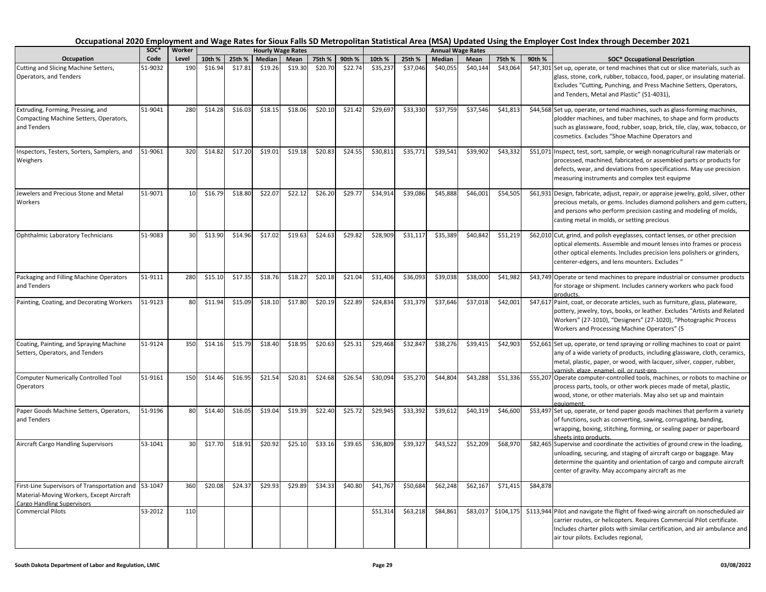| Occupation                                                                                       | SOC*<br>Code | Worker     |         |         |         | <b>Hourly Wage Rates</b> |         |         |          |          |          | <b>Annual Wage Rates</b> |           |          |                                                                                                                                                                                                                                                                                  |
|--------------------------------------------------------------------------------------------------|--------------|------------|---------|---------|---------|--------------------------|---------|---------|----------|----------|----------|--------------------------|-----------|----------|----------------------------------------------------------------------------------------------------------------------------------------------------------------------------------------------------------------------------------------------------------------------------------|
|                                                                                                  |              | Level      | 10th %  | 25th %  | Median  | Mean                     | 75th %  | 90th %  | 10th %   | 25th %   | Median   | Mean                     | 75th %    | 90th %   | <b>SOC* Occupational Description</b>                                                                                                                                                                                                                                             |
| Cutting and Slicing Machine Setters,<br>Operators, and Tenders                                   | 51-9032      | 190        | \$16.94 | \$17.81 | \$19.26 | \$19.30                  | \$20.70 | \$22.74 | \$35,237 | \$37,046 | \$40,055 | \$40,144                 | \$43,064  |          | \$47,301 Set up, operate, or tend machines that cut or slice materials, such as<br>glass, stone, cork, rubber, tobacco, food, paper, or insulating material<br>Excludes "Cutting, Punching, and Press Machine Setters, Operators,<br>and Tenders, Metal and Plastic" (51-4031),  |
| Extruding, Forming, Pressing, and<br>Compacting Machine Setters, Operators,<br>and Tenders       | 51-9041      | 280        | \$14.28 | \$16.03 | \$18.15 | \$18.06                  | \$20.10 | \$21.42 | \$29,697 | \$33,330 | \$37,759 | \$37,546                 | \$41,813  |          | \$44,568 Set up, operate, or tend machines, such as glass-forming machines,<br>plodder machines, and tuber machines, to shape and form products<br>such as glassware, food, rubber, soap, brick, tile, clay, wax, tobacco, or<br>cosmetics. Excludes "Shoe Machine Operators and |
| Inspectors, Testers, Sorters, Samplers, and<br>Weighers                                          | 51-9061      | 320        | \$14.82 | \$17.20 | \$19.01 | \$19.18                  | \$20.83 | \$24.55 | \$30,811 | \$35,771 | \$39,541 | \$39,902                 | \$43,332  |          | \$51,071 Inspect, test, sort, sample, or weigh nonagricultural raw materials or<br>processed, machined, fabricated, or assembled parts or products for<br>defects, wear, and deviations from specifications. May use precision<br>measuring instruments and complex test equipme |
| Jewelers and Precious Stone and Metal<br>Workers                                                 | 51-9071      | 10         | \$16.79 | \$18.80 | \$22.07 | \$22.12                  | \$26.20 | \$29.77 | \$34,914 | \$39,086 | \$45,888 | \$46,001                 | \$54,505  |          | \$61,931 Design, fabricate, adjust, repair, or appraise jewelry, gold, silver, other<br>precious metals, or gems. Includes diamond polishers and gem cutters,<br>and persons who perform precision casting and modeling of molds,<br>casting metal in molds, or setting precious |
| Ophthalmic Laboratory Technicians                                                                | 51-9083      | 30         | \$13.90 | \$14.96 | \$17.02 | \$19.63                  | \$24.63 | \$29.82 | \$28,909 | \$31,117 | \$35,389 | \$40,842                 | \$51,219  |          | \$62,010 Cut, grind, and polish eyeglasses, contact lenses, or other precision<br>optical elements. Assemble and mount lenses into frames or process<br>other optical elements. Includes precision lens polishers or grinders,<br>centerer-edgers, and lens mounters. Excludes " |
| Packaging and Filling Machine Operators<br>and Tenders                                           | 51-9111      | 280        | \$15.10 | \$17.35 | \$18.76 | \$18.27                  | \$20.18 | \$21.04 | \$31,406 | \$36,093 | \$39,038 | \$38,000                 | \$41,982  |          | \$43,749 Operate or tend machines to prepare industrial or consumer products<br>for storage or shipment. Includes cannery workers who pack food<br>products.                                                                                                                     |
| Painting, Coating, and Decorating Workers                                                        | 51-9123      | 80         | \$11.94 | \$15.09 | \$18.10 | \$17.80                  | \$20.19 | \$22.89 | \$24,834 | \$31,379 | \$37,646 | \$37,018                 | \$42,001  |          | \$47,617 Paint, coat, or decorate articles, such as furniture, glass, plateware,<br>pottery, jewelry, toys, books, or leather. Excludes "Artists and Related<br>Workers" (27-1010), "Designers" (27-1020), "Photographic Process<br>Workers and Processing Machine Operators" (5 |
| Coating, Painting, and Spraying Machine<br>Setters, Operators, and Tenders                       | 51-9124      | <b>350</b> | \$14.16 | \$15.79 | \$18.40 | \$18.95                  | \$20.63 | \$25.31 | \$29.468 | \$32.847 | \$38,276 | \$39.415                 | \$42,903  |          | \$52,661 Set up, operate, or tend spraying or rolling machines to coat or paint<br>any of a wide variety of products, including glassware, cloth, ceramics,<br>metal, plastic, paper, or wood, with lacquer, silver, copper, rubber,<br>varnish, glaze, enamel, oil, or rust-pro |
| <b>Computer Numerically Controlled Tool</b><br>Operators                                         | 51-9161      | 150        | \$14.46 | \$16.95 | \$21.54 | \$20.81                  | \$24.68 | \$26.54 | \$30,094 | \$35,270 | \$44,804 | \$43,288                 | \$51,336  |          | \$55,207 Operate computer-controlled tools, machines, or robots to machine or<br>process parts, tools, or other work pieces made of metal, plastic,<br>wood, stone, or other materials. May also set up and maintain<br>eauipment.                                               |
| Paper Goods Machine Setters, Operators,<br>and Tenders                                           | 51-9196      | 80         | \$14.40 | \$16.05 | \$19.04 | \$19.39                  | \$22.40 | \$25.72 | \$29,945 | \$33,392 | \$39,61  | \$40,319                 | \$46,600  |          | \$53,497 Set up, operate, or tend paper goods machines that perform a variety<br>of functions, such as converting, sawing, corrugating, banding,<br>wrapping, boxing, stitching, forming, or sealing paper or paperboard<br>sheets into products.                                |
| <b>Aircraft Cargo Handling Supervisors</b>                                                       | 53-1041      | 30         | \$17.70 | \$18.91 | \$20.92 | \$25.10                  | \$33.16 | \$39.65 | \$36,809 | \$39,327 | \$43,522 | \$52,209                 | \$68,970  |          | \$82,465 Supervise and coordinate the activities of ground crew in the loading,<br>unloading, securing, and staging of aircraft cargo or baggage. May<br>determine the quantity and orientation of cargo and compute aircraft<br>center of gravity. May accompany aircraft as me |
| First-Line Supervisors of Transportation and 53-1047<br>Material-Moving Workers, Except Aircraft |              | 360        | \$20.08 | \$24.37 | \$29.93 | \$29.89                  | \$34.33 | \$40.80 | \$41,767 | \$50,684 | \$62,248 | \$62,167                 | \$71,415  | \$84,878 |                                                                                                                                                                                                                                                                                  |
| <b>Cargo Handling Supervisors</b><br><b>Commercial Pilots</b>                                    | 53-2012      | 110        |         |         |         |                          |         |         | \$51,314 | \$63,218 | \$84,861 | \$83,017                 | \$104,175 |          | \$113,944 Pilot and navigate the flight of fixed-wing aircraft on nonscheduled air<br>carrier routes, or helicopters. Requires Commercial Pilot certificate.<br>Includes charter pilots with similar certification, and air ambulance and<br>air tour pilots. Excludes regional, |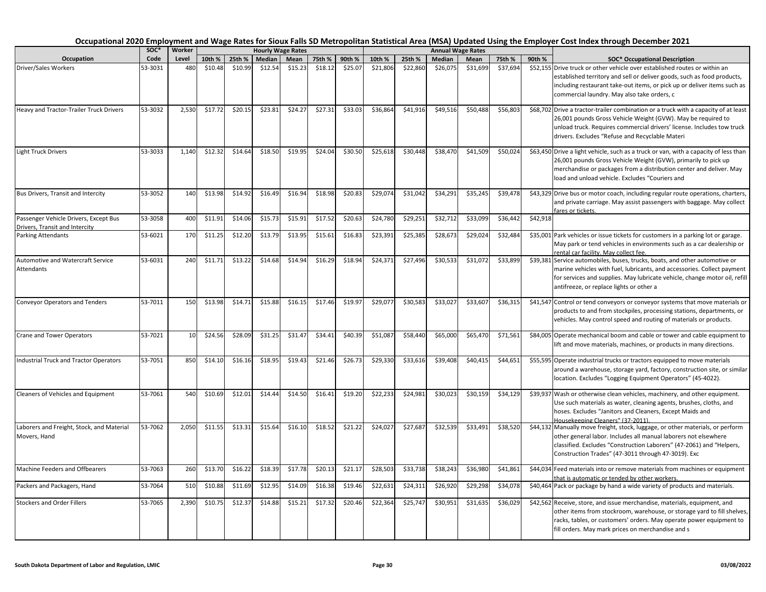| Occupation                                                              | SOC*<br>Code | Worker<br>Level | <b>Hourly Wage Rates</b> |         |         |         |         |         |          |          |          | <b>Annual Wage Rates</b> |          |          |                                                                                                                                                                                                                                                                                  |
|-------------------------------------------------------------------------|--------------|-----------------|--------------------------|---------|---------|---------|---------|---------|----------|----------|----------|--------------------------|----------|----------|----------------------------------------------------------------------------------------------------------------------------------------------------------------------------------------------------------------------------------------------------------------------------------|
|                                                                         |              |                 | 10th %                   | 25th %  | Median  | Mean    | 75th %  | 90th %  | 10th %   | 25th %   | Median   | Mean                     | 75th %   | 90th %   | <b>SOC* Occupational Description</b>                                                                                                                                                                                                                                             |
| Driver/Sales Workers                                                    | 53-3031      | 48C             | \$10.48                  | \$10.99 | \$12.54 | \$15.23 | \$18.12 | \$25.07 | \$21,806 | \$22,860 | \$26,075 | \$31,699                 | \$37,694 |          | \$52,155 Drive truck or other vehicle over established routes or within an<br>established territory and sell or deliver goods, such as food products,<br>including restaurant take-out items, or pick up or deliver items such as<br>commercial laundry. May also take orders, c |
| Heavy and Tractor-Trailer Truck Drivers                                 | 53-3032      | 2,530           | \$17.72                  | \$20.15 | \$23.81 | \$24.27 | \$27.31 | \$33.03 | \$36,864 | \$41,916 | \$49,516 | \$50,488                 | \$56,803 |          | \$68,702 Drive a tractor-trailer combination or a truck with a capacity of at least<br>26,001 pounds Gross Vehicle Weight (GVW). May be required to<br>unload truck. Requires commercial drivers' license. Includes tow truck<br>drivers. Excludes "Refuse and Recyclable Materi |
| <b>Light Truck Drivers</b>                                              | 53-3033      | 1,140           | \$12.32                  | \$14.64 | \$18.50 | \$19.95 | \$24.04 | \$30.50 | \$25,618 | \$30,448 | \$38,470 | \$41,509                 | \$50,024 |          | \$63,450 Drive a light vehicle, such as a truck or van, with a capacity of less than<br>26,001 pounds Gross Vehicle Weight (GVW), primarily to pick up<br>merchandise or packages from a distribution center and deliver. May<br>load and unload vehicle. Excludes "Couriers and |
| Bus Drivers, Transit and Intercity                                      | 53-3052      | 140             | \$13.98                  | \$14.92 | \$16.49 | \$16.94 | \$18.98 | \$20.83 | \$29,074 | \$31,042 | \$34,291 | \$35,245                 | \$39,478 |          | \$43,329 Drive bus or motor coach, including regular route operations, charters,<br>and private carriage. May assist passengers with baggage. May collect<br>fares or tickets.                                                                                                   |
| Passenger Vehicle Drivers, Except Bus<br>Drivers, Transit and Intercity | 53-3058      | 400             | \$11.91                  | \$14.06 | \$15.73 | \$15.91 | \$17.52 | \$20.63 | \$24,780 | \$29,251 | \$32,712 | \$33,099                 | \$36,442 | \$42,918 |                                                                                                                                                                                                                                                                                  |
| <b>Parking Attendants</b>                                               | 53-6021      | 170             | \$11.25                  | \$12.20 | \$13.79 | \$13.95 | \$15.61 | \$16.83 | \$23,391 | \$25,385 | \$28,673 | \$29,024                 | \$32,484 |          | \$35,001 Park vehicles or issue tickets for customers in a parking lot or garage.<br>May park or tend vehicles in environments such as a car dealership or<br>rental car facility. May collect fee.                                                                              |
| Automotive and Watercraft Service<br>Attendants                         | 53-6031      | 240             | \$11.71                  | \$13.22 | \$14.68 | \$14.94 | \$16.29 | \$18.94 | \$24,371 | \$27,496 | \$30,533 | \$31,072                 | \$33,899 |          | \$39,381 Service automobiles, buses, trucks, boats, and other automotive or<br>marine vehicles with fuel, lubricants, and accessories. Collect payment<br>for services and supplies. May lubricate vehicle, change motor oil, refill<br>antifreeze, or replace lights or other a |
| <b>Conveyor Operators and Tenders</b>                                   | 53-7011      | 150             | \$13.98                  | \$14.71 | \$15.88 | \$16.15 | \$17.46 | \$19.97 | \$29,077 | \$30,583 | \$33,027 | \$33,607                 | \$36,315 |          | \$41,547 Control or tend conveyors or conveyor systems that move materials or<br>products to and from stockpiles, processing stations, departments, or<br>vehicles. May control speed and routing of materials or products.                                                      |
| <b>Crane and Tower Operators</b>                                        | 53-7021      | 10              | \$24.56                  | \$28.09 | \$31.25 | \$31.47 | \$34.41 | \$40.39 | \$51,087 | \$58,440 | \$65,000 | \$65,470                 | \$71,561 |          | \$84,005 Operate mechanical boom and cable or tower and cable equipment to<br>lift and move materials, machines, or products in many directions.                                                                                                                                 |
| <b>Industrial Truck and Tractor Operators</b>                           | 53-7051      | 850             | \$14.10                  | \$16.16 | \$18.95 | \$19.43 | \$21.46 | \$26.73 | \$29,330 | \$33,616 | \$39,408 | \$40,415                 | \$44,651 |          | \$55,595 Operate industrial trucks or tractors equipped to move materials<br>around a warehouse, storage yard, factory, construction site, or similar<br>location. Excludes "Logging Equipment Operators" (45-4022).                                                             |
| Cleaners of Vehicles and Equipment                                      | 53-7061      | 540             | \$10.69                  | \$12.01 | \$14.44 | \$14.50 | \$16.41 | \$19.20 | \$22,233 | \$24,981 | \$30,023 | \$30,159                 | \$34,129 |          | \$39,937 Wash or otherwise clean vehicles, machinery, and other equipment.<br>Use such materials as water, cleaning agents, brushes, cloths, and<br>hoses. Excludes "Janitors and Cleaners, Except Maids and<br>Housekeeping Cleaners" (37-2011).                                |
| Laborers and Freight, Stock, and Material<br>Movers, Hand               | 53-7062      | 2,050           | \$11.55                  | \$13.31 | \$15.64 | \$16.10 | \$18.52 | \$21.22 | \$24,027 | \$27,687 | \$32,539 | \$33,491                 | \$38,520 |          | \$44,132 Manually move freight, stock, luggage, or other materials, or perform<br>other general labor. Includes all manual laborers not elsewhere<br>classified. Excludes "Construction Laborers" (47-2061) and "Helpers,<br>Construction Trades" (47-3011 through 47-3019). Exc |
| Machine Feeders and Offbearers                                          | 53-7063      | 260             | \$13.70                  | \$16.22 | \$18.39 | \$17.78 | \$20.13 | \$21.17 | \$28,503 | \$33,738 | \$38,24  | \$36,980                 | \$41,861 |          | \$44,034 Feed materials into or remove materials from machines or equipment<br>hat is automatic or tended by other workers.                                                                                                                                                      |
| Packers and Packagers, Hand                                             | 53-7064      | 510             | \$10.88                  | \$11.69 | \$12.95 | \$14.09 | \$16.38 | \$19.46 | \$22,631 | \$24,311 | \$26,920 | \$29,298                 | \$34,078 |          | \$40,464 Pack or package by hand a wide variety of products and materials.                                                                                                                                                                                                       |
| <b>Stockers and Order Fillers</b>                                       | 53-7065      | 2,390           | \$10.75                  | \$12.37 | \$14.88 | \$15.21 | \$17.32 | \$20.46 | \$22,364 | \$25,747 | \$30,951 | \$31,635                 | \$36,029 |          | \$42,562 Receive, store, and issue merchandise, materials, equipment, and<br>other items from stockroom, warehouse, or storage yard to fill shelves,<br>racks, tables, or customers' orders. May operate power equipment to<br>fill orders. May mark prices on merchandise and s |